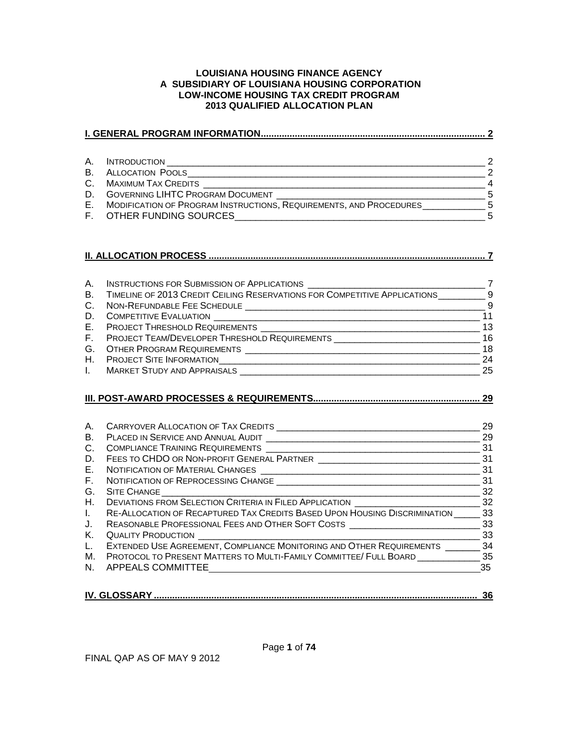#### **LOUISIANA HOUSING FINANCE AGENCY A SUBSIDIARY OF LOUISIANA HOUSING CORPORATION LOW-INCOME HOUSING TAX CREDIT PROGRAM 2013 QUALIFIED ALLOCATION PLAN**

| A. | <b>INTRODUCTION</b>                                                | $\mathcal{P}$ |
|----|--------------------------------------------------------------------|---------------|
| В. | <b>ALLOCATION POOLS</b>                                            | $\mathcal{P}$ |
| C. | <b>MAXIMUM TAX CREDITS</b>                                         |               |
| D. | <b>GOVERNING LIHTC PROGRAM DOCUMENT</b>                            | -5            |
| Е. | MODIFICATION OF PROGRAM INSTRUCTIONS, REQUIREMENTS, AND PROCEDURES | - 5           |
| F. | OTHER FUNDING SOURCES                                              | 5             |

|--|--|--|

| A.             | <b>INSTRUCTIONS FOR SUBMISSION OF APPLICATIONS</b>                        |     |
|----------------|---------------------------------------------------------------------------|-----|
| B.             | TIMELINE OF 2013 CREDIT CEILING RESERVATIONS FOR COMPETITIVE APPLICATIONS | - 9 |
| $C_{1}$        | NON-REFUNDABLE FEE SCHEDULE                                               | - 9 |
| D.             | <b>COMPETITIVE EVALUATION</b>                                             | 11  |
|                | E. PROJECT THRESHOLD REQUIREMENTS                                         | 13  |
|                | F. PROJECT TEAM/DEVELOPER THRESHOLD REQUIREMENTS                          | 16  |
|                | G. OTHER PROGRAM REQUIREMENTS                                             | 18  |
| $H_{\rm{eff}}$ | <b>PROJECT SITE INFORMATION</b>                                           | 24  |
|                | <b>MARKET STUDY AND APPRAISALS</b>                                        | 25  |

## **[III. POST-AWARD PROCESSES & REQUIREMENTS................................................................](#page-29-0) 29**

| А. | CARRYOVER ALLOCATION OF TAX CREDITS                                       | 29  |
|----|---------------------------------------------------------------------------|-----|
| B. | PLACED IN SERVICE AND ANNUAL AUDIT                                        | 29  |
| C. | COMPLIANCE TRAINING REQUIREMENTS                                          | 31  |
| D. | FEES TO CHDO OR NON-PROFIT GENERAL PARTNER                                | 31  |
|    | E. NOTIFICATION OF MATERIAL CHANGES                                       | 31  |
|    | F. NOTIFICATION OF REPROCESSING CHANGE                                    | 31  |
|    | G. SITE CHANGE                                                            | 32  |
|    | H. DEVIATIONS FROM SELECTION CRITERIA IN FILED APPLICATION                | 32  |
|    | RE-ALLOCATION OF RECAPTURED TAX CREDITS BASED UPON HOUSING DISCRIMINATION | 33  |
| J. | REASONABLE PROFESSIONAL FEES AND OTHER SOFT COSTS                         | 33  |
| Κ. | <b>QUALITY PRODUCTION</b>                                                 | 33  |
|    | L. EXTENDED USE AGREEMENT, COMPLIANCE MONITORING AND OTHER REQUIREMENTS   | 34  |
| М. | PROTOCOL TO PRESENT MATTERS TO MULTI-FAMILY COMMITTEE/ FULL BOARD         | -35 |
|    | N. APPEALS COMMITTEE                                                      | 35  |
|    |                                                                           |     |

|  | - 90 |
|--|------|
|  |      |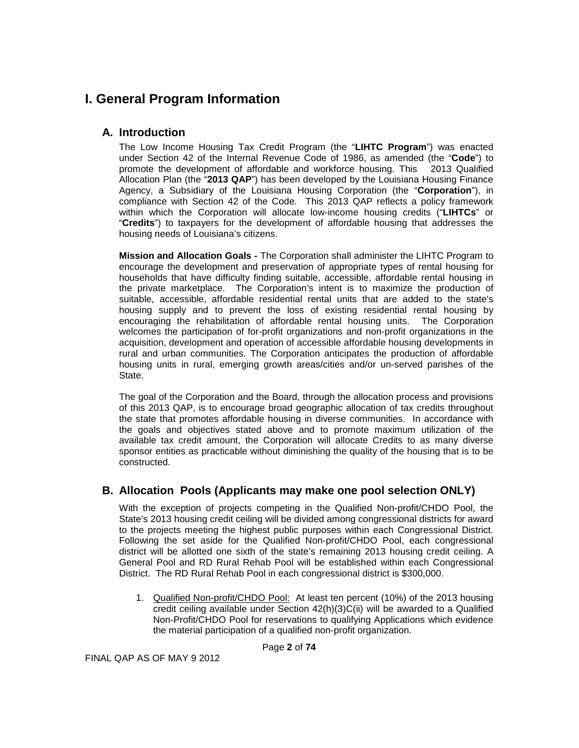# <span id="page-1-0"></span>**I. General Program Information**

# <span id="page-1-1"></span>**A. Introduction**

The Low Income Housing Tax Credit Program (the "**LIHTC Program**") was enacted under Section 42 of the Internal Revenue Code of 1986, as amended (the "**Code**") to promote the development of affordable and workforce housing. This 2013 Qualified Allocation Plan (the "**2013 QAP**") has been developed by the Louisiana Housing Finance Agency, a Subsidiary of the Louisiana Housing Corporation (the "**Corporation**"), in compliance with Section 42 of the Code. This 2013 QAP reflects a policy framework within which the Corporation will allocate low-income housing credits ("**LIHTCs**" or "**Credits**") to taxpayers for the development of affordable housing that addresses the housing needs of Louisiana's citizens.

**Mission and Allocation Goals -** The Corporation shall administer the LIHTC Program to encourage the development and preservation of appropriate types of rental housing for households that have difficulty finding suitable, accessible, affordable rental housing in the private marketplace. The Corporation's intent is to maximize the production of suitable, accessible, affordable residential rental units that are added to the state's housing supply and to prevent the loss of existing residential rental housing by encouraging the rehabilitation of affordable rental housing units. The Corporation welcomes the participation of for-profit organizations and non-profit organizations in the acquisition, development and operation of accessible affordable housing developments in rural and urban communities. The Corporation anticipates the production of affordable housing units in rural, emerging growth areas/cities and/or un-served parishes of the State.

The goal of the Corporation and the Board, through the allocation process and provisions of this 2013 QAP, is to encourage broad geographic allocation of tax credits throughout the state that promotes affordable housing in diverse communities. In accordance with the goals and objectives stated above and to promote maximum utilization of the available tax credit amount, the Corporation will allocate Credits to as many diverse sponsor entities as practicable without diminishing the quality of the housing that is to be constructed.

# <span id="page-1-2"></span>**B. Allocation Pools (Applicants may make one pool selection ONLY)**

With the exception of projects competing in the Qualified Non-profit/CHDO Pool, the State's 2013 housing credit ceiling will be divided among congressional districts for award to the projects meeting the highest public purposes within each Congressional District. Following the set aside for the Qualified Non-profit/CHDO Pool, each congressional district will be allotted one sixth of the state's remaining 2013 housing credit ceiling. A General Pool and RD Rural Rehab Pool will be established within each Congressional District. The RD Rural Rehab Pool in each congressional district is \$300,000.

1. Qualified Non-profit/CHDO Pool: At least ten percent (10%) of the 2013 housing credit ceiling available under Section  $42(h)(3)C(ii)$  will be awarded to a Qualified Non-Profit/CHDO Pool for reservations to qualifying Applications which evidence the material participation of a qualified non-profit organization.

Page **2** of **74**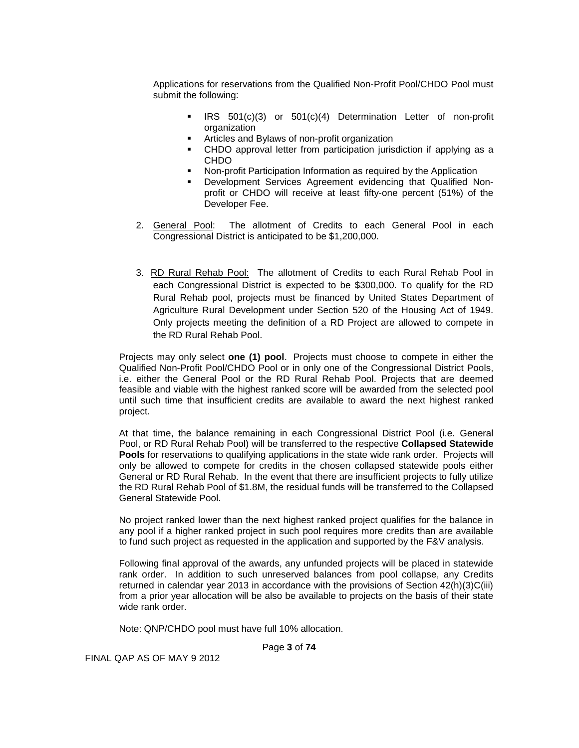Applications for reservations from the Qualified Non-Profit Pool/CHDO Pool must submit the following:

- **IRS** 501(c)(3) or 501(c)(4) Determination Letter of non-profit organization
- Articles and Bylaws of non-profit organization
- CHDO approval letter from participation jurisdiction if applying as a CHDO
- Non-profit Participation Information as required by the Application
- Development Services Agreement evidencing that Qualified Nonprofit or CHDO will receive at least fifty-one percent (51%) of the Developer Fee.
- 2. General Pool: The allotment of Credits to each General Pool in each Congressional District is anticipated to be \$1,200,000.
- 3. RD Rural Rehab Pool: The allotment of Credits to each Rural Rehab Pool in each Congressional District is expected to be \$300,000. To qualify for the RD Rural Rehab pool, projects must be financed by United States Department of Agriculture Rural Development under Section 520 of the Housing Act of 1949. Only projects meeting the definition of a RD Project are allowed to compete in the RD Rural Rehab Pool.

Projects may only select **one (1) pool**. Projects must choose to compete in either the Qualified Non-Profit Pool/CHDO Pool or in only one of the Congressional District Pools, i.e. either the General Pool or the RD Rural Rehab Pool. Projects that are deemed feasible and viable with the highest ranked score will be awarded from the selected pool until such time that insufficient credits are available to award the next highest ranked project.

At that time, the balance remaining in each Congressional District Pool (i.e. General Pool, or RD Rural Rehab Pool) will be transferred to the respective **Collapsed Statewide Pools** for reservations to qualifying applications in the state wide rank order. Projects will only be allowed to compete for credits in the chosen collapsed statewide pools either General or RD Rural Rehab. In the event that there are insufficient projects to fully utilize the RD Rural Rehab Pool of \$1.8M, the residual funds will be transferred to the Collapsed General Statewide Pool.

No project ranked lower than the next highest ranked project qualifies for the balance in any pool if a higher ranked project in such pool requires more credits than are available to fund such project as requested in the application and supported by the F&V analysis.

Following final approval of the awards, any unfunded projects will be placed in statewide rank order. In addition to such unreserved balances from pool collapse, any Credits returned in calendar year 2013 in accordance with the provisions of Section 42(h)(3)C(iii) from a prior year allocation will be also be available to projects on the basis of their state wide rank order.

Note: QNP/CHDO pool must have full 10% allocation.

Page **3** of **74**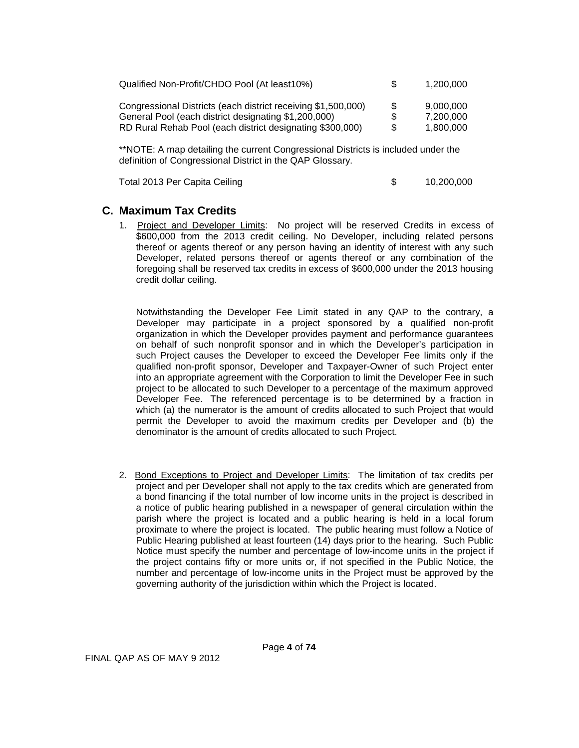| Qualified Non-Profit/CHDO Pool (At least10%)                  | \$. | 1.200.000 |
|---------------------------------------------------------------|-----|-----------|
| Congressional Districts (each district receiving \$1,500,000) | -S  | 9.000.000 |
| General Pool (each district designating \$1,200,000)          | \$  | 7.200.000 |
| RD Rural Rehab Pool (each district designating \$300,000)     | \$  | 1.800.000 |

\*\*NOTE: A map detailing the current Congressional Districts is included under the definition of Congressional District in the QAP Glossary.

Total 2013 Per Capita Ceiling **\$ 10,200,000** 

# <span id="page-3-0"></span>**C. Maximum Tax Credits**

1. Project and Developer Limits: No project will be reserved Credits in excess of \$600,000 from the 2013 credit ceiling. No Developer, including related persons thereof or agents thereof or any person having an identity of interest with any such Developer, related persons thereof or agents thereof or any combination of the foregoing shall be reserved tax credits in excess of \$600,000 under the 2013 housing credit dollar ceiling.

Notwithstanding the Developer Fee Limit stated in any QAP to the contrary, a Developer may participate in a project sponsored by a qualified non-profit organization in which the Developer provides payment and performance guarantees on behalf of such nonprofit sponsor and in which the Developer's participation in such Project causes the Developer to exceed the Developer Fee limits only if the qualified non-profit sponsor, Developer and Taxpayer-Owner of such Project enter into an appropriate agreement with the Corporation to limit the Developer Fee in such project to be allocated to such Developer to a percentage of the maximum approved Developer Fee. The referenced percentage is to be determined by a fraction in which (a) the numerator is the amount of credits allocated to such Project that would permit the Developer to avoid the maximum credits per Developer and (b) the denominator is the amount of credits allocated to such Project.

2. Bond Exceptions to Project and Developer Limits: The limitation of tax credits per project and per Developer shall not apply to the tax credits which are generated from a bond financing if the total number of low income units in the project is described in a notice of public hearing published in a newspaper of general circulation within the parish where the project is located and a public hearing is held in a local forum proximate to where the project is located. The public hearing must follow a Notice of Public Hearing published at least fourteen (14) days prior to the hearing. Such Public Notice must specify the number and percentage of low-income units in the project if the project contains fifty or more units or, if not specified in the Public Notice, the number and percentage of low-income units in the Project must be approved by the governing authority of the jurisdiction within which the Project is located.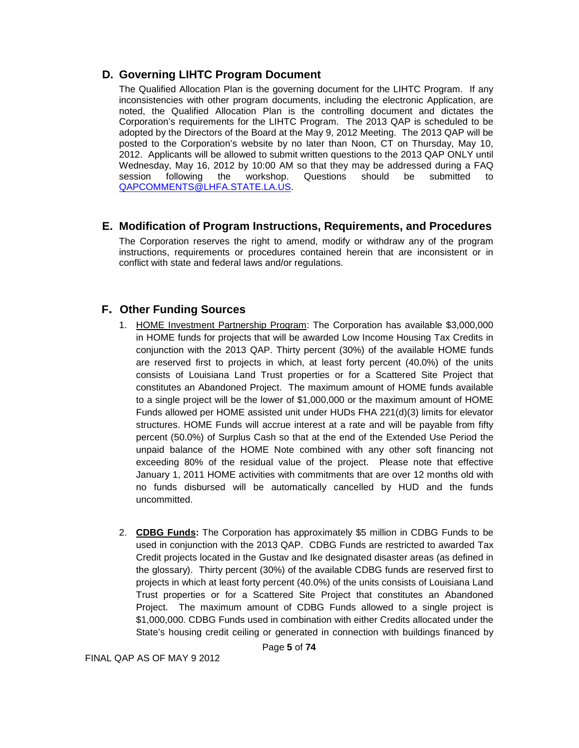## <span id="page-4-0"></span>**D. Governing LIHTC Program Document**

The Qualified Allocation Plan is the governing document for the LIHTC Program. If any inconsistencies with other program documents, including the electronic Application, are noted, the Qualified Allocation Plan is the controlling document and dictates the Corporation's requirements for the LIHTC Program. The 2013 QAP is scheduled to be adopted by the Directors of the Board at the May 9, 2012 Meeting. The 2013 QAP will be posted to the Corporation's website by no later than Noon, CT on Thursday, May 10, 2012. Applicants will be allowed to submit written questions to the 2013 QAP ONLY until Wednesday, May 16, 2012 by 10:00 AM so that they may be addressed during a FAQ<br>session following the workshop. Questions should be submitted to session following the workshop. Questions should be submitted to [QAPCOMMENTS@LHFA.STATE.LA.US.](mailto:QAPCOMMENTS@LHFA.STATE.LA.US)

## <span id="page-4-1"></span>**E. Modification of Program Instructions, Requirements, and Procedures**

The Corporation reserves the right to amend, modify or withdraw any of the program instructions, requirements or procedures contained herein that are inconsistent or in conflict with state and federal laws and/or regulations.

# **F. Other Funding Sources**

- 1. HOME Investment Partnership Program: The Corporation has available \$3,000,000 in HOME funds for projects that will be awarded Low Income Housing Tax Credits in conjunction with the 2013 QAP. Thirty percent (30%) of the available HOME funds are reserved first to projects in which, at least forty percent (40.0%) of the units consists of Louisiana Land Trust properties or for a Scattered Site Project that constitutes an Abandoned Project.The maximum amount of HOME funds available to a single project will be the lower of \$1,000,000 or the maximum amount of HOME Funds allowed per HOME assisted unit under HUDs FHA 221(d)(3) limits for elevator structures. HOME Funds will accrue interest at a rate and will be payable from fifty percent (50.0%) of Surplus Cash so that at the end of the Extended Use Period the unpaid balance of the HOME Note combined with any other soft financing not exceeding 80% of the residual value of the project. Please note that effective January 1, 2011 HOME activities with commitments that are over 12 months old with no funds disbursed will be automatically cancelled by HUD and the funds uncommitted.
- 2. **CDBG Funds:** The Corporation has approximately \$5 million in CDBG Funds to be used in conjunction with the 2013 QAP. CDBG Funds are restricted to awarded Tax Credit projects located in the Gustav and Ike designated disaster areas (as defined in the glossary). Thirty percent (30%) of the available CDBG funds are reserved first to projects in which at least forty percent (40.0%) of the units consists of Louisiana Land Trust properties or for a Scattered Site Project that constitutes an Abandoned Project.The maximum amount of CDBG Funds allowed to a single project is \$1,000,000. CDBG Funds used in combination with either Credits allocated under the State's housing credit ceiling or generated in connection with buildings financed by

Page **5** of **74**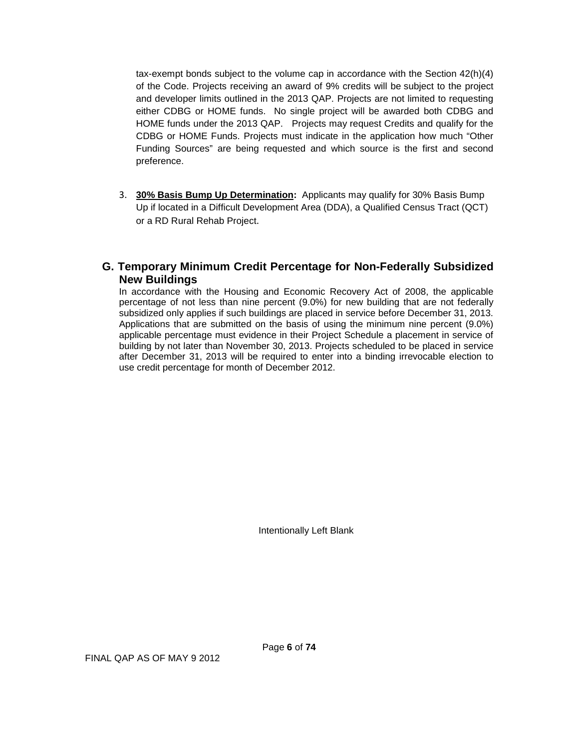tax-exempt bonds subject to the volume cap in accordance with the Section 42(h)(4) of the Code. Projects receiving an award of 9% credits will be subject to the project and developer limits outlined in the 2013 QAP. Projects are not limited to requesting either CDBG or HOME funds. No single project will be awarded both CDBG and HOME funds under the 2013 QAP. Projects may request Credits and qualify for the CDBG or HOME Funds. Projects must indicate in the application how much "Other Funding Sources" are being requested and which source is the first and second preference.

3. **30% Basis Bump Up Determination:** Applicants may qualify for 30% Basis Bump Up if located in a Difficult Development Area (DDA), a Qualified Census Tract (QCT) or a RD Rural Rehab Project.

# **G. Temporary Minimum Credit Percentage for Non-Federally Subsidized New Buildings**

In accordance with the Housing and Economic Recovery Act of 2008, the applicable percentage of not less than nine percent (9.0%) for new building that are not federally subsidized only applies if such buildings are placed in service before December 31, 2013. Applications that are submitted on the basis of using the minimum nine percent (9.0%) applicable percentage must evidence in their Project Schedule a placement in service of building by not later than November 30, 2013. Projects scheduled to be placed in service after December 31, 2013 will be required to enter into a binding irrevocable election to use credit percentage for month of December 2012.

Intentionally Left Blank

FINAL QAP AS OF MAY 9 2012

Page **6** of **74**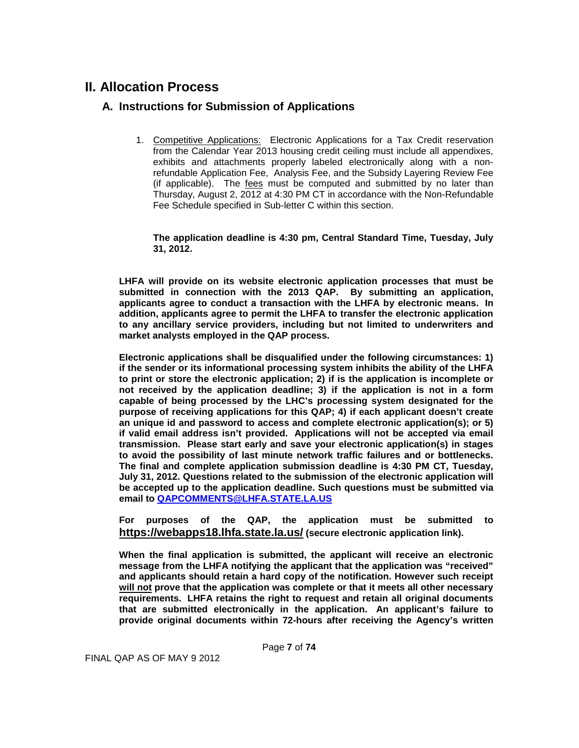# <span id="page-6-1"></span><span id="page-6-0"></span>**II. Allocation Process**

# **A. Instructions for Submission of Applications**

1. Competitive Applications: Electronic Applications for a Tax Credit reservation from the Calendar Year 2013 housing credit ceiling must include all appendixes, exhibits and attachments properly labeled electronically along with a nonrefundable Application Fee, Analysis Fee, and the Subsidy Layering Review Fee (if applicable). The fees must be computed and submitted by no later than Thursday, August 2, 2012 at 4:30 PM CT in accordance with the Non-Refundable Fee Schedule specified in Sub-letter C within this section.

**The application deadline is 4:30 pm, Central Standard Time, Tuesday, July 31, 2012.**

**LHFA will provide on its website electronic application processes that must be submitted in connection with the 2013 QAP. By submitting an application, applicants agree to conduct a transaction with the LHFA by electronic means. In addition, applicants agree to permit the LHFA to transfer the electronic application to any ancillary service providers, including but not limited to underwriters and market analysts employed in the QAP process.**

**Electronic applications shall be disqualified under the following circumstances: 1) if the sender or its informational processing system inhibits the ability of the LHFA to print or store the electronic application; 2) if is the application is incomplete or not received by the application deadline; 3) if the application is not in a form capable of being processed by the LHC's processing system designated for the purpose of receiving applications for this QAP; 4) if each applicant doesn't create an unique id and password to access and complete electronic application(s); or 5) if valid email address isn't provided. Applications will not be accepted via email transmission. Please start early and save your electronic application(s) in stages to avoid the possibility of last minute network traffic failures and or bottlenecks. The final and complete application submission deadline is 4:30 PM CT, Tuesday, July 31, 2012. Questions related to the submission of the electronic application will be accepted up to the application deadline. Such questions must be submitted via email to [QAPCOMMENTS@LHFA.STATE.LA.US](mailto:QAPCOMMENTS@LHFA.STATE.LA.US)**

**For purposes of the QAP, the application must be submitted to <https://webapps18.lhfa.state.la.us/> (secure electronic application link).**

**When the final application is submitted, the applicant will receive an electronic message from the LHFA notifying the applicant that the application was "received" and applicants should retain a hard copy of the notification. However such receipt will not prove that the application was complete or that it meets all other necessary requirements. LHFA retains the right to request and retain all original documents that are submitted electronically in the application. An applicant's failure to provide original documents within 72-hours after receiving the Agency's written**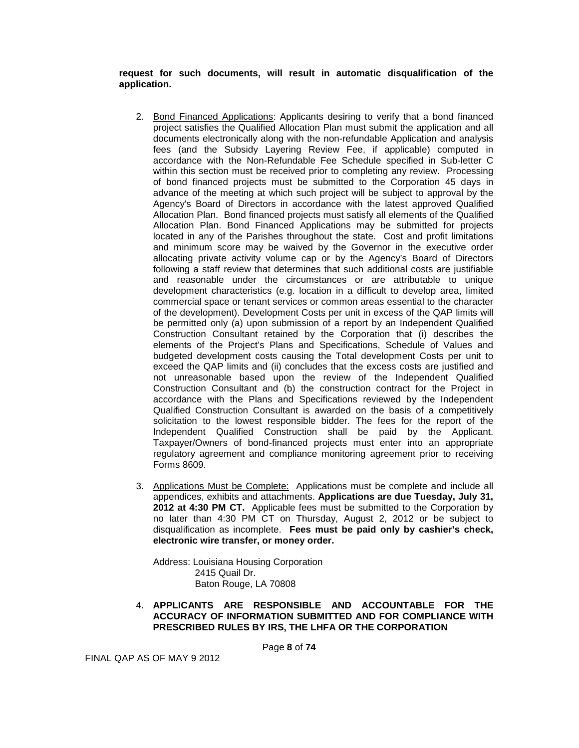**request for such documents, will result in automatic disqualification of the application.**

- 2. Bond Financed Applications: Applicants desiring to verify that a bond financed project satisfies the Qualified Allocation Plan must submit the application and all documents electronically along with the non-refundable Application and analysis fees (and the Subsidy Layering Review Fee, if applicable) computed in accordance with the Non-Refundable Fee Schedule specified in Sub-letter C within this section must be received prior to completing any review. Processing of bond financed projects must be submitted to the Corporation 45 days in advance of the meeting at which such project will be subject to approval by the Agency's Board of Directors in accordance with the latest approved Qualified Allocation Plan. Bond financed projects must satisfy all elements of the Qualified Allocation Plan. Bond Financed Applications may be submitted for projects located in any of the Parishes throughout the state. Cost and profit limitations and minimum score may be waived by the Governor in the executive order allocating private activity volume cap or by the Agency's Board of Directors following a staff review that determines that such additional costs are justifiable and reasonable under the circumstances or are attributable to unique development characteristics (e.g. location in a difficult to develop area, limited commercial space or tenant services or common areas essential to the character of the development). Development Costs per unit in excess of the QAP limits will be permitted only (a) upon submission of a report by an Independent Qualified Construction Consultant retained by the Corporation that (i) describes the elements of the Project's Plans and Specifications, Schedule of Values and budgeted development costs causing the Total development Costs per unit to exceed the QAP limits and (ii) concludes that the excess costs are justified and not unreasonable based upon the review of the Independent Qualified Construction Consultant and (b) the construction contract for the Project in accordance with the Plans and Specifications reviewed by the Independent Qualified Construction Consultant is awarded on the basis of a competitively solicitation to the lowest responsible bidder. The fees for the report of the Independent Qualified Construction shall be paid by the Applicant. Taxpayer/Owners of bond-financed projects must enter into an appropriate regulatory agreement and compliance monitoring agreement prior to receiving Forms 8609.
- 3. Applications Must be Complete: Applications must be complete and include all appendices, exhibits and attachments. **Applications are due Tuesday, July 31, 2012 at 4:30 PM CT.** Applicable fees must be submitted to the Corporation by no later than 4:30 PM CT on Thursday, August 2, 2012 or be subject to disqualification as incomplete. **Fees must be paid only by cashier's check, electronic wire transfer, or money order.**

Address: Louisiana Housing Corporation 2415 Quail Dr. Baton Rouge, LA 70808

4. **APPLICANTS ARE RESPONSIBLE AND ACCOUNTABLE FOR THE ACCURACY OF INFORMATION SUBMITTED AND FOR COMPLIANCE WITH PRESCRIBED RULES BY IRS, THE LHFA OR THE CORPORATION**

Page **8** of **74**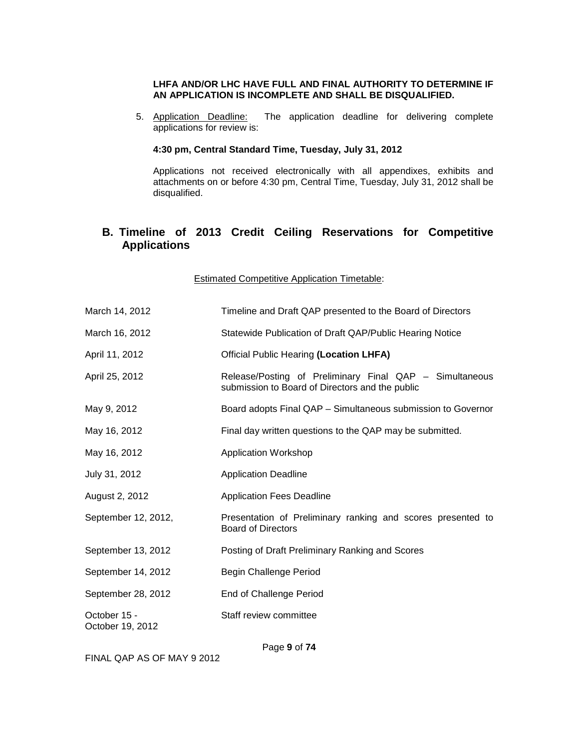#### **LHFA AND/OR LHC HAVE FULL AND FINAL AUTHORITY TO DETERMINE IF AN APPLICATION IS INCOMPLETE AND SHALL BE DISQUALIFIED.**

5. Application Deadline: The application deadline for delivering complete applications for review is:

#### **4:30 pm, Central Standard Time, Tuesday, July 31, 2012**

Applications not received electronically with all appendixes, exhibits and attachments on or before 4:30 pm, Central Time, Tuesday, July 31, 2012 shall be disqualified.

# <span id="page-8-0"></span>**B. Timeline of 2013 Credit Ceiling Reservations for Competitive Applications**

Estimated Competitive Application Timetable:

| March 14, 2012                                                             | Timeline and Draft QAP presented to the Board of Directors                                                 |
|----------------------------------------------------------------------------|------------------------------------------------------------------------------------------------------------|
| March 16, 2012<br>Statewide Publication of Draft QAP/Public Hearing Notice |                                                                                                            |
| April 11, 2012                                                             | <b>Official Public Hearing (Location LHFA)</b>                                                             |
| April 25, 2012                                                             | Release/Posting of Preliminary Final QAP - Simultaneous<br>submission to Board of Directors and the public |
| May 9, 2012                                                                | Board adopts Final QAP - Simultaneous submission to Governor                                               |
| May 16, 2012                                                               | Final day written questions to the QAP may be submitted.                                                   |
| May 16, 2012                                                               | <b>Application Workshop</b>                                                                                |
| July 31, 2012                                                              | <b>Application Deadline</b>                                                                                |
| August 2, 2012                                                             | <b>Application Fees Deadline</b>                                                                           |
| September 12, 2012,                                                        | Presentation of Preliminary ranking and scores presented to<br><b>Board of Directors</b>                   |
| September 13, 2012                                                         | Posting of Draft Preliminary Ranking and Scores                                                            |
| September 14, 2012                                                         | Begin Challenge Period                                                                                     |
| September 28, 2012                                                         | End of Challenge Period                                                                                    |
| October 15 -<br>October 19, 2012                                           | Staff review committee                                                                                     |

FINAL QAP AS OF MAY 9 2012

Page **9** of **74**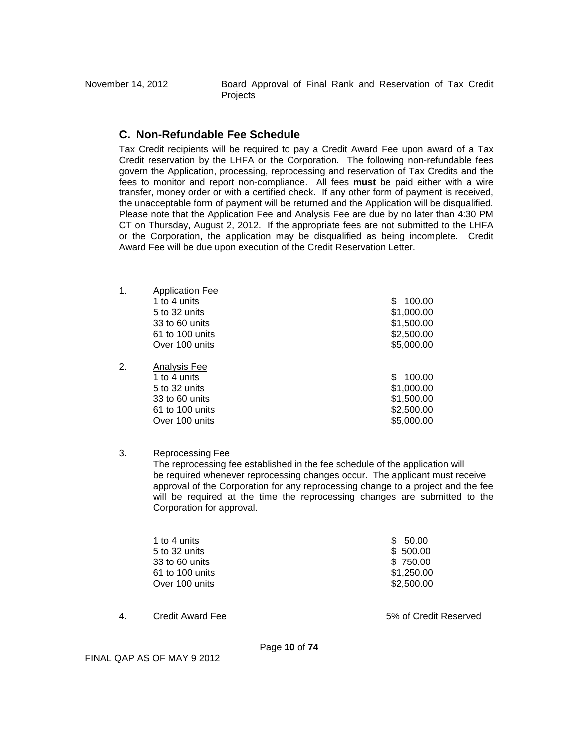November 14, 2012 Board Approval of Final Rank and Reservation of Tax Credit **Projects** 

# <span id="page-9-0"></span>**C. Non-Refundable Fee Schedule**

Tax Credit recipients will be required to pay a Credit Award Fee upon award of a Tax Credit reservation by the LHFA or the Corporation. The following non-refundable fees govern the Application, processing, reprocessing and reservation of Tax Credits and the fees to monitor and report non-compliance. All fees **must** be paid either with a wire transfer, money order or with a certified check. If any other form of payment is received, the unacceptable form of payment will be returned and the Application will be disqualified. Please note that the Application Fee and Analysis Fee are due by no later than 4:30 PM CT on Thursday, August 2, 2012. If the appropriate fees are not submitted to the LHFA or the Corporation, the application may be disqualified as being incomplete. Credit Award Fee will be due upon execution of the Credit Reservation Letter.

| $\mathbf 1$ . | <b>Application Fee</b> |               |
|---------------|------------------------|---------------|
|               | 1 to 4 units           | 100.00<br>S   |
|               | $5$ to 32 units        | \$1,000.00    |
|               | 33 to 60 units         | \$1,500.00    |
|               | 61 to 100 units        | \$2,500.00    |
|               | Over 100 units         | \$5,000.00    |
| 2.            | Analysis Fee           |               |
|               | 1 to 4 units           | 100.00<br>SS. |
|               | 5 to 32 units          | \$1,000.00    |
|               | 33 to 60 units         | \$1,500.00    |
|               | 61 to 100 units        | \$2,500.00    |
|               | Over 100 units         | \$5,000.00    |
|               |                        |               |

3. Reprocessing Fee

The reprocessing fee established in the fee schedule of the application will be required whenever reprocessing changes occur. The applicant must receive approval of the Corporation for any reprocessing change to a project and the fee will be required at the time the reprocessing changes are submitted to the Corporation for approval.

| 1 to 4 units    | \$50.00    |
|-----------------|------------|
| 5 to 32 units   | \$500.00   |
| 33 to 60 units  | \$750.00   |
| 61 to 100 units | \$1,250.00 |
| Over 100 units  | \$2,500.00 |
|                 |            |

4. Credit Award Fee 5% of Credit Reserved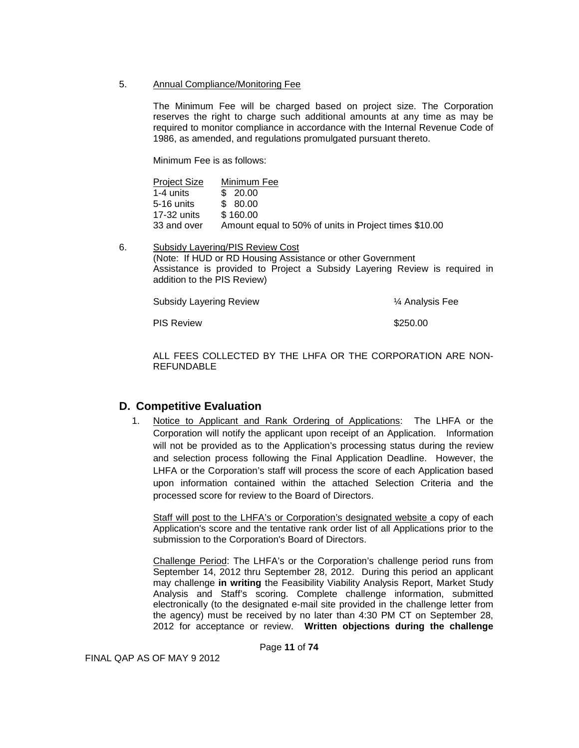5. Annual Compliance/Monitoring Fee

The Minimum Fee will be charged based on project size. The Corporation reserves the right to charge such additional amounts at any time as may be required to monitor compliance in accordance with the Internal Revenue Code of 1986, as amended, and regulations promulgated pursuant thereto.

Minimum Fee is as follows:

| <b>Project Size</b> | Minimum Fee                                           |
|---------------------|-------------------------------------------------------|
| 1-4 units           | \$20.00                                               |
| 5-16 units          | \$ 80.00                                              |
| 17-32 units         | \$160.00                                              |
| 33 and over         | Amount equal to 50% of units in Project times \$10.00 |

6. Subsidy Layering/PIS Review Cost (Note: If HUD or RD Housing Assistance or other Government Assistance is provided to Project a Subsidy Layering Review is required in addition to the PIS Review)

Subsidy Layering Review **X** Analysis Fee

PIS Review  $$250.00$ 

ALL FEES COLLECTED BY THE LHFA OR THE CORPORATION ARE NON-REFUNDABLE

# <span id="page-10-0"></span>**D. Competitive Evaluation**

1. Notice to Applicant and Rank Ordering of Applications: The LHFA or the Corporation will notify the applicant upon receipt of an Application. Information will not be provided as to the Application's processing status during the review and selection process following the Final Application Deadline. However, the LHFA or the Corporation's staff will process the score of each Application based upon information contained within the attached Selection Criteria and the processed score for review to the Board of Directors.

Staff will post to the LHFA's or Corporation's designated website a copy of each Application's score and the tentative rank order list of all Applications prior to the submission to the Corporation's Board of Directors.

Challenge Period: The LHFA's or the Corporation's challenge period runs from September 14, 2012 thru September 28, 2012. During this period an applicant may challenge **in writing** the Feasibility Viability Analysis Report, Market Study Analysis and Staff's scoring. Complete challenge information, submitted electronically (to the designated e-mail site provided in the challenge letter from the agency) must be received by no later than 4:30 PM CT on September 28, 2012 for acceptance or review. **Written objections during the challenge**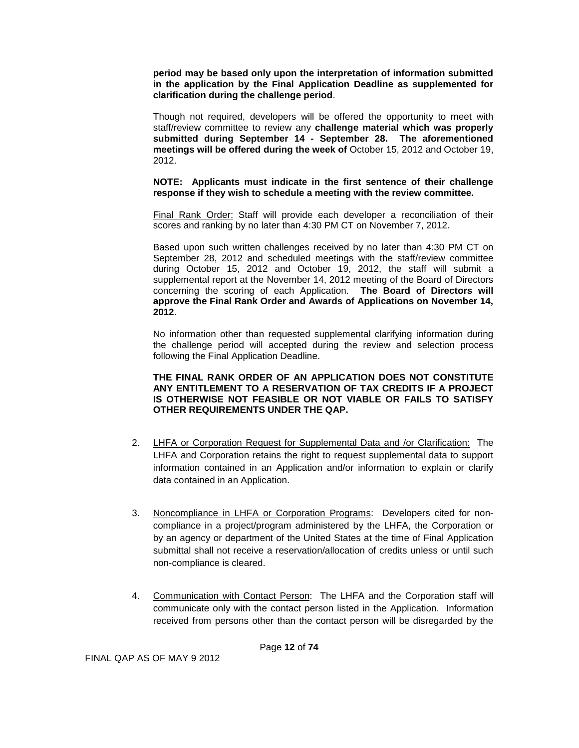**period may be based only upon the interpretation of information submitted in the application by the Final Application Deadline as supplemented for clarification during the challenge period**.

Though not required, developers will be offered the opportunity to meet with staff/review committee to review any **challenge material which was properly submitted during September 14 - September 28. The aforementioned meetings will be offered during the week of** October 15, 2012 and October 19, 2012.

**NOTE: Applicants must indicate in the first sentence of their challenge response if they wish to schedule a meeting with the review committee.**

Final Rank Order: Staff will provide each developer a reconciliation of their scores and ranking by no later than 4:30 PM CT on November 7, 2012.

Based upon such written challenges received by no later than 4:30 PM CT on September 28, 2012 and scheduled meetings with the staff/review committee during October 15, 2012 and October 19, 2012, the staff will submit a supplemental report at the November 14, 2012 meeting of the Board of Directors concerning the scoring of each Application. **The Board of Directors will approve the Final Rank Order and Awards of Applications on November 14, 2012**.

No information other than requested supplemental clarifying information during the challenge period will accepted during the review and selection process following the Final Application Deadline.

#### **THE FINAL RANK ORDER OF AN APPLICATION DOES NOT CONSTITUTE ANY ENTITLEMENT TO A RESERVATION OF TAX CREDITS IF A PROJECT IS OTHERWISE NOT FEASIBLE OR NOT VIABLE OR FAILS TO SATISFY OTHER REQUIREMENTS UNDER THE QAP.**

- 2. LHFA or Corporation Request for Supplemental Data and /or Clarification: The LHFA and Corporation retains the right to request supplemental data to support information contained in an Application and/or information to explain or clarify data contained in an Application.
- 3. Noncompliance in LHFA or Corporation Programs: Developers cited for noncompliance in a project/program administered by the LHFA, the Corporation or by an agency or department of the United States at the time of Final Application submittal shall not receive a reservation/allocation of credits unless or until such non-compliance is cleared.
- 4. Communication with Contact Person: The LHFA and the Corporation staff will communicate only with the contact person listed in the Application. Information received from persons other than the contact person will be disregarded by the

Page **12** of **74**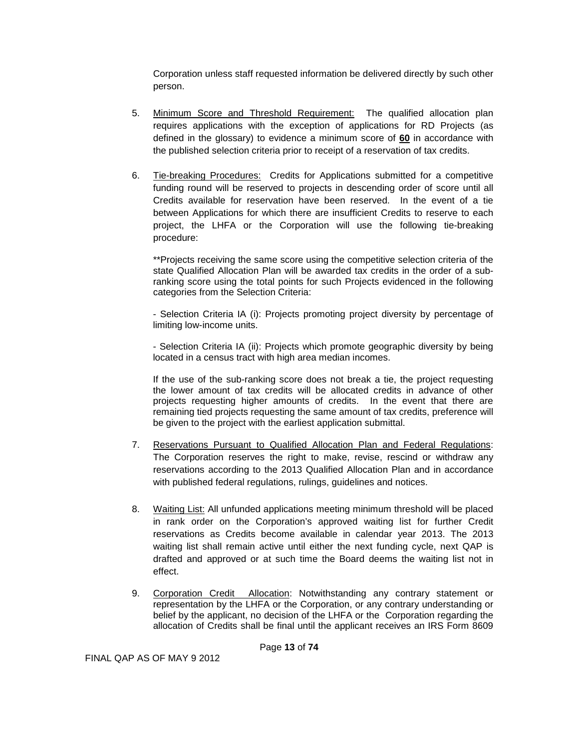Corporation unless staff requested information be delivered directly by such other person.

- 5. Minimum Score and Threshold Requirement: The qualified allocation plan requires applications with the exception of applications for RD Projects (as defined in the glossary) to evidence a minimum score of **60** in accordance with the published selection criteria prior to receipt of a reservation of tax credits.
- 6. Tie-breaking Procedures: Credits for Applications submitted for a competitive funding round will be reserved to projects in descending order of score until all Credits available for reservation have been reserved. In the event of a tie between Applications for which there are insufficient Credits to reserve to each project, the LHFA or the Corporation will use the following tie-breaking procedure:

\*\*Projects receiving the same score using the competitive selection criteria of the state Qualified Allocation Plan will be awarded tax credits in the order of a subranking score using the total points for such Projects evidenced in the following categories from the Selection Criteria:

- Selection Criteria IA (i): Projects promoting project diversity by percentage of limiting low-income units.

- Selection Criteria IA (ii): Projects which promote geographic diversity by being located in a census tract with high area median incomes.

If the use of the sub-ranking score does not break a tie, the project requesting the lower amount of tax credits will be allocated credits in advance of other projects requesting higher amounts of credits. In the event that there are remaining tied projects requesting the same amount of tax credits, preference will be given to the project with the earliest application submittal.

- 7. Reservations Pursuant to Qualified Allocation Plan and Federal Regulations: The Corporation reserves the right to make, revise, rescind or withdraw any reservations according to the 2013 Qualified Allocation Plan and in accordance with published federal regulations, rulings, guidelines and notices.
- 8. Waiting List: All unfunded applications meeting minimum threshold will be placed in rank order on the Corporation's approved waiting list for further Credit reservations as Credits become available in calendar year 2013. The 2013 waiting list shall remain active until either the next funding cycle, next QAP is drafted and approved or at such time the Board deems the waiting list not in effect.
- 9. Corporation Credit Allocation: Notwithstanding any contrary statement or representation by the LHFA or the Corporation, or any contrary understanding or belief by the applicant, no decision of the LHFA or the Corporation regarding the allocation of Credits shall be final until the applicant receives an IRS Form 8609

Page **13** of **74**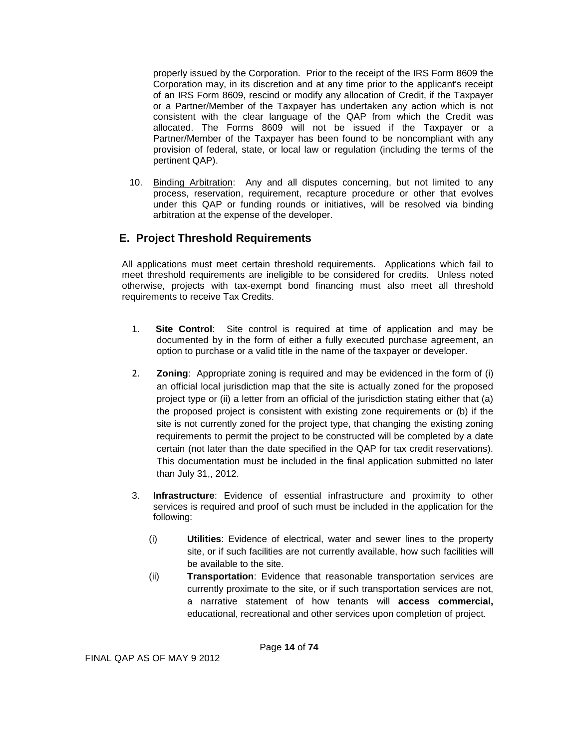properly issued by the Corporation. Prior to the receipt of the IRS Form 8609 the Corporation may, in its discretion and at any time prior to the applicant's receipt of an IRS Form 8609, rescind or modify any allocation of Credit, if the Taxpayer or a Partner/Member of the Taxpayer has undertaken any action which is not consistent with the clear language of the QAP from which the Credit was allocated. The Forms 8609 will not be issued if the Taxpayer or a Partner/Member of the Taxpayer has been found to be noncompliant with any provision of federal, state, or local law or regulation (including the terms of the pertinent QAP).

 10. Binding Arbitration: Any and all disputes concerning, but not limited to any process, reservation, requirement, recapture procedure or other that evolves under this QAP or funding rounds or initiatives, will be resolved via binding arbitration at the expense of the developer.

# <span id="page-13-0"></span>**E. Project Threshold Requirements**

All applications must meet certain threshold requirements. Applications which fail to meet threshold requirements are ineligible to be considered for credits. Unless noted otherwise, projects with tax-exempt bond financing must also meet all threshold requirements to receive Tax Credits.

- 1. **Site Control**: Site control is required at time of application and may be documented by in the form of either a fully executed purchase agreement, an option to purchase or a valid title in the name of the taxpayer or developer.
- 2. **Zoning**: Appropriate zoning is required and may be evidenced in the form of (i) an official local jurisdiction map that the site is actually zoned for the proposed project type or (ii) a letter from an official of the jurisdiction stating either that (a) the proposed project is consistent with existing zone requirements or (b) if the site is not currently zoned for the project type, that changing the existing zoning requirements to permit the project to be constructed will be completed by a date certain (not later than the date specified in the QAP for tax credit reservations). This documentation must be included in the final application submitted no later than July 31,, 2012.
- 3. **Infrastructure**: Evidence of essential infrastructure and proximity to other services is required and proof of such must be included in the application for the following:
	- (i) **Utilities**: Evidence of electrical, water and sewer lines to the property site, or if such facilities are not currently available, how such facilities will be available to the site.
	- (ii) **Transportation**: Evidence that reasonable transportation services are currently proximate to the site, or if such transportation services are not, a narrative statement of how tenants will **access commercial,** educational, recreational and other services upon completion of project.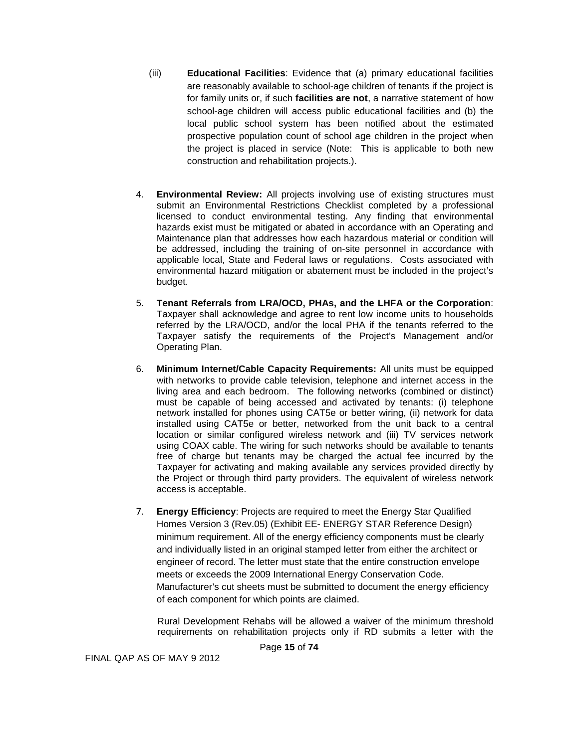- (iii) **Educational Facilities**: Evidence that (a) primary educational facilities are reasonably available to school-age children of tenants if the project is for family units or, if such **facilities are not**, a narrative statement of how school-age children will access public educational facilities and (b) the local public school system has been notified about the estimated prospective population count of school age children in the project when the project is placed in service (Note: This is applicable to both new construction and rehabilitation projects.).
- 4. **Environmental Review:** All projects involving use of existing structures must submit an Environmental Restrictions Checklist completed by a professional licensed to conduct environmental testing. Any finding that environmental hazards exist must be mitigated or abated in accordance with an Operating and Maintenance plan that addresses how each hazardous material or condition will be addressed, including the training of on-site personnel in accordance with applicable local, State and Federal laws or regulations. Costs associated with environmental hazard mitigation or abatement must be included in the project's budget.
- 5. **Tenant Referrals from LRA/OCD, PHAs, and the LHFA or the Corporation**: Taxpayer shall acknowledge and agree to rent low income units to households referred by the LRA/OCD, and/or the local PHA if the tenants referred to the Taxpayer satisfy the requirements of the Project's Management and/or Operating Plan.
- 6. **Minimum Internet/Cable Capacity Requirements:** All units must be equipped with networks to provide cable television, telephone and internet access in the living area and each bedroom. The following networks (combined or distinct) must be capable of being accessed and activated by tenants: (i) telephone network installed for phones using CAT5e or better wiring, (ii) network for data installed using CAT5e or better, networked from the unit back to a central location or similar configured wireless network and (iii) TV services network using COAX cable. The wiring for such networks should be available to tenants free of charge but tenants may be charged the actual fee incurred by the Taxpayer for activating and making available any services provided directly by the Project or through third party providers. The equivalent of wireless network access is acceptable.
- 7. **Energy Efficiency**: Projects are required to meet the Energy Star Qualified Homes Version 3 (Rev.05) (Exhibit EE- ENERGY STAR Reference Design) minimum requirement. All of the energy efficiency components must be clearly and individually listed in an original stamped letter from either the architect or engineer of record. The letter must state that the entire construction envelope meets or exceeds the 2009 International Energy Conservation Code. Manufacturer's cut sheets must be submitted to document the energy efficiency of each component for which points are claimed.

Rural Development Rehabs will be allowed a waiver of the minimum threshold requirements on rehabilitation projects only if RD submits a letter with the

Page **15** of **74**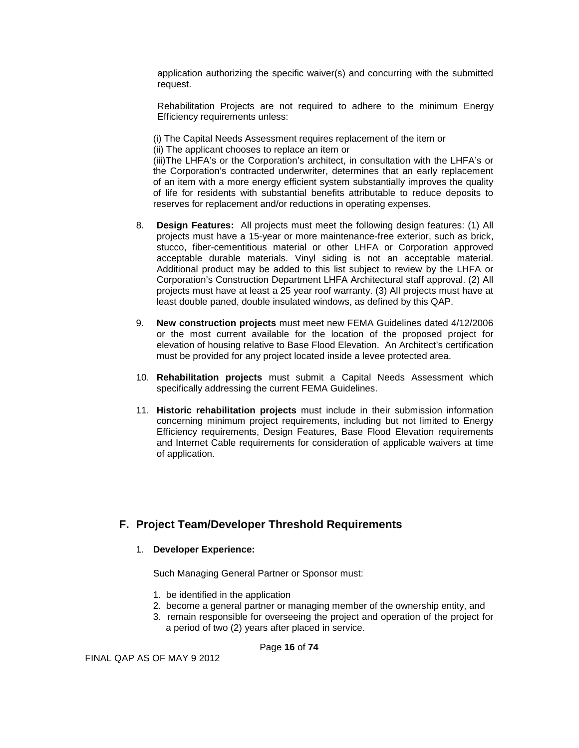application authorizing the specific waiver(s) and concurring with the submitted request.

Rehabilitation Projects are not required to adhere to the minimum Energy Efficiency requirements unless:

(i) The Capital Needs Assessment requires replacement of the item or

(ii) The applicant chooses to replace an item or

(iii)The LHFA's or the Corporation's architect, in consultation with the LHFA's or the Corporation's contracted underwriter, determines that an early replacement of an item with a more energy efficient system substantially improves the quality of life for residents with substantial benefits attributable to reduce deposits to reserves for replacement and/or reductions in operating expenses.

- 8. **Design Features:** All projects must meet the following design features: (1) All projects must have a 15-year or more maintenance-free exterior, such as brick, stucco, fiber-cementitious material or other LHFA or Corporation approved acceptable durable materials. Vinyl siding is not an acceptable material. Additional product may be added to this list subject to review by the LHFA or Corporation's Construction Department LHFA Architectural staff approval. (2) All projects must have at least a 25 year roof warranty. (3) All projects must have at least double paned, double insulated windows, as defined by this QAP.
- 9. **New construction projects** must meet new FEMA Guidelines dated 4/12/2006 or the most current available for the location of the proposed project for elevation of housing relative to Base Flood Elevation. An Architect's certification must be provided for any project located inside a levee protected area.
- 10. **Rehabilitation projects** must submit a Capital Needs Assessment which specifically addressing the current FEMA Guidelines.
- 11. **Historic rehabilitation projects** must include in their submission information concerning minimum project requirements, including but not limited to Energy Efficiency requirements, Design Features, Base Flood Elevation requirements and Internet Cable requirements for consideration of applicable waivers at time of application.

# <span id="page-15-0"></span>**F. Project Team/Developer Threshold Requirements**

#### 1. **Developer Experience:**

Such Managing General Partner or Sponsor must:

- 1. be identified in the application
- 2. become a general partner or managing member of the ownership entity, and
- 3. remain responsible for overseeing the project and operation of the project for a period of two (2) years after placed in service.

Page **16** of **74**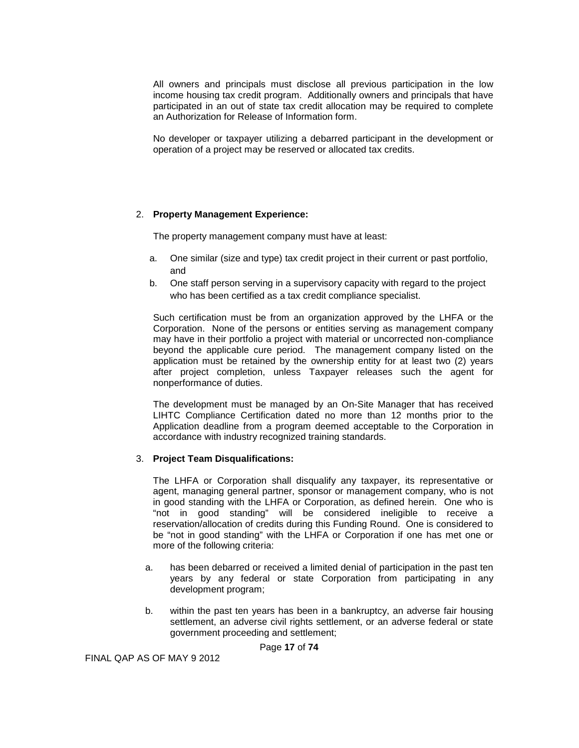All owners and principals must disclose all previous participation in the low income housing tax credit program. Additionally owners and principals that have participated in an out of state tax credit allocation may be required to complete an Authorization for Release of Information form.

No developer or taxpayer utilizing a debarred participant in the development or operation of a project may be reserved or allocated tax credits.

#### 2. **Property Management Experience:**

The property management company must have at least:

- a. One similar (size and type) tax credit project in their current or past portfolio, and
- b. One staff person serving in a supervisory capacity with regard to the project who has been certified as a tax credit compliance specialist.

Such certification must be from an organization approved by the LHFA or the Corporation. None of the persons or entities serving as management company may have in their portfolio a project with material or uncorrected non-compliance beyond the applicable cure period. The management company listed on the application must be retained by the ownership entity for at least two (2) years after project completion, unless Taxpayer releases such the agent for nonperformance of duties.

The development must be managed by an On-Site Manager that has received LIHTC Compliance Certification dated no more than 12 months prior to the Application deadline from a program deemed acceptable to the Corporation in accordance with industry recognized training standards.

#### 3. **Project Team Disqualifications:**

The LHFA or Corporation shall disqualify any taxpayer, its representative or agent, managing general partner, sponsor or management company, who is not in good standing with the LHFA or Corporation, as defined herein. One who is "not in good standing" will be considered ineligible to receive a reservation/allocation of credits during this Funding Round. One is considered to be "not in good standing" with the LHFA or Corporation if one has met one or more of the following criteria:

- a. has been debarred or received a limited denial of participation in the past ten years by any federal or state Corporation from participating in any development program;
- b. within the past ten years has been in a bankruptcy, an adverse fair housing settlement, an adverse civil rights settlement, or an adverse federal or state government proceeding and settlement;

Page **17** of **74**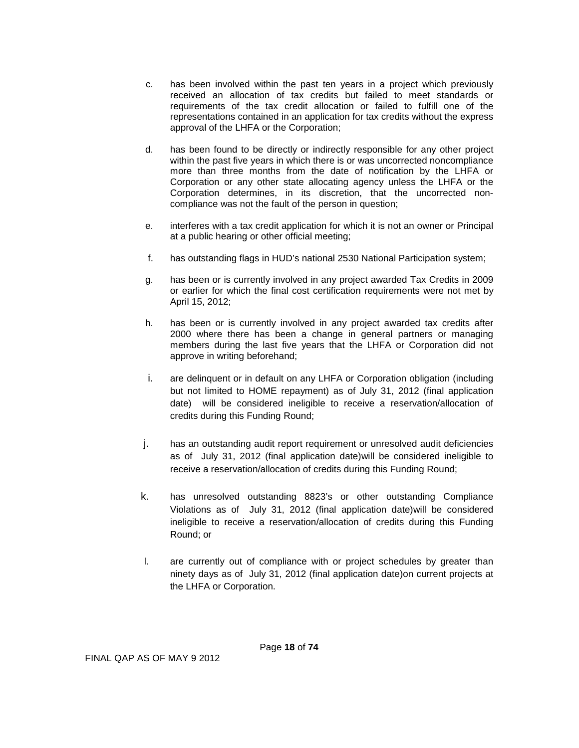- c. has been involved within the past ten years in a project which previously received an allocation of tax credits but failed to meet standards or requirements of the tax credit allocation or failed to fulfill one of the representations contained in an application for tax credits without the express approval of the LHFA or the Corporation;
- d. has been found to be directly or indirectly responsible for any other project within the past five years in which there is or was uncorrected noncompliance more than three months from the date of notification by the LHFA or Corporation or any other state allocating agency unless the LHFA or the Corporation determines, in its discretion, that the uncorrected noncompliance was not the fault of the person in question;
- e. interferes with a tax credit application for which it is not an owner or Principal at a public hearing or other official meeting;
- f. has outstanding flags in HUD's national 2530 National Participation system;
- g. has been or is currently involved in any project awarded Tax Credits in 2009 or earlier for which the final cost certification requirements were not met by April 15, 2012;
- h. has been or is currently involved in any project awarded tax credits after 2000 where there has been a change in general partners or managing members during the last five years that the LHFA or Corporation did not approve in writing beforehand;
- i. are delinquent or in default on any LHFA or Corporation obligation (including but not limited to HOME repayment) as of July 31, 2012 (final application date) will be considered ineligible to receive a reservation/allocation of credits during this Funding Round;
- j. has an outstanding audit report requirement or unresolved audit deficiencies as of July 31, 2012 (final application date)will be considered ineligible to receive a reservation/allocation of credits during this Funding Round;
- k. has unresolved outstanding 8823's or other outstanding Compliance Violations as of July 31, 2012 (final application date)will be considered ineligible to receive a reservation/allocation of credits during this Funding Round; or
- l. are currently out of compliance with or project schedules by greater than ninety days as of July 31, 2012 (final application date)on current projects at the LHFA or Corporation.

Page **18** of **74**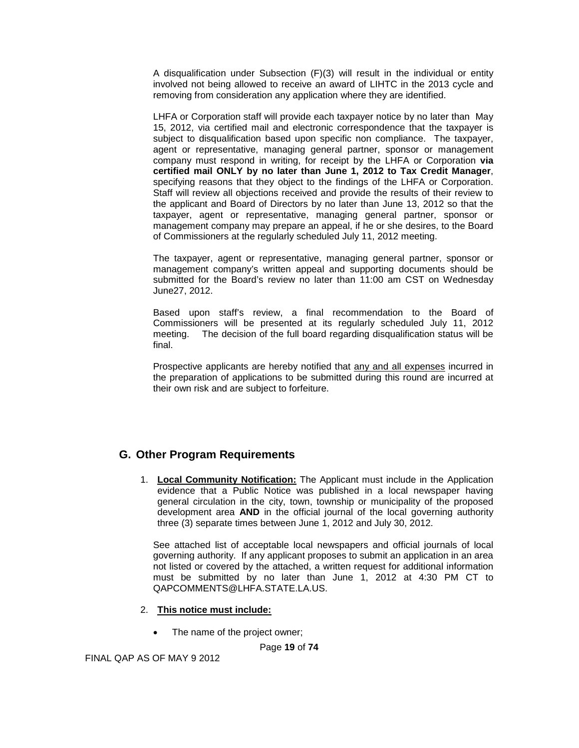A disqualification under Subsection (F)(3) will result in the individual or entity involved not being allowed to receive an award of LIHTC in the 2013 cycle and removing from consideration any application where they are identified.

LHFA or Corporation staff will provide each taxpayer notice by no later than May 15, 2012, via certified mail and electronic correspondence that the taxpayer is subject to disqualification based upon specific non compliance. The taxpayer, agent or representative, managing general partner, sponsor or management company must respond in writing, for receipt by the LHFA or Corporation **via certified mail ONLY by no later than June 1, 2012 to Tax Credit Manager**, specifying reasons that they object to the findings of the LHFA or Corporation. Staff will review all objections received and provide the results of their review to the applicant and Board of Directors by no later than June 13, 2012 so that the taxpayer, agent or representative, managing general partner, sponsor or management company may prepare an appeal, if he or she desires, to the Board of Commissioners at the regularly scheduled July 11, 2012 meeting.

The taxpayer, agent or representative, managing general partner, sponsor or management company's written appeal and supporting documents should be submitted for the Board's review no later than 11:00 am CST on Wednesday June27, 2012.

Based upon staff's review, a final recommendation to the Board of Commissioners will be presented at its regularly scheduled July 11, 2012 meeting. The decision of the full board regarding disqualification status will be final.

Prospective applicants are hereby notified that any and all expenses incurred in the preparation of applications to be submitted during this round are incurred at their own risk and are subject to forfeiture.

# <span id="page-18-0"></span>**G. Other Program Requirements**

1. **Local Community Notification:** The Applicant must include in the Application evidence that a Public Notice was published in a local newspaper having general circulation in the city, town, township or municipality of the proposed development area **AND** in the official journal of the local governing authority three (3) separate times between June 1, 2012 and July 30, 2012.

See attached list of acceptable local newspapers and official journals of local governing authority. If any applicant proposes to submit an application in an area not listed or covered by the attached, a written request for additional information must be submitted by no later than June 1, 2012 at 4:30 PM CT to QAPCOMMENTS@LHFA.STATE.LA.US.

#### 2. **This notice must include:**

• The name of the project owner;

Page **19** of **74**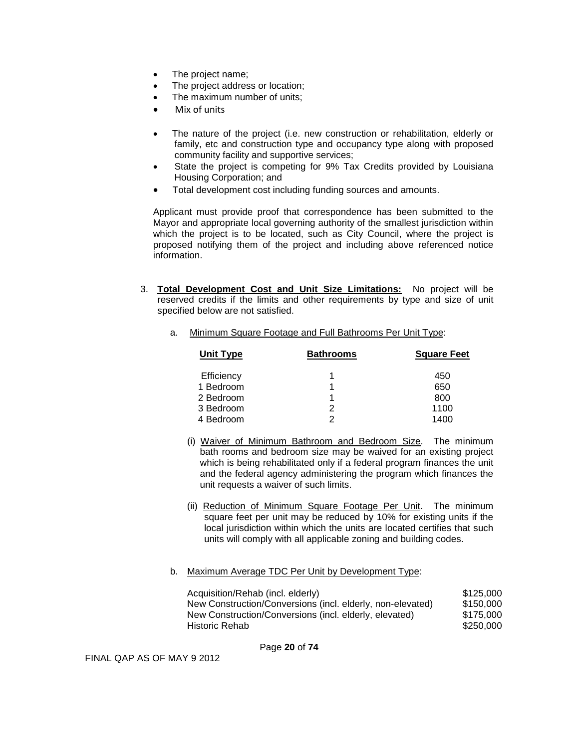- The project name;
- The project address or location;
- The maximum number of units:
- Mix of units
- The nature of the project (i.e. new construction or rehabilitation, elderly or family, etc and construction type and occupancy type along with proposed community facility and supportive services;
- State the project is competing for 9% Tax Credits provided by Louisiana Housing Corporation; and
- Total development cost including funding sources and amounts.

Applicant must provide proof that correspondence has been submitted to the Mayor and appropriate local governing authority of the smallest jurisdiction within which the project is to be located, such as City Council, where the project is proposed notifying them of the project and including above referenced notice information.

3. **Total Development Cost and Unit Size Limitations:** No project will be reserved credits if the limits and other requirements by type and size of unit specified below are not satisfied.

| Unit Type  | <b>Bathrooms</b> | <b>Square Feet</b> |
|------------|------------------|--------------------|
| Efficiency |                  | 450                |
| 1 Bedroom  |                  | 650                |
| 2 Bedroom  |                  | 800                |
| 3 Bedroom  | 2                | 1100               |
| 4 Bedroom  |                  | 1400               |

a. Minimum Square Footage and Full Bathrooms Per Unit Type:

- (i) Waiver of Minimum Bathroom and Bedroom Size. The minimum bath rooms and bedroom size may be waived for an existing project which is being rehabilitated only if a federal program finances the unit and the federal agency administering the program which finances the unit requests a waiver of such limits.
- (ii) Reduction of Minimum Square Footage Per Unit. The minimum square feet per unit may be reduced by 10% for existing units if the local jurisdiction within which the units are located certifies that such units will comply with all applicable zoning and building codes.

#### b. Maximum Average TDC Per Unit by Development Type:

| Acquisition/Rehab (incl. elderly)                          | \$125,000 |
|------------------------------------------------------------|-----------|
| New Construction/Conversions (incl. elderly, non-elevated) | \$150,000 |
| New Construction/Conversions (incl. elderly, elevated)     | \$175,000 |
| Historic Rehab                                             | \$250,000 |

Page **20** of **74**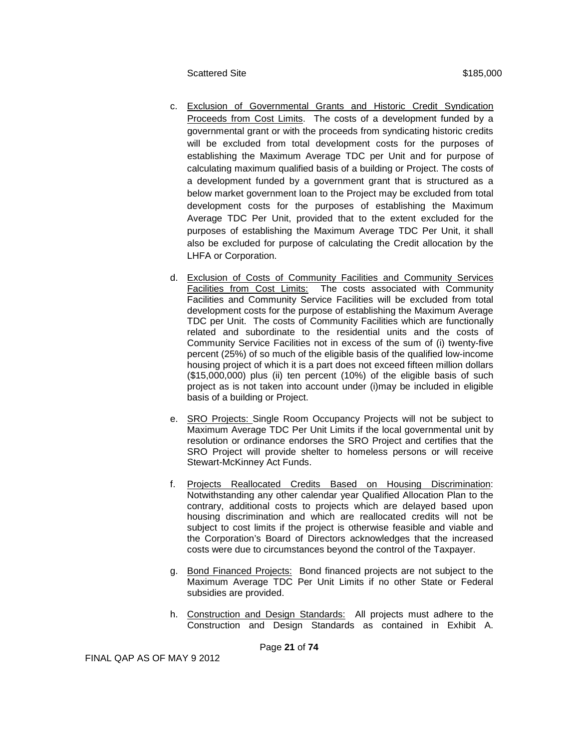- c. Exclusion of Governmental Grants and Historic Credit Syndication Proceeds from Cost Limits. The costs of a development funded by a governmental grant or with the proceeds from syndicating historic credits will be excluded from total development costs for the purposes of establishing the Maximum Average TDC per Unit and for purpose of calculating maximum qualified basis of a building or Project. The costs of a development funded by a government grant that is structured as a below market government loan to the Project may be excluded from total development costs for the purposes of establishing the Maximum Average TDC Per Unit, provided that to the extent excluded for the purposes of establishing the Maximum Average TDC Per Unit, it shall also be excluded for purpose of calculating the Credit allocation by the LHFA or Corporation.
- d. Exclusion of Costs of Community Facilities and Community Services Facilities from Cost Limits: The costs associated with Community Facilities and Community Service Facilities will be excluded from total development costs for the purpose of establishing the Maximum Average TDC per Unit. The costs of Community Facilities which are functionally related and subordinate to the residential units and the costs of Community Service Facilities not in excess of the sum of (i) twenty-five percent (25%) of so much of the eligible basis of the qualified low-income housing project of which it is a part does not exceed fifteen million dollars (\$15,000,000) plus (ii) ten percent (10%) of the eligible basis of such project as is not taken into account under (i)may be included in eligible basis of a building or Project.
- e. SRO Projects: Single Room Occupancy Projects will not be subject to Maximum Average TDC Per Unit Limits if the local governmental unit by resolution or ordinance endorses the SRO Project and certifies that the SRO Project will provide shelter to homeless persons or will receive Stewart-McKinney Act Funds.
- f. Projects Reallocated Credits Based on Housing Discrimination: Notwithstanding any other calendar year Qualified Allocation Plan to the contrary, additional costs to projects which are delayed based upon housing discrimination and which are reallocated credits will not be subject to cost limits if the project is otherwise feasible and viable and the Corporation's Board of Directors acknowledges that the increased costs were due to circumstances beyond the control of the Taxpayer.
- g. Bond Financed Projects: Bond financed projects are not subject to the Maximum Average TDC Per Unit Limits if no other State or Federal subsidies are provided.
- h. Construction and Design Standards: All projects must adhere to the Construction and Design Standards as contained in Exhibit A.

Page **21** of **74**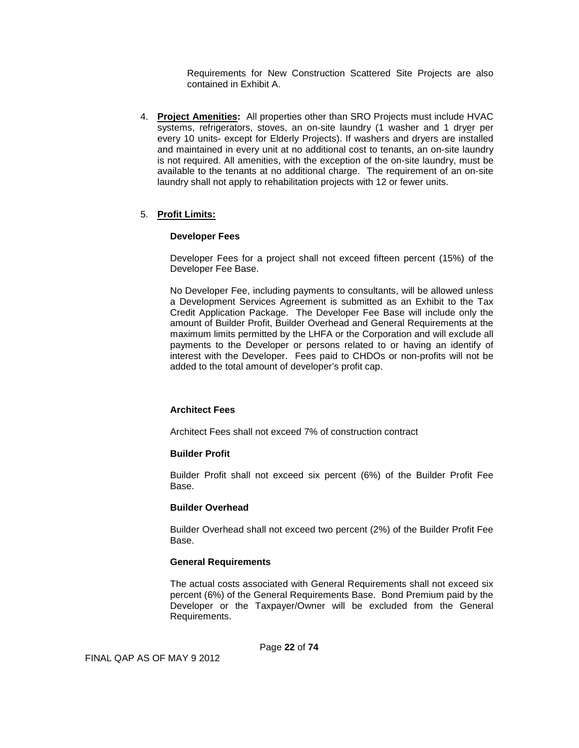Requirements for New Construction Scattered Site Projects are also contained in Exhibit A.

4. **Project Amenities:** All properties other than SRO Projects must include HVAC systems, refrigerators, stoves, an on-site laundry (1 washer and 1 dryer per every 10 units- except for Elderly Projects). If washers and dryers are installed and maintained in every unit at no additional cost to tenants, an on-site laundry is not required. All amenities, with the exception of the on-site laundry, must be available to the tenants at no additional charge. The requirement of an on-site laundry shall not apply to rehabilitation projects with 12 or fewer units.

#### 5. **Profit Limits:**

#### **Developer Fees**

Developer Fees for a project shall not exceed fifteen percent (15%) of the Developer Fee Base.

No Developer Fee, including payments to consultants, will be allowed unless a Development Services Agreement is submitted as an Exhibit to the Tax Credit Application Package. The Developer Fee Base will include only the amount of Builder Profit, Builder Overhead and General Requirements at the maximum limits permitted by the LHFA or the Corporation and will exclude all payments to the Developer or persons related to or having an identify of interest with the Developer. Fees paid to CHDOs or non-profits will not be added to the total amount of developer's profit cap.

#### **Architect Fees**

Architect Fees shall not exceed 7% of construction contract

#### **Builder Profit**

Builder Profit shall not exceed six percent (6%) of the Builder Profit Fee Base.

#### **Builder Overhead**

Builder Overhead shall not exceed two percent (2%) of the Builder Profit Fee Base.

#### **General Requirements**

The actual costs associated with General Requirements shall not exceed six percent (6%) of the General Requirements Base. Bond Premium paid by the Developer or the Taxpayer/Owner will be excluded from the General Requirements.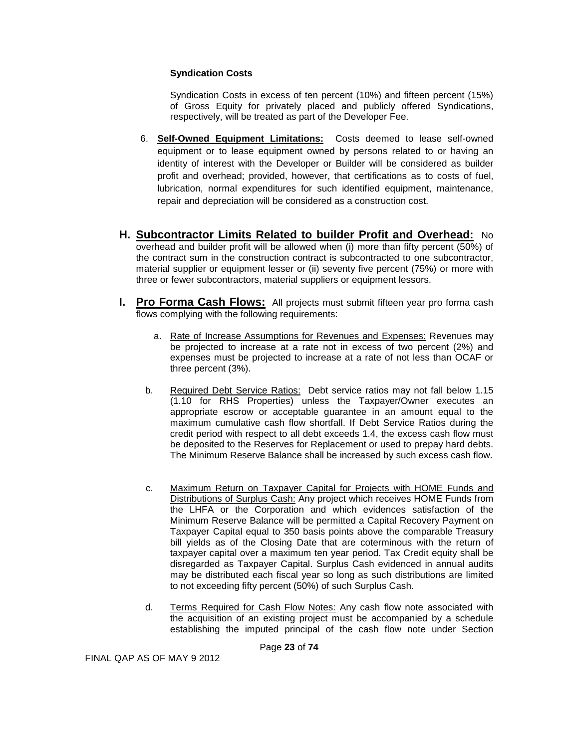### **Syndication Costs**

Syndication Costs in excess of ten percent (10%) and fifteen percent (15%) of Gross Equity for privately placed and publicly offered Syndications, respectively, will be treated as part of the Developer Fee.

- 6. **Self-Owned Equipment Limitations:** Costs deemed to lease self-owned equipment or to lease equipment owned by persons related to or having an identity of interest with the Developer or Builder will be considered as builder profit and overhead; provided, however, that certifications as to costs of fuel, lubrication, normal expenditures for such identified equipment, maintenance, repair and depreciation will be considered as a construction cost.
- **H. Subcontractor Limits Related to builder Profit and Overhead:** No overhead and builder profit will be allowed when (i) more than fifty percent (50%) of the contract sum in the construction contract is subcontracted to one subcontractor, material supplier or equipment lesser or (ii) seventy five percent (75%) or more with three or fewer subcontractors, material suppliers or equipment lessors.
- **I. Pro Forma Cash Flows:** All projects must submit fifteen year pro forma cash flows complying with the following requirements:
	- a. Rate of Increase Assumptions for Revenues and Expenses: Revenues may be projected to increase at a rate not in excess of two percent (2%) and expenses must be projected to increase at a rate of not less than OCAF or three percent (3%).
	- b. Required Debt Service Ratios: Debt service ratios may not fall below 1.15 (1.10 for RHS Properties) unless the Taxpayer/Owner executes an appropriate escrow or acceptable guarantee in an amount equal to the maximum cumulative cash flow shortfall. If Debt Service Ratios during the credit period with respect to all debt exceeds 1.4, the excess cash flow must be deposited to the Reserves for Replacement or used to prepay hard debts. The Minimum Reserve Balance shall be increased by such excess cash flow.
	- c. Maximum Return on Taxpayer Capital for Projects with HOME Funds and Distributions of Surplus Cash: Any project which receives HOME Funds from the LHFA or the Corporation and which evidences satisfaction of the Minimum Reserve Balance will be permitted a Capital Recovery Payment on Taxpayer Capital equal to 350 basis points above the comparable Treasury bill yields as of the Closing Date that are coterminous with the return of taxpayer capital over a maximum ten year period. Tax Credit equity shall be disregarded as Taxpayer Capital. Surplus Cash evidenced in annual audits may be distributed each fiscal year so long as such distributions are limited to not exceeding fifty percent (50%) of such Surplus Cash.
	- d. Terms Required for Cash Flow Notes: Any cash flow note associated with the acquisition of an existing project must be accompanied by a schedule establishing the imputed principal of the cash flow note under Section

Page **23** of **74**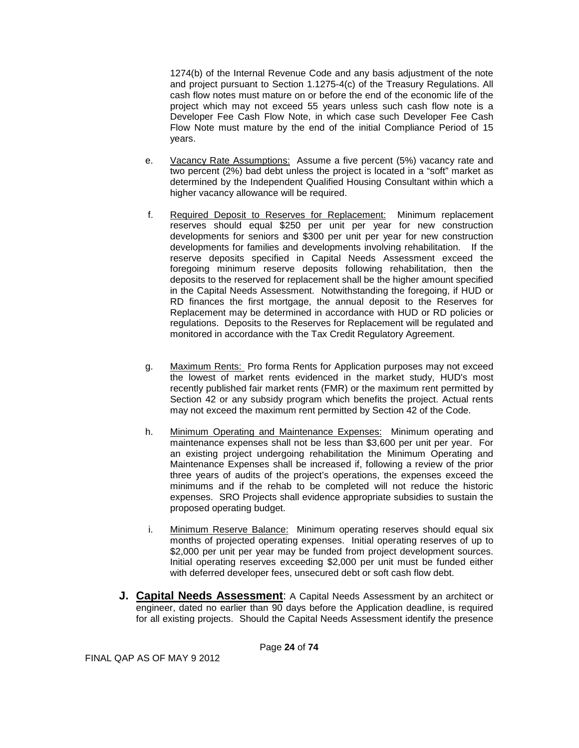1274(b) of the Internal Revenue Code and any basis adjustment of the note and project pursuant to Section 1.1275-4(c) of the Treasury Regulations. All cash flow notes must mature on or before the end of the economic life of the project which may not exceed 55 years unless such cash flow note is a Developer Fee Cash Flow Note, in which case such Developer Fee Cash Flow Note must mature by the end of the initial Compliance Period of 15 years.

- e. Vacancy Rate Assumptions: Assume a five percent (5%) vacancy rate and two percent (2%) bad debt unless the project is located in a "soft" market as determined by the Independent Qualified Housing Consultant within which a higher vacancy allowance will be required.
- f. Required Deposit to Reserves for Replacement: Minimum replacement reserves should equal \$250 per unit per year for new construction developments for seniors and \$300 per unit per year for new construction developments for families and developments involving rehabilitation. If the reserve deposits specified in Capital Needs Assessment exceed the foregoing minimum reserve deposits following rehabilitation, then the deposits to the reserved for replacement shall be the higher amount specified in the Capital Needs Assessment. Notwithstanding the foregoing, if HUD or RD finances the first mortgage, the annual deposit to the Reserves for Replacement may be determined in accordance with HUD or RD policies or regulations. Deposits to the Reserves for Replacement will be regulated and monitored in accordance with the Tax Credit Regulatory Agreement.
- g. Maximum Rents: Pro forma Rents for Application purposes may not exceed the lowest of market rents evidenced in the market study, HUD's most recently published fair market rents (FMR) or the maximum rent permitted by Section 42 or any subsidy program which benefits the project. Actual rents may not exceed the maximum rent permitted by Section 42 of the Code.
- h. Minimum Operating and Maintenance Expenses: Minimum operating and maintenance expenses shall not be less than \$3,600 per unit per year. For an existing project undergoing rehabilitation the Minimum Operating and Maintenance Expenses shall be increased if, following a review of the prior three years of audits of the project's operations, the expenses exceed the minimums and if the rehab to be completed will not reduce the historic expenses. SRO Projects shall evidence appropriate subsidies to sustain the proposed operating budget.
- i. Minimum Reserve Balance: Minimum operating reserves should equal six months of projected operating expenses. Initial operating reserves of up to \$2,000 per unit per year may be funded from project development sources. Initial operating reserves exceeding \$2,000 per unit must be funded either with deferred developer fees, unsecured debt or soft cash flow debt.
- **J. Capital Needs Assessment**: A Capital Needs Assessment by an architect or engineer, dated no earlier than 90 days before the Application deadline, is required for all existing projects. Should the Capital Needs Assessment identify the presence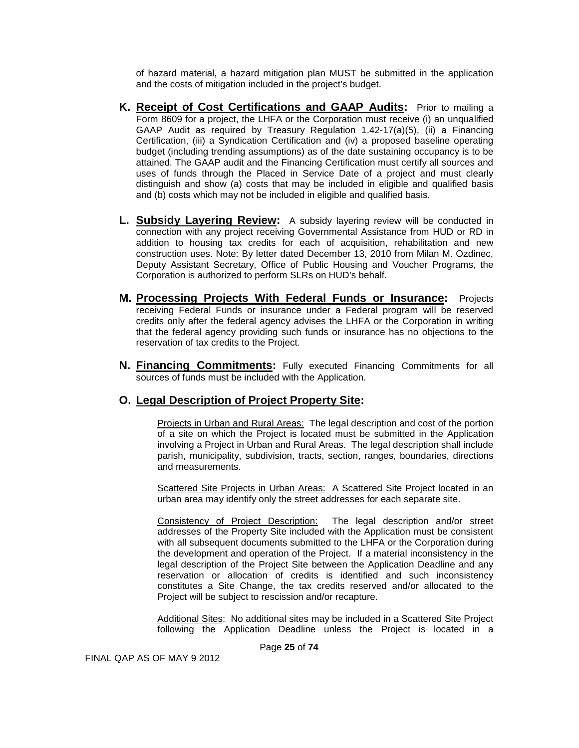of hazard material, a hazard mitigation plan MUST be submitted in the application and the costs of mitigation included in the project's budget.

- **K. Receipt of Cost Certifications and GAAP Audits:** Prior to mailing a Form 8609 for a project, the LHFA or the Corporation must receive (i) an unqualified GAAP Audit as required by Treasury Regulation 1.42-17(a)(5), (ii) a Financing Certification, (iii) a Syndication Certification and (iv) a proposed baseline operating budget (including trending assumptions) as of the date sustaining occupancy is to be attained. The GAAP audit and the Financing Certification must certify all sources and uses of funds through the Placed in Service Date of a project and must clearly distinguish and show (a) costs that may be included in eligible and qualified basis and (b) costs which may not be included in eligible and qualified basis.
- **L. Subsidy Layering Review:** A subsidy layering review will be conducted in connection with any project receiving Governmental Assistance from HUD or RD in addition to housing tax credits for each of acquisition, rehabilitation and new construction uses. Note: By letter dated December 13, 2010 from Milan M. Ozdinec, Deputy Assistant Secretary, Office of Public Housing and Voucher Programs, the Corporation is authorized to perform SLRs on HUD's behalf.
- **M. Processing Projects With Federal Funds or Insurance:** Projects receiving Federal Funds or insurance under a Federal program will be reserved credits only after the federal agency advises the LHFA or the Corporation in writing that the federal agency providing such funds or insurance has no objections to the reservation of tax credits to the Project.
- **N. Financing Commitments:** Fully executed Financing Commitments for all sources of funds must be included with the Application.

# **O. Legal Description of Project Property Site:**

Projects in Urban and Rural Areas: The legal description and cost of the portion of a site on which the Project is located must be submitted in the Application involving a Project in Urban and Rural Areas. The legal description shall include parish, municipality, subdivision, tracts, section, ranges, boundaries, directions and measurements.

Scattered Site Projects in Urban Areas: A Scattered Site Project located in an urban area may identify only the street addresses for each separate site.

Consistency of Project Description: The legal description and/or street addresses of the Property Site included with the Application must be consistent with all subsequent documents submitted to the LHFA or the Corporation during the development and operation of the Project. If a material inconsistency in the legal description of the Project Site between the Application Deadline and any reservation or allocation of credits is identified and such inconsistency constitutes a Site Change, the tax credits reserved and/or allocated to the Project will be subject to rescission and/or recapture.

Additional Sites: No additional sites may be included in a Scattered Site Project following the Application Deadline unless the Project is located in a

Page **25** of **74**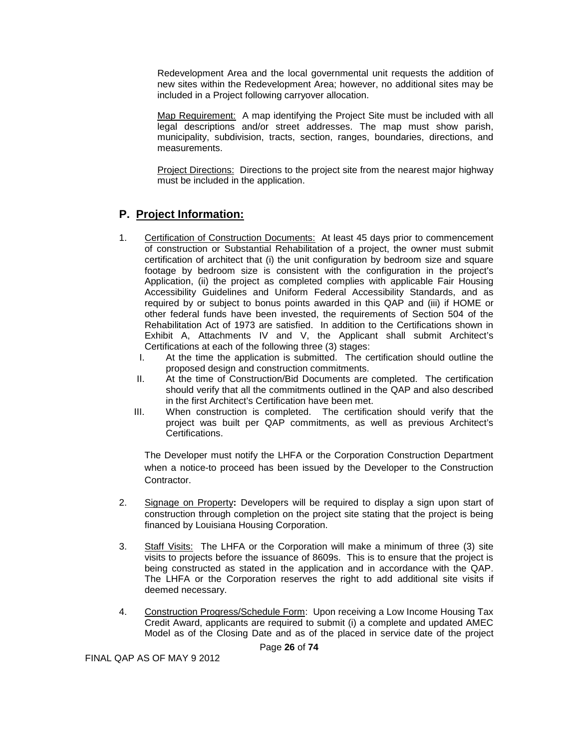Redevelopment Area and the local governmental unit requests the addition of new sites within the Redevelopment Area; however, no additional sites may be included in a Project following carryover allocation.

Map Requirement: A map identifying the Project Site must be included with all legal descriptions and/or street addresses. The map must show parish, municipality, subdivision, tracts, section, ranges, boundaries, directions, and measurements.

Project Directions: Directions to the project site from the nearest major highway must be included in the application.

# <span id="page-25-0"></span>**P. Project Information:**

- 1. Certification of Construction Documents: At least 45 days prior to commencement of construction or Substantial Rehabilitation of a project, the owner must submit certification of architect that (i) the unit configuration by bedroom size and square footage by bedroom size is consistent with the configuration in the project's Application, (ii) the project as completed complies with applicable Fair Housing Accessibility Guidelines and Uniform Federal Accessibility Standards, and as required by or subject to bonus points awarded in this QAP and (iii) if HOME or other federal funds have been invested, the requirements of Section 504 of the Rehabilitation Act of 1973 are satisfied. In addition to the Certifications shown in Exhibit A, Attachments IV and V, the Applicant shall submit Architect's Certifications at each of the following three (3) stages:<br>I at the time the application is submitted. The co
	- At the time the application is submitted. The certification should outline the proposed design and construction commitments.
	- II. At the time of Construction/Bid Documents are completed. The certification should verify that all the commitments outlined in the QAP and also described in the first Architect's Certification have been met.
	- III. When construction is completed. The certification should verify that the project was built per QAP commitments, as well as previous Architect's Certifications.

The Developer must notify the LHFA or the Corporation Construction Department when a notice-to proceed has been issued by the Developer to the Construction Contractor.

- 2. Signage on Property**:** Developers will be required to display a sign upon start of construction through completion on the project site stating that the project is being financed by Louisiana Housing Corporation.
- 3. Staff Visits: The LHFA or the Corporation will make a minimum of three (3) site visits to projects before the issuance of 8609s. This is to ensure that the project is being constructed as stated in the application and in accordance with the QAP. The LHFA or the Corporation reserves the right to add additional site visits if deemed necessary.
- 4. Construction Progress/Schedule Form: Upon receiving a Low Income Housing Tax Credit Award, applicants are required to submit (i) a complete and updated AMEC Model as of the Closing Date and as of the placed in service date of the project

Page **26** of **74**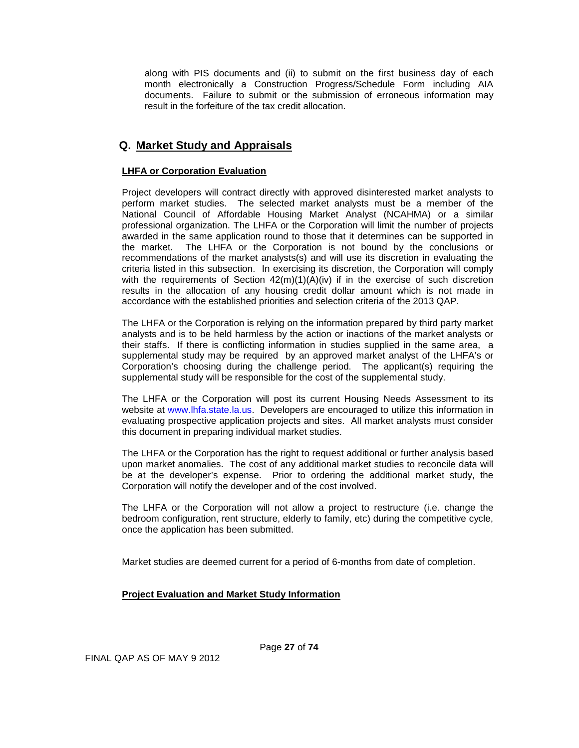along with PIS documents and (ii) to submit on the first business day of each month electronically a Construction Progress/Schedule Form including AIA documents. Failure to submit or the submission of erroneous information may result in the forfeiture of the tax credit allocation.

# <span id="page-26-0"></span>**Q. Market Study and Appraisals**

### **LHFA or Corporation Evaluation**

Project developers will contract directly with approved disinterested market analysts to perform market studies. The selected market analysts must be a member of the National Council of Affordable Housing Market Analyst (NCAHMA) or a similar professional organization. The LHFA or the Corporation will limit the number of projects awarded in the same application round to those that it determines can be supported in the market. The LHFA or the Corporation is not bound by the conclusions or recommendations of the market analysts(s) and will use its discretion in evaluating the criteria listed in this subsection. In exercising its discretion, the Corporation will comply with the requirements of Section  $42(m)(1)(A)(iv)$  if in the exercise of such discretion results in the allocation of any housing credit dollar amount which is not made in accordance with the established priorities and selection criteria of the 2013 QAP.

The LHFA or the Corporation is relying on the information prepared by third party market analysts and is to be held harmless by the action or inactions of the market analysts or their staffs. If there is conflicting information in studies supplied in the same area, a supplemental study may be required by an approved market analyst of the LHFA's or Corporation's choosing during the challenge period. The applicant(s) requiring the supplemental study will be responsible for the cost of the supplemental study.

The LHFA or the Corporation will post its current Housing Needs Assessment to its website at [www.lhfa.state.la.us.](http://www.lhfa.state.la.us/) Developers are encouraged to utilize this information in evaluating prospective application projects and sites. All market analysts must consider this document in preparing individual market studies.

The LHFA or the Corporation has the right to request additional or further analysis based upon market anomalies. The cost of any additional market studies to reconcile data will be at the developer's expense. Prior to ordering the additional market study, the Corporation will notify the developer and of the cost involved.

The LHFA or the Corporation will not allow a project to restructure (i.e. change the bedroom configuration, rent structure, elderly to family, etc) during the competitive cycle, once the application has been submitted.

Market studies are deemed current for a period of 6-months from date of completion.

### **Project Evaluation and Market Study Information**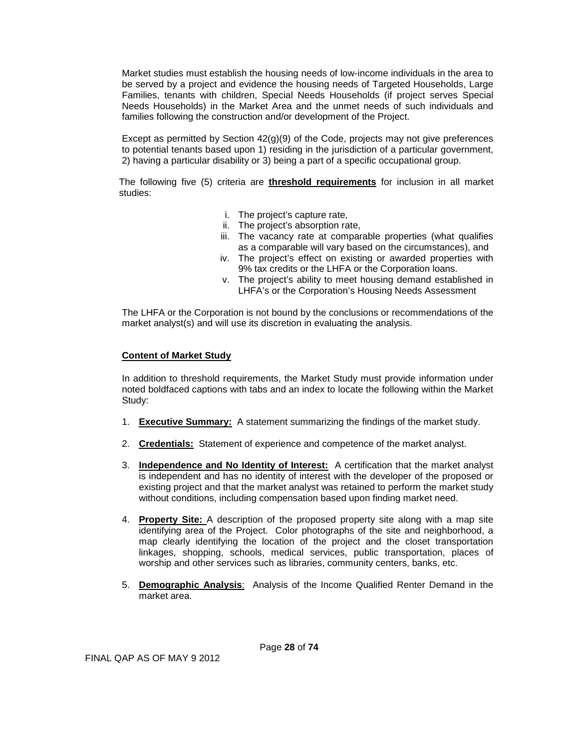Market studies must establish the housing needs of low-income individuals in the area to be served by a project and evidence the housing needs of Targeted Households, Large Families, tenants with children, Special Needs Households (if project serves Special Needs Households) in the Market Area and the unmet needs of such individuals and families following the construction and/or development of the Project.

Except as permitted by Section  $42(g)(9)$  of the Code, projects may not give preferences to potential tenants based upon 1) residing in the jurisdiction of a particular government, 2) having a particular disability or 3) being a part of a specific occupational group.

The following five (5) criteria are **threshold requirements** for inclusion in all market studies:

- i. The project's capture rate,
- ii. The project's absorption rate,
- iii. The vacancy rate at comparable properties (what qualifies as a comparable will vary based on the circumstances), and
- iv. The project's effect on existing or awarded properties with 9% tax credits or the LHFA or the Corporation loans.
- v. The project's ability to meet housing demand established in LHFA's or the Corporation's Housing Needs Assessment

The LHFA or the Corporation is not bound by the conclusions or recommendations of the market analyst(s) and will use its discretion in evaluating the analysis.

### **Content of Market Study**

In addition to threshold requirements, the Market Study must provide information under noted boldfaced captions with tabs and an index to locate the following within the Market Study:

- 1. **Executive Summary:** A statement summarizing the findings of the market study.
- 2. **Credentials:** Statement of experience and competence of the market analyst.
- 3. **Independence and No Identity of Interest:** A certification that the market analyst is independent and has no identity of interest with the developer of the proposed or existing project and that the market analyst was retained to perform the market study without conditions, including compensation based upon finding market need.
- 4. **Property Site:** A description of the proposed property site along with a map site identifying area of the Project. Color photographs of the site and neighborhood, a map clearly identifying the location of the project and the closet transportation linkages, shopping, schools, medical services, public transportation, places of worship and other services such as libraries, community centers, banks, etc.
- 5. **Demographic Analysis**: Analysis of the Income Qualified Renter Demand in the market area.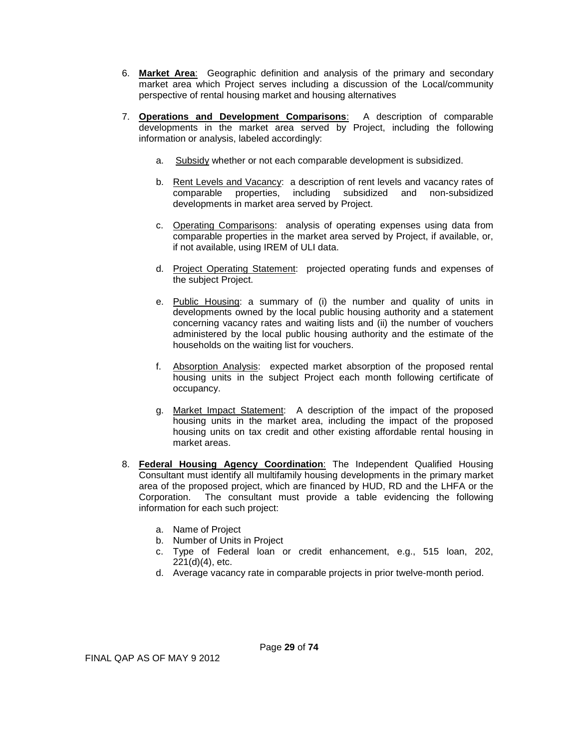- 6. **Market Area**: Geographic definition and analysis of the primary and secondary market area which Project serves including a discussion of the Local/community perspective of rental housing market and housing alternatives
- 7. **Operations and Development Comparisons**: A description of comparable developments in the market area served by Project, including the following information or analysis, labeled accordingly:
	- a. Subsidy whether or not each comparable development is subsidized.
	- b. Rent Levels and Vacancy: a description of rent levels and vacancy rates of comparable properties, including subsidized and non-subsidized developments in market area served by Project.
	- c. Operating Comparisons: analysis of operating expenses using data from comparable properties in the market area served by Project, if available, or, if not available, using IREM of ULI data.
	- d. Project Operating Statement: projected operating funds and expenses of the subject Project.
	- e. Public Housing: a summary of (i) the number and quality of units in developments owned by the local public housing authority and a statement concerning vacancy rates and waiting lists and (ii) the number of vouchers administered by the local public housing authority and the estimate of the households on the waiting list for vouchers.
	- f. Absorption Analysis: expected market absorption of the proposed rental housing units in the subject Project each month following certificate of occupancy.
	- g. Market Impact Statement: A description of the impact of the proposed housing units in the market area, including the impact of the proposed housing units on tax credit and other existing affordable rental housing in market areas.
- 8. **Federal Housing Agency Coordination**: The Independent Qualified Housing Consultant must identify all multifamily housing developments in the primary market area of the proposed project, which are financed by HUD, RD and the LHFA or the Corporation. The consultant must provide a table evidencing the following information for each such project:
	- a. Name of Project
	- b. Number of Units in Project
	- c. Type of Federal loan or credit enhancement, e.g., 515 loan, 202, 221(d)(4), etc.
	- d. Average vacancy rate in comparable projects in prior twelve-month period.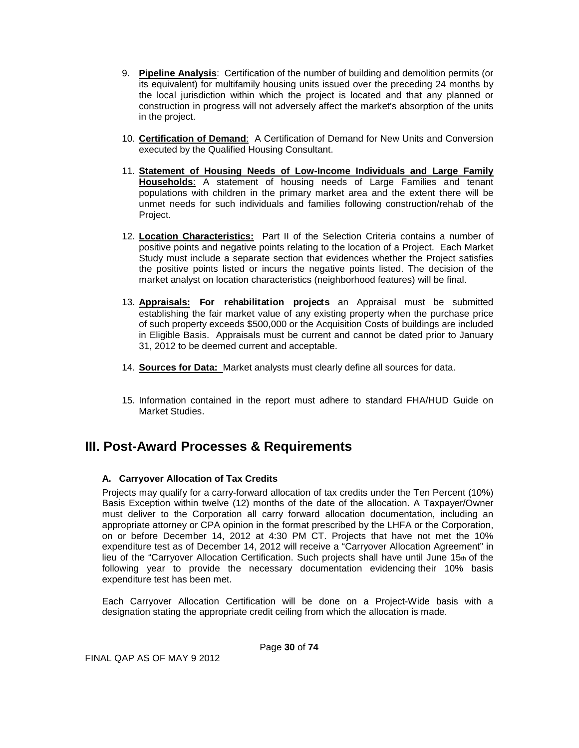- 9. **Pipeline Analysis**: Certification of the number of building and demolition permits (or its equivalent) for multifamily housing units issued over the preceding 24 months by the local jurisdiction within which the project is located and that any planned or construction in progress will not adversely affect the market's absorption of the units in the project.
- 10. **Certification of Demand**: A Certification of Demand for New Units and Conversion executed by the Qualified Housing Consultant.
- 11. **Statement of Housing Needs of Low-Income Individuals and Large Family Households**: A statement of housing needs of Large Families and tenant populations with children in the primary market area and the extent there will be unmet needs for such individuals and families following construction/rehab of the Project.
- 12. **Location Characteristics:** Part II of the Selection Criteria contains a number of positive points and negative points relating to the location of a Project. Each Market Study must include a separate section that evidences whether the Project satisfies the positive points listed or incurs the negative points listed. The decision of the market analyst on location characteristics (neighborhood features) will be final.
- 13. **Appraisals: For rehabilitation projects** an Appraisal must be submitted establishing the fair market value of any existing property when the purchase price of such property exceeds \$500,000 or the Acquisition Costs of buildings are included in Eligible Basis. Appraisals must be current and cannot be dated prior to January 31, 2012 to be deemed current and acceptable.
- 14. **Sources for Data:** Market analysts must clearly define all sources for data.
- 15. Information contained in the report must adhere to standard FHA/HUD Guide on Market Studies.

# <span id="page-29-0"></span>**III. Post-Award Processes & Requirements**

### <span id="page-29-1"></span>**A. Carryover Allocation of Tax Credits**

Projects may qualify for a carry-forward allocation of tax credits under the Ten Percent (10%) Basis Exception within twelve (12) months of the date of the allocation. A Taxpayer/Owner must deliver to the Corporation all carry forward allocation documentation, including an appropriate attorney or CPA opinion in the format prescribed by the LHFA or the Corporation, on or before December 14, 2012 at 4:30 PM CT. Projects that have not met the 10% expenditure test as of December 14, 2012 will receive a "Carryover Allocation Agreement" in lieu of the "Carryover Allocation Certification. Such projects shall have until June  $15<sub>th</sub>$  of the following year to provide the necessary documentation evidencing their 10% basis expenditure test has been met.

Each Carryover Allocation Certification will be done on a Project-Wide basis with a designation stating the appropriate credit ceiling from which the allocation is made.

Page **30** of **74**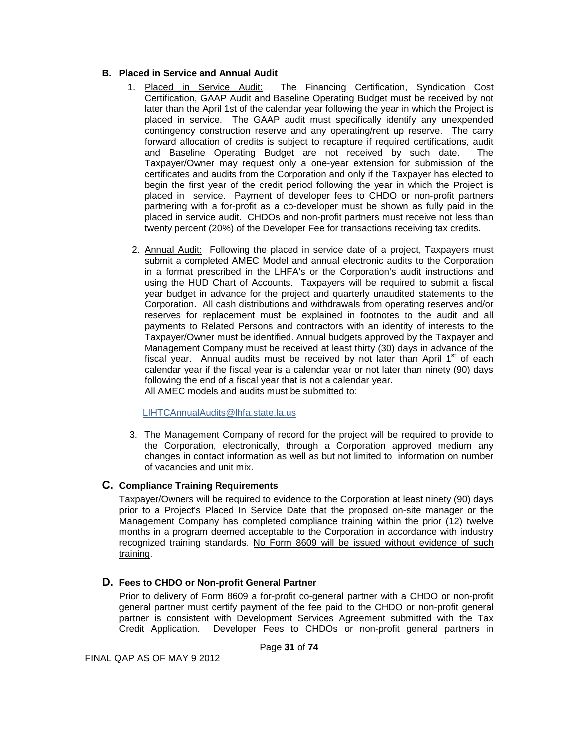### <span id="page-30-0"></span>**B. Placed in Service and Annual Audit**

- 1. Placed in Service Audit: The Financing Certification, Syndication Cost Certification, GAAP Audit and Baseline Operating Budget must be received by not later than the April 1st of the calendar year following the year in which the Project is placed in service. The GAAP audit must specifically identify any unexpended contingency construction reserve and any operating/rent up reserve. The carry forward allocation of credits is subject to recapture if required certifications, audit and Baseline Operating Budget are not received by such date. The Taxpayer/Owner may request only a one-year extension for submission of the certificates and audits from the Corporation and only if the Taxpayer has elected to begin the first year of the credit period following the year in which the Project is placed in service. Payment of developer fees to CHDO or non-profit partners partnering with a for-profit as a co-developer must be shown as fully paid in the placed in service audit. CHDOs and non-profit partners must receive not less than twenty percent (20%) of the Developer Fee for transactions receiving tax credits.
- 2. Annual Audit: Following the placed in service date of a project, Taxpayers must submit a completed AMEC Model and annual electronic audits to the Corporation in a format prescribed in the LHFA's or the Corporation's audit instructions and using the HUD Chart of Accounts. Taxpayers will be required to submit a fiscal year budget in advance for the project and quarterly unaudited statements to the Corporation. All cash distributions and withdrawals from operating reserves and/or reserves for replacement must be explained in footnotes to the audit and all payments to Related Persons and contractors with an identity of interests to the Taxpayer/Owner must be identified. Annual budgets approved by the Taxpayer and Management Company must be received at least thirty (30) days in advance of the fiscal year. Annual audits must be received by not later than April  $1<sup>st</sup>$  of each calendar year if the fiscal year is a calendar year or not later than ninety (90) days following the end of a fiscal year that is not a calendar year. All AMEC models and audits must be submitted to:

#### <span id="page-30-1"></span>LIHT[CAnnualAudits@lhfa.state.la.us](mailto:AnnualAudits@lhfa.state.la.us)

 3. The Management Company of record for the project will be required to provide to the Corporation, electronically, through a Corporation approved medium any changes in contact information as well as but not limited to information on number of vacancies and unit mix.

### **C. Compliance Training Requirements**

Taxpayer/Owners will be required to evidence to the Corporation at least ninety (90) days prior to a Project's Placed In Service Date that the proposed on-site manager or the Management Company has completed compliance training within the prior (12) twelve months in a program deemed acceptable to the Corporation in accordance with industry recognized training standards. No Form 8609 will be issued without evidence of such training.

### <span id="page-30-2"></span>**D. Fees to CHDO or Non-profit General Partner**

Prior to delivery of Form 8609 a for-profit co-general partner with a CHDO or non-profit general partner must certify payment of the fee paid to the CHDO or non-profit general partner is consistent with Development Services Agreement submitted with the Tax Credit Application. Developer Fees to CHDOs or non-profit general partners in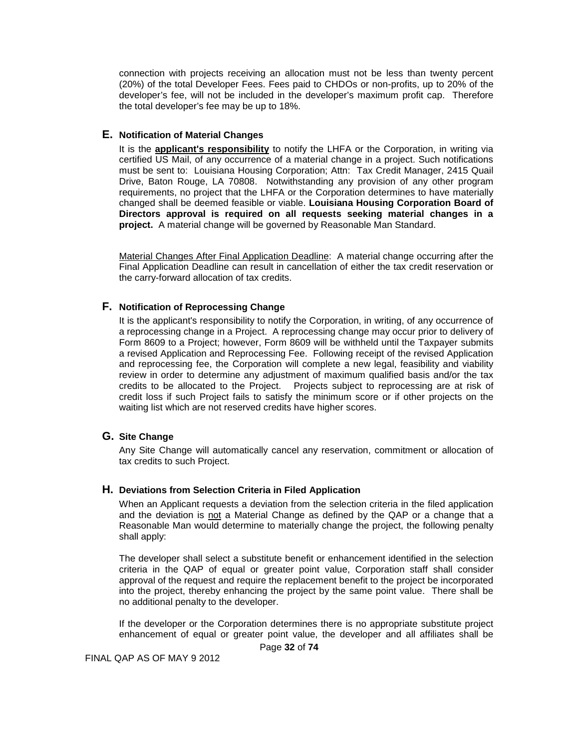connection with projects receiving an allocation must not be less than twenty percent (20%) of the total Developer Fees. Fees paid to CHDOs or non-profits, up to 20% of the developer's fee, will not be included in the developer's maximum profit cap. Therefore the total developer's fee may be up to 18%.

#### <span id="page-31-0"></span>**E. Notification of Material Changes**

It is the **applicant's responsibility** to notify the LHFA or the Corporation, in writing via certified US Mail, of any occurrence of a material change in a project. Such notifications must be sent to: Louisiana Housing Corporation; Attn: Tax Credit Manager, 2415 Quail Drive, Baton Rouge, LA 70808. Notwithstanding any provision of any other program requirements, no project that the LHFA or the Corporation determines to have materially changed shall be deemed feasible or viable. **Louisiana Housing Corporation Board of Directors approval is required on all requests seeking material changes in a project.** A material change will be governed by Reasonable Man Standard.

Material Changes After Final Application Deadline: A material change occurring after the Final Application Deadline can result in cancellation of either the tax credit reservation or the carry-forward allocation of tax credits.

#### <span id="page-31-1"></span>**F. Notification of Reprocessing Change**

It is the applicant's responsibility to notify the Corporation, in writing, of any occurrence of a reprocessing change in a Project. A reprocessing change may occur prior to delivery of Form 8609 to a Project; however, Form 8609 will be withheld until the Taxpayer submits a revised Application and Reprocessing Fee. Following receipt of the revised Application and reprocessing fee, the Corporation will complete a new legal, feasibility and viability review in order to determine any adjustment of maximum qualified basis and/or the tax credits to be allocated to the Project. Projects subject to reprocessing are at risk of credit loss if such Project fails to satisfy the minimum score or if other projects on the waiting list which are not reserved credits have higher scores.

### <span id="page-31-2"></span>**G. Site Change**

Any Site Change will automatically cancel any reservation, commitment or allocation of tax credits to such Project.

#### <span id="page-31-3"></span>**H. Deviations from Selection Criteria in Filed Application**

When an Applicant requests a deviation from the selection criteria in the filed application and the deviation is not a Material Change as defined by the QAP or a change that a Reasonable Man would determine to materially change the project, the following penalty shall apply:

The developer shall select a substitute benefit or enhancement identified in the selection criteria in the QAP of equal or greater point value, Corporation staff shall consider approval of the request and require the replacement benefit to the project be incorporated into the project, thereby enhancing the project by the same point value. There shall be no additional penalty to the developer.

If the developer or the Corporation determines there is no appropriate substitute project enhancement of equal or greater point value, the developer and all affiliates shall be

Page **32** of **74**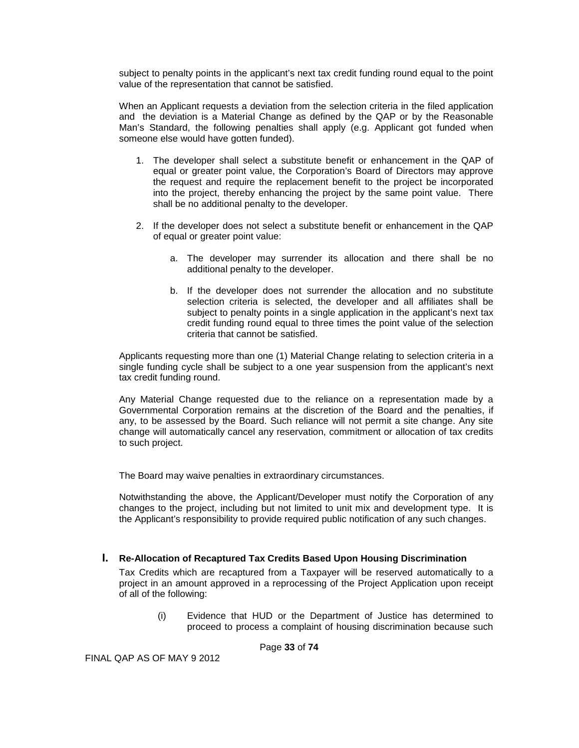subject to penalty points in the applicant's next tax credit funding round equal to the point value of the representation that cannot be satisfied.

When an Applicant requests a deviation from the selection criteria in the filed application and the deviation is a Material Change as defined by the QAP or by the Reasonable Man's Standard, the following penalties shall apply (e.g. Applicant got funded when someone else would have gotten funded).

- 1. The developer shall select a substitute benefit or enhancement in the QAP of equal or greater point value, the Corporation's Board of Directors may approve the request and require the replacement benefit to the project be incorporated into the project, thereby enhancing the project by the same point value. There shall be no additional penalty to the developer.
- 2. If the developer does not select a substitute benefit or enhancement in the QAP of equal or greater point value:
	- a. The developer may surrender its allocation and there shall be no additional penalty to the developer.
	- b. If the developer does not surrender the allocation and no substitute selection criteria is selected, the developer and all affiliates shall be subject to penalty points in a single application in the applicant's next tax credit funding round equal to three times the point value of the selection criteria that cannot be satisfied.

Applicants requesting more than one (1) Material Change relating to selection criteria in a single funding cycle shall be subject to a one year suspension from the applicant's next tax credit funding round.

Any Material Change requested due to the reliance on a representation made by a Governmental Corporation remains at the discretion of the Board and the penalties, if any, to be assessed by the Board. Such reliance will not permit a site change. Any site change will automatically cancel any reservation, commitment or allocation of tax credits to such project.

The Board may waive penalties in extraordinary circumstances.

Notwithstanding the above, the Applicant/Developer must notify the Corporation of any changes to the project, including but not limited to unit mix and development type. It is the Applicant's responsibility to provide required public notification of any such changes.

#### <span id="page-32-0"></span>**I. Re-Allocation of Recaptured Tax Credits Based Upon Housing Discrimination**

Tax Credits which are recaptured from a Taxpayer will be reserved automatically to a project in an amount approved in a reprocessing of the Project Application upon receipt of all of the following:

> (i) Evidence that HUD or the Department of Justice has determined to proceed to process a complaint of housing discrimination because such

> > Page **33** of **74**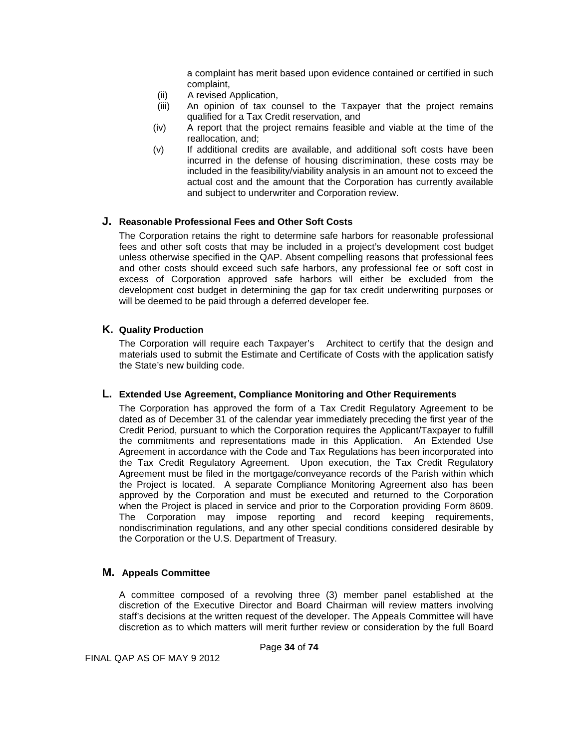a complaint has merit based upon evidence contained or certified in such complaint,

- (ii) A revised Application,<br>(iii) An opinion of tax co
- An opinion of tax counsel to the Taxpayer that the project remains qualified for a Tax Credit reservation, and
- (iv) A report that the project remains feasible and viable at the time of the reallocation, and;
- (v) If additional credits are available, and additional soft costs have been incurred in the defense of housing discrimination, these costs may be included in the feasibility/viability analysis in an amount not to exceed the actual cost and the amount that the Corporation has currently available and subject to underwriter and Corporation review.

#### <span id="page-33-0"></span>**J. Reasonable Professional Fees and Other Soft Costs**

The Corporation retains the right to determine safe harbors for reasonable professional fees and other soft costs that may be included in a project's development cost budget unless otherwise specified in the QAP. Absent compelling reasons that professional fees and other costs should exceed such safe harbors, any professional fee or soft cost in excess of Corporation approved safe harbors will either be excluded from the development cost budget in determining the gap for tax credit underwriting purposes or will be deemed to be paid through a deferred developer fee.

#### <span id="page-33-1"></span>**K. Quality Production**

The Corporation will require each Taxpayer's Architect to certify that the design and materials used to submit the Estimate and Certificate of Costs with the application satisfy the State's new building code.

#### <span id="page-33-2"></span>**L. Extended Use Agreement, Compliance Monitoring and Other Requirements**

The Corporation has approved the form of a Tax Credit Regulatory Agreement to be dated as of December 31 of the calendar year immediately preceding the first year of the Credit Period, pursuant to which the Corporation requires the Applicant/Taxpayer to fulfill the commitments and representations made in this Application. An Extended Use Agreement in accordance with the Code and Tax Regulations has been incorporated into the Tax Credit Regulatory Agreement. Upon execution, the Tax Credit Regulatory Agreement must be filed in the mortgage/conveyance records of the Parish within which the Project is located. A separate Compliance Monitoring Agreement also has been approved by the Corporation and must be executed and returned to the Corporation when the Project is placed in service and prior to the Corporation providing Form 8609. The Corporation may impose reporting and record keeping requirements, nondiscrimination regulations, and any other special conditions considered desirable by the Corporation or the U.S. Department of Treasury.

#### **M. Appeals Committee**

A committee composed of a revolving three (3) member panel established at the discretion of the Executive Director and Board Chairman will review matters involving staff's decisions at the written request of the developer. The Appeals Committee will have discretion as to which matters will merit further review or consideration by the full Board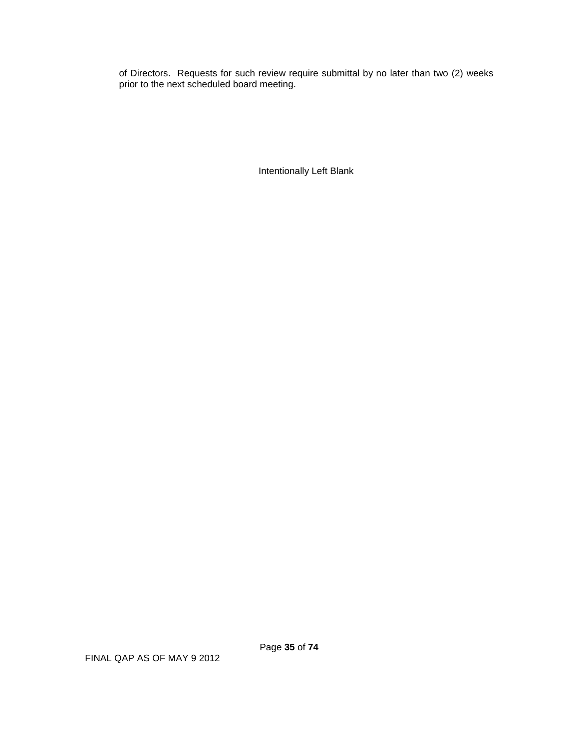of Directors. Requests for such review require submittal by no later than two (2) weeks prior to the next scheduled board meeting.

Intentionally Left Blank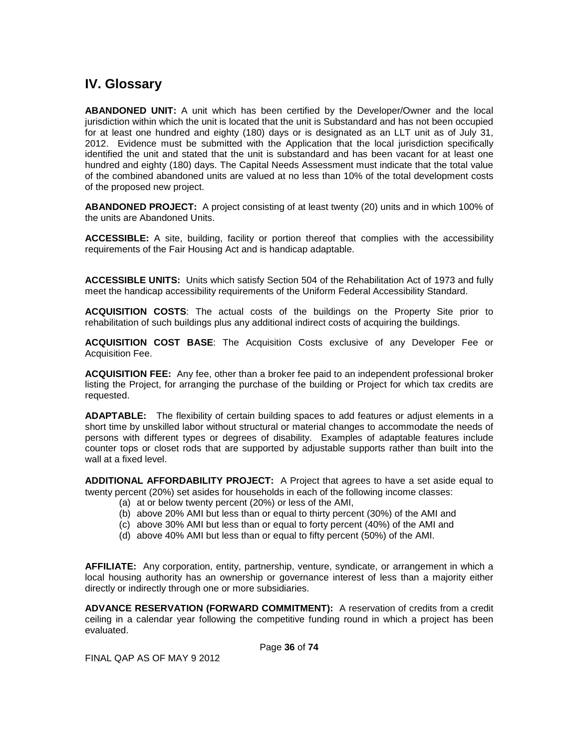# <span id="page-35-0"></span>**IV. Glossary**

**ABANDONED UNIT:** A unit which has been certified by the Developer/Owner and the local jurisdiction within which the unit is located that the unit is Substandard and has not been occupied for at least one hundred and eighty (180) days or is designated as an LLT unit as of July 31, 2012. Evidence must be submitted with the Application that the local jurisdiction specifically identified the unit and stated that the unit is substandard and has been vacant for at least one hundred and eighty (180) days. The Capital Needs Assessment must indicate that the total value of the combined abandoned units are valued at no less than 10% of the total development costs of the proposed new project.

**ABANDONED PROJECT:** A project consisting of at least twenty (20) units and in which 100% of the units are Abandoned Units.

**ACCESSIBLE:** A site, building, facility or portion thereof that complies with the accessibility requirements of the Fair Housing Act and is handicap adaptable.

**ACCESSIBLE UNITS:** Units which satisfy Section 504 of the Rehabilitation Act of 1973 and fully meet the handicap accessibility requirements of the Uniform Federal Accessibility Standard.

**ACQUISITION COSTS**: The actual costs of the buildings on the Property Site prior to rehabilitation of such buildings plus any additional indirect costs of acquiring the buildings.

**ACQUISITION COST BASE**: The Acquisition Costs exclusive of any Developer Fee or Acquisition Fee.

**ACQUISITION FEE:** Any fee, other than a broker fee paid to an independent professional broker listing the Project, for arranging the purchase of the building or Project for which tax credits are requested.

**ADAPTABLE:** The flexibility of certain building spaces to add features or adjust elements in a short time by unskilled labor without structural or material changes to accommodate the needs of persons with different types or degrees of disability. Examples of adaptable features include counter tops or closet rods that are supported by adjustable supports rather than built into the wall at a fixed level.

**ADDITIONAL AFFORDABILITY PROJECT:** A Project that agrees to have a set aside equal to twenty percent (20%) set asides for households in each of the following income classes:

- (a) at or below twenty percent (20%) or less of the AMI,
- (b) above 20% AMI but less than or equal to thirty percent (30%) of the AMI and
- (c) above 30% AMI but less than or equal to forty percent (40%) of the AMI and
- (d) above 40% AMI but less than or equal to fifty percent (50%) of the AMI.

**AFFILIATE:** Any corporation, entity, partnership, venture, syndicate, or arrangement in which a local housing authority has an ownership or governance interest of less than a majority either directly or indirectly through one or more subsidiaries.

**ADVANCE RESERVATION (FORWARD COMMITMENT):** A reservation of credits from a credit ceiling in a calendar year following the competitive funding round in which a project has been evaluated.

Page **36** of **74**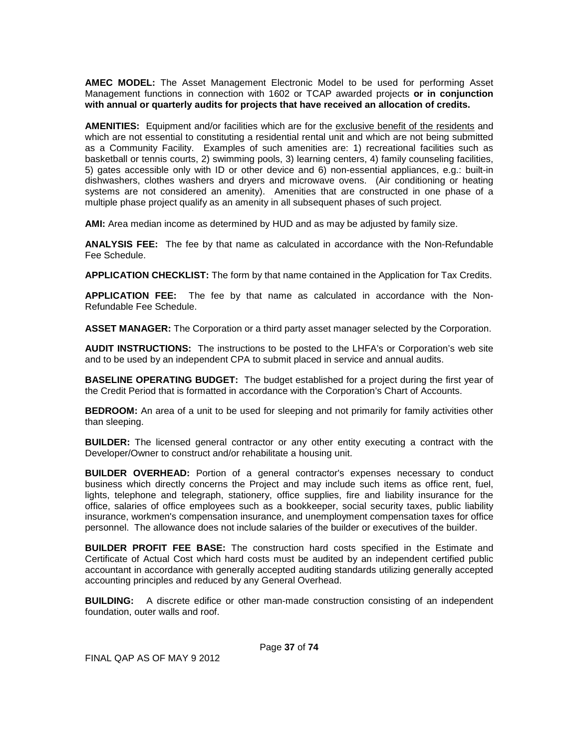**AMEC MODEL:** The Asset Management Electronic Model to be used for performing Asset Management functions in connection with 1602 or TCAP awarded projects **or in conjunction with annual or quarterly audits for projects that have received an allocation of credits.**

**AMENITIES:** Equipment and/or facilities which are for the exclusive benefit of the residents and which are not essential to constituting a residential rental unit and which are not being submitted as a Community Facility. Examples of such amenities are: 1) recreational facilities such as basketball or tennis courts, 2) swimming pools, 3) learning centers, 4) family counseling facilities, 5) gates accessible only with ID or other device and 6) non-essential appliances, e.g.: built-in dishwashers, clothes washers and dryers and microwave ovens. (Air conditioning or heating systems are not considered an amenity). Amenities that are constructed in one phase of a multiple phase project qualify as an amenity in all subsequent phases of such project.

**AMI:** Area median income as determined by HUD and as may be adjusted by family size.

**ANALYSIS FEE:** The fee by that name as calculated in accordance with the Non-Refundable Fee Schedule.

**APPLICATION CHECKLIST:** The form by that name contained in the Application for Tax Credits.

**APPLICATION FEE:** The fee by that name as calculated in accordance with the Non-Refundable Fee Schedule.

**ASSET MANAGER:** The Corporation or a third party asset manager selected by the Corporation.

**AUDIT INSTRUCTIONS:** The instructions to be posted to the LHFA's or Corporation's web site and to be used by an independent CPA to submit placed in service and annual audits.

**BASELINE OPERATING BUDGET:** The budget established for a project during the first year of the Credit Period that is formatted in accordance with the Corporation's Chart of Accounts.

**BEDROOM:** An area of a unit to be used for sleeping and not primarily for family activities other than sleeping.

**BUILDER:** The licensed general contractor or any other entity executing a contract with the Developer/Owner to construct and/or rehabilitate a housing unit.

**BUILDER OVERHEAD:** Portion of a general contractor's expenses necessary to conduct business which directly concerns the Project and may include such items as office rent, fuel, lights, telephone and telegraph, stationery, office supplies, fire and liability insurance for the office, salaries of office employees such as a bookkeeper, social security taxes, public liability insurance, workmen's compensation insurance, and unemployment compensation taxes for office personnel. The allowance does not include salaries of the builder or executives of the builder.

**BUILDER PROFIT FEE BASE:** The construction hard costs specified in the Estimate and Certificate of Actual Cost which hard costs must be audited by an independent certified public accountant in accordance with generally accepted auditing standards utilizing generally accepted accounting principles and reduced by any General Overhead.

**BUILDING:** A discrete edifice or other man-made construction consisting of an independent foundation, outer walls and roof.

FINAL QAP AS OF MAY 9 2012

Page **37** of **74**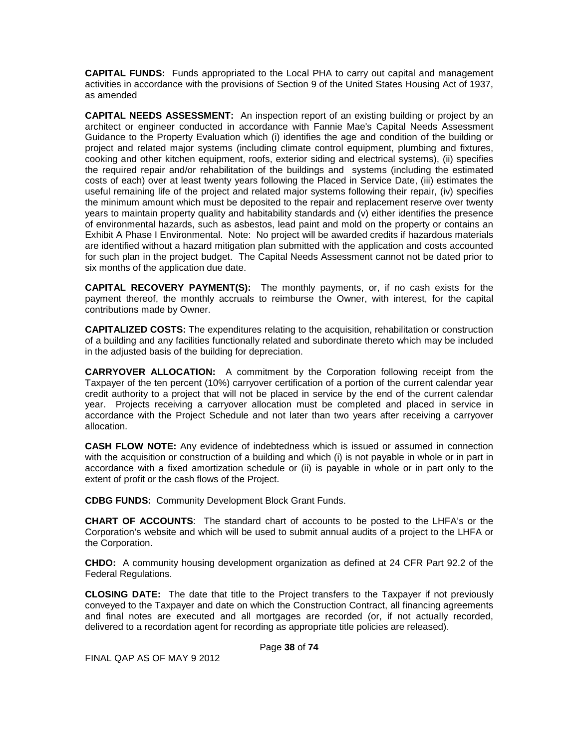**CAPITAL FUNDS:** Funds appropriated to the Local PHA to carry out capital and management activities in accordance with the provisions of Section 9 of the United States Housing Act of 1937, as amended

**CAPITAL NEEDS ASSESSMENT:** An inspection report of an existing building or project by an architect or engineer conducted in accordance with Fannie Mae's Capital Needs Assessment Guidance to the Property Evaluation which (i) identifies the age and condition of the building or project and related major systems (including climate control equipment, plumbing and fixtures, cooking and other kitchen equipment, roofs, exterior siding and electrical systems), (ii) specifies the required repair and/or rehabilitation of the buildings and systems (including the estimated costs of each) over at least twenty years following the Placed in Service Date, (iii) estimates the useful remaining life of the project and related major systems following their repair, (iv) specifies the minimum amount which must be deposited to the repair and replacement reserve over twenty years to maintain property quality and habitability standards and (v) either identifies the presence of environmental hazards, such as asbestos, lead paint and mold on the property or contains an Exhibit A Phase I Environmental. Note: No project will be awarded credits if hazardous materials are identified without a hazard mitigation plan submitted with the application and costs accounted for such plan in the project budget. The Capital Needs Assessment cannot not be dated prior to six months of the application due date.

**CAPITAL RECOVERY PAYMENT(S):** The monthly payments, or, if no cash exists for the payment thereof, the monthly accruals to reimburse the Owner, with interest, for the capital contributions made by Owner.

**CAPITALIZED COSTS:** The expenditures relating to the acquisition, rehabilitation or construction of a building and any facilities functionally related and subordinate thereto which may be included in the adjusted basis of the building for depreciation.

**CARRYOVER ALLOCATION:** A commitment by the Corporation following receipt from the Taxpayer of the ten percent (10%) carryover certification of a portion of the current calendar year credit authority to a project that will not be placed in service by the end of the current calendar year. Projects receiving a carryover allocation must be completed and placed in service in accordance with the Project Schedule and not later than two years after receiving a carryover allocation.

**CASH FLOW NOTE:** Any evidence of indebtedness which is issued or assumed in connection with the acquisition or construction of a building and which (i) is not payable in whole or in part in accordance with a fixed amortization schedule or (ii) is payable in whole or in part only to the extent of profit or the cash flows of the Project.

**CDBG FUNDS:** Community Development Block Grant Funds.

**CHART OF ACCOUNTS**: The standard chart of accounts to be posted to the LHFA's or the Corporation's website and which will be used to submit annual audits of a project to the LHFA or the Corporation.

**CHDO:** A community housing development organization as defined at 24 CFR Part 92.2 of the Federal Regulations.

**CLOSING DATE:** The date that title to the Project transfers to the Taxpayer if not previously conveyed to the Taxpayer and date on which the Construction Contract, all financing agreements and final notes are executed and all mortgages are recorded (or, if not actually recorded, delivered to a recordation agent for recording as appropriate title policies are released).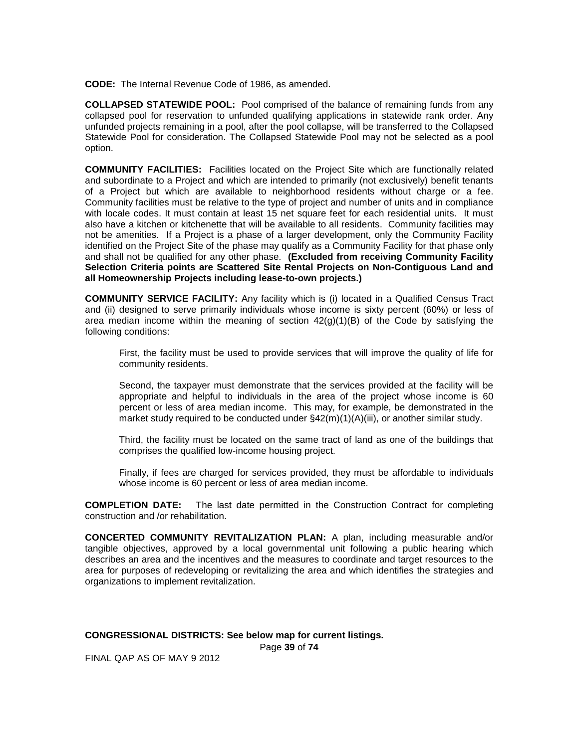**CODE:** The Internal Revenue Code of 1986, as amended.

**COLLAPSED STATEWIDE POOL:** Pool comprised of the balance of remaining funds from any collapsed pool for reservation to unfunded qualifying applications in statewide rank order. Any unfunded projects remaining in a pool, after the pool collapse, will be transferred to the Collapsed Statewide Pool for consideration. The Collapsed Statewide Pool may not be selected as a pool option.

**COMMUNITY FACILITIES:** Facilities located on the Project Site which are functionally related and subordinate to a Project and which are intended to primarily (not exclusively) benefit tenants of a Project but which are available to neighborhood residents without charge or a fee. Community facilities must be relative to the type of project and number of units and in compliance with locale codes. It must contain at least 15 net square feet for each residential units. It must also have a kitchen or kitchenette that will be available to all residents. Community facilities may not be amenities. If a Project is a phase of a larger development, only the Community Facility identified on the Project Site of the phase may qualify as a Community Facility for that phase only and shall not be qualified for any other phase. **(Excluded from receiving Community Facility Selection Criteria points are Scattered Site Rental Projects on Non-Contiguous Land and all Homeownership Projects including lease-to-own projects.)**

**COMMUNITY SERVICE FACILITY:** Any facility which is (i) located in a Qualified Census Tract and (ii) designed to serve primarily individuals whose income is sixty percent (60%) or less of area median income within the meaning of section  $42(q)(1)(B)$  of the Code by satisfying the following conditions:

First, the facility must be used to provide services that will improve the quality of life for community residents.

Second, the taxpayer must demonstrate that the services provided at the facility will be appropriate and helpful to individuals in the area of the project whose income is 60 percent or less of area median income. This may, for example, be demonstrated in the market study required to be conducted under  $\S42(m)(1)(A)(iii)$ , or another similar study.

Third, the facility must be located on the same tract of land as one of the buildings that comprises the qualified low-income housing project.

Finally, if fees are charged for services provided, they must be affordable to individuals whose income is 60 percent or less of area median income.

**COMPLETION DATE:** The last date permitted in the Construction Contract for completing construction and /or rehabilitation.

**CONCERTED COMMUNITY REVITALIZATION PLAN:** A plan, including measurable and/or tangible objectives, approved by a local governmental unit following a public hearing which describes an area and the incentives and the measures to coordinate and target resources to the area for purposes of redeveloping or revitalizing the area and which identifies the strategies and organizations to implement revitalization.

**CONGRESSIONAL DISTRICTS: See below map for current listings.**

Page **39** of **74**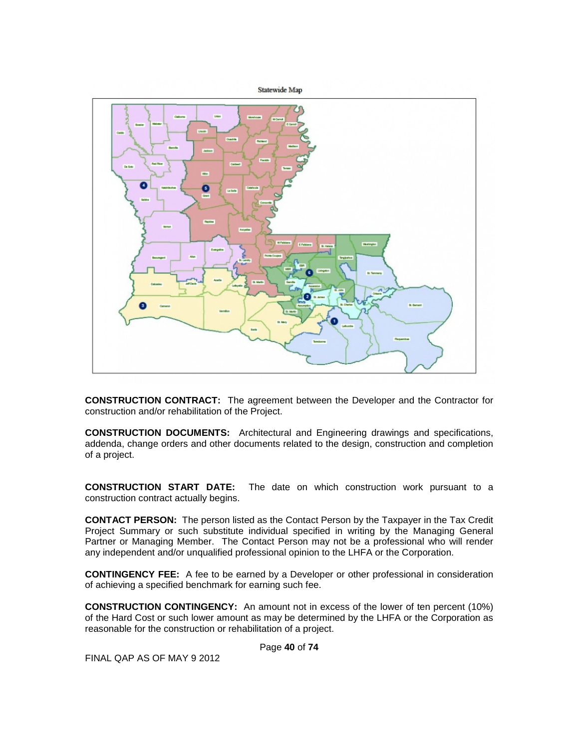

**CONSTRUCTION CONTRACT:** The agreement between the Developer and the Contractor for construction and/or rehabilitation of the Project.

**CONSTRUCTION DOCUMENTS:** Architectural and Engineering drawings and specifications, addenda, change orders and other documents related to the design, construction and completion of a project.

**CONSTRUCTION START DATE:** The date on which construction work pursuant to a construction contract actually begins.

**CONTACT PERSON:** The person listed as the Contact Person by the Taxpayer in the Tax Credit Project Summary or such substitute individual specified in writing by the Managing General Partner or Managing Member. The Contact Person may not be a professional who will render any independent and/or unqualified professional opinion to the LHFA or the Corporation.

**CONTINGENCY FEE:** A fee to be earned by a Developer or other professional in consideration of achieving a specified benchmark for earning such fee.

**CONSTRUCTION CONTINGENCY:** An amount not in excess of the lower of ten percent (10%) of the Hard Cost or such lower amount as may be determined by the LHFA or the Corporation as reasonable for the construction or rehabilitation of a project.

Page **40** of **74**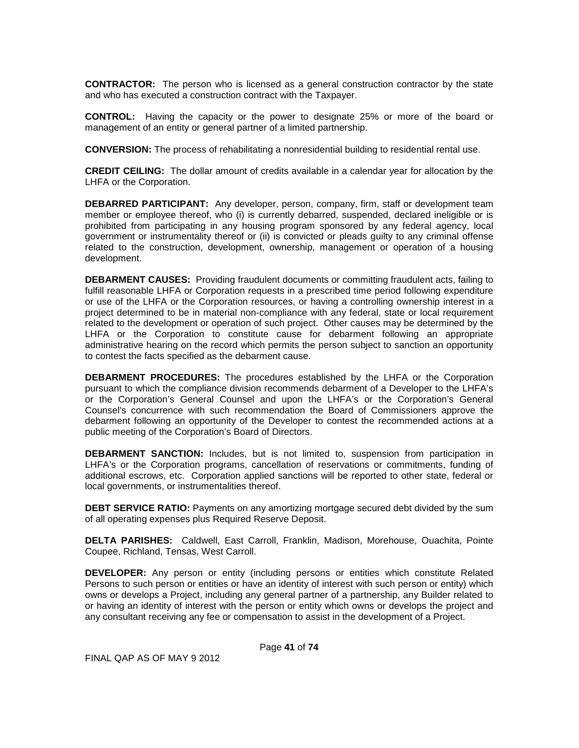**CONTRACTOR:** The person who is licensed as a general construction contractor by the state and who has executed a construction contract with the Taxpayer.

**CONTROL:** Having the capacity or the power to designate 25% or more of the board or management of an entity or general partner of a limited partnership.

**CONVERSION:** The process of rehabilitating a nonresidential building to residential rental use.

**CREDIT CEILING:** The dollar amount of credits available in a calendar year for allocation by the LHFA or the Corporation.

**DEBARRED PARTICIPANT:** Any developer, person, company, firm, staff or development team member or employee thereof, who (i) is currently debarred, suspended, declared ineligible or is prohibited from participating in any housing program sponsored by any federal agency, local government or instrumentality thereof or (ii) is convicted or pleads guilty to any criminal offense related to the construction, development, ownership, management or operation of a housing development.

**DEBARMENT CAUSES:** Providing fraudulent documents or committing fraudulent acts, failing to fulfill reasonable LHFA or Corporation requests in a prescribed time period following expenditure or use of the LHFA or the Corporation resources, or having a controlling ownership interest in a project determined to be in material non-compliance with any federal, state or local requirement related to the development or operation of such project. Other causes may be determined by the LHFA or the Corporation to constitute cause for debarment following an appropriate administrative hearing on the record which permits the person subject to sanction an opportunity to contest the facts specified as the debarment cause.

**DEBARMENT PROCEDURES:** The procedures established by the LHFA or the Corporation pursuant to which the compliance division recommends debarment of a Developer to the LHFA's or the Corporation's General Counsel and upon the LHFA's or the Corporation's General Counsel's concurrence with such recommendation the Board of Commissioners approve the debarment following an opportunity of the Developer to contest the recommended actions at a public meeting of the Corporation's Board of Directors.

**DEBARMENT SANCTION:** Includes, but is not limited to, suspension from participation in LHFA's or the Corporation programs, cancellation of reservations or commitments, funding of additional escrows, etc. Corporation applied sanctions will be reported to other state, federal or local governments, or instrumentalities thereof.

**DEBT SERVICE RATIO:** Payments on any amortizing mortgage secured debt divided by the sum of all operating expenses plus Required Reserve Deposit.

**DELTA PARISHES:** Caldwell, East Carroll, Franklin, Madison, Morehouse, Ouachita, Pointe Coupee, Richland, Tensas, West Carroll.

**DEVELOPER:** Any person or entity (including persons or entities which constitute Related Persons to such person or entities or have an identity of interest with such person or entity) which owns or develops a Project, including any general partner of a partnership, any Builder related to or having an identity of interest with the person or entity which owns or develops the project and any consultant receiving any fee or compensation to assist in the development of a Project.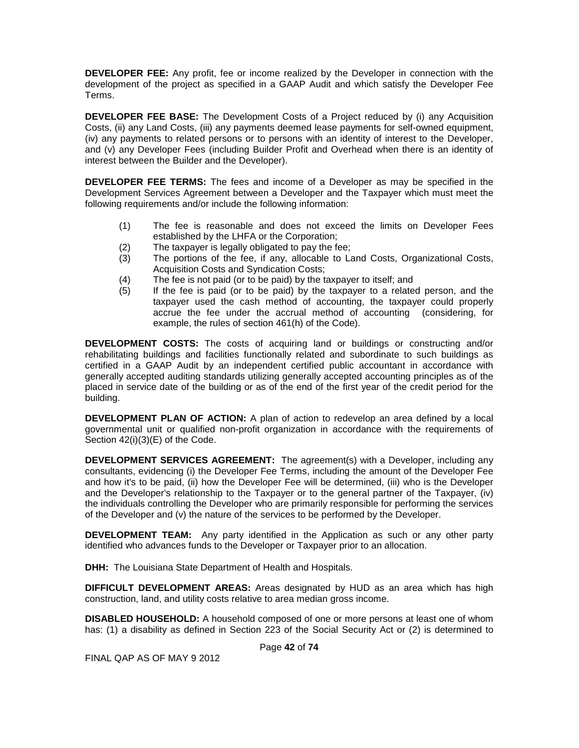**DEVELOPER FEE:** Any profit, fee or income realized by the Developer in connection with the development of the project as specified in a GAAP Audit and which satisfy the Developer Fee Terms.

**DEVELOPER FEE BASE:** The Development Costs of a Project reduced by (i) any Acquisition Costs, (ii) any Land Costs, (iii) any payments deemed lease payments for self-owned equipment, (iv) any payments to related persons or to persons with an identity of interest to the Developer, and (v) any Developer Fees (including Builder Profit and Overhead when there is an identity of interest between the Builder and the Developer).

**DEVELOPER FEE TERMS:** The fees and income of a Developer as may be specified in the Development Services Agreement between a Developer and the Taxpayer which must meet the following requirements and/or include the following information:

- (1) The fee is reasonable and does not exceed the limits on Developer Fees established by the LHFA or the Corporation;
- (2) The taxpayer is legally obligated to pay the fee;
- (3) The portions of the fee, if any, allocable to Land Costs, Organizational Costs, Acquisition Costs and Syndication Costs;
- (4) The fee is not paid (or to be paid) by the taxpayer to itself; and  $(5)$  If the fee is paid (or to be paid) by the taxpayer to a related
- If the fee is paid (or to be paid) by the taxpayer to a related person, and the taxpayer used the cash method of accounting, the taxpayer could properly accrue the fee under the accrual method of accounting (considering, for example, the rules of section 461(h) of the Code).

**DEVELOPMENT COSTS:** The costs of acquiring land or buildings or constructing and/or rehabilitating buildings and facilities functionally related and subordinate to such buildings as certified in a GAAP Audit by an independent certified public accountant in accordance with generally accepted auditing standards utilizing generally accepted accounting principles as of the placed in service date of the building or as of the end of the first year of the credit period for the building.

**DEVELOPMENT PLAN OF ACTION:** A plan of action to redevelop an area defined by a local governmental unit or qualified non-profit organization in accordance with the requirements of Section 42(i)(3)(E) of the Code.

**DEVELOPMENT SERVICES AGREEMENT:** The agreement(s) with a Developer, including any consultants, evidencing (i) the Developer Fee Terms, including the amount of the Developer Fee and how it's to be paid, (ii) how the Developer Fee will be determined, (iii) who is the Developer and the Developer's relationship to the Taxpayer or to the general partner of the Taxpayer, (iv) the individuals controlling the Developer who are primarily responsible for performing the services of the Developer and (v) the nature of the services to be performed by the Developer.

**DEVELOPMENT TEAM:** Any party identified in the Application as such or any other party identified who advances funds to the Developer or Taxpayer prior to an allocation.

**DHH:** The Louisiana State Department of Health and Hospitals.

**DIFFICULT DEVELOPMENT AREAS:** Areas designated by HUD as an area which has high construction, land, and utility costs relative to area median gross income.

**DISABLED HOUSEHOLD:** A household composed of one or more persons at least one of whom has: (1) a disability as defined in Section 223 of the Social Security Act or (2) is determined to

Page **42** of **74**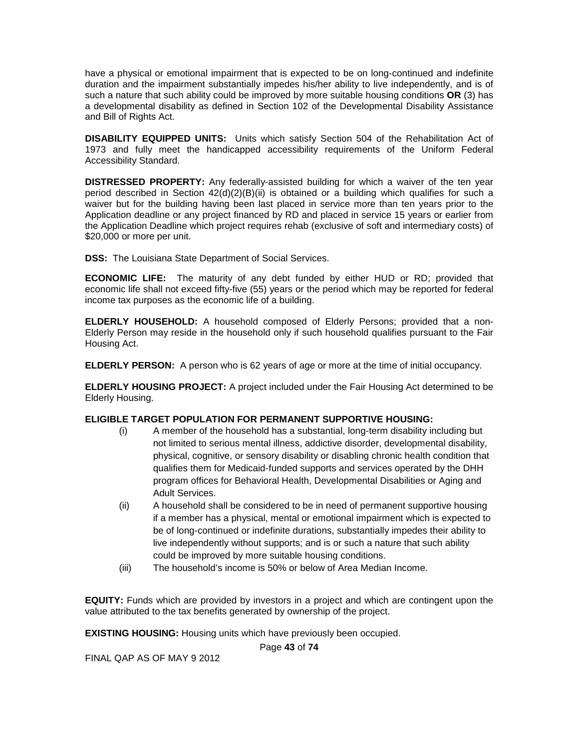have a physical or emotional impairment that is expected to be on long-continued and indefinite duration and the impairment substantially impedes his/her ability to live independently, and is of such a nature that such ability could be improved by more suitable housing conditions **OR** (3) has a developmental disability as defined in Section 102 of the Developmental Disability Assistance and Bill of Rights Act.

**DISABILITY EQUIPPED UNITS:** Units which satisfy Section 504 of the Rehabilitation Act of 1973 and fully meet the handicapped accessibility requirements of the Uniform Federal Accessibility Standard.

**DISTRESSED PROPERTY:** Any federally-assisted building for which a waiver of the ten year period described in Section 42(d)(2)(B)(ii) is obtained or a building which qualifies for such a waiver but for the building having been last placed in service more than ten years prior to the Application deadline or any project financed by RD and placed in service 15 years or earlier from the Application Deadline which project requires rehab (exclusive of soft and intermediary costs) of \$20,000 or more per unit.

**DSS:** The Louisiana State Department of Social Services.

**ECONOMIC LIFE:** The maturity of any debt funded by either HUD or RD; provided that economic life shall not exceed fifty-five (55) years or the period which may be reported for federal income tax purposes as the economic life of a building.

**ELDERLY HOUSEHOLD:** A household composed of Elderly Persons; provided that a non-Elderly Person may reside in the household only if such household qualifies pursuant to the Fair Housing Act.

**ELDERLY PERSON:** A person who is 62 years of age or more at the time of initial occupancy.

**ELDERLY HOUSING PROJECT:** A project included under the Fair Housing Act determined to be Elderly Housing.

## **ELIGIBLE TARGET POPULATION FOR PERMANENT SUPPORTIVE HOUSING:**

- (i) A member of the household has a substantial, long-term disability including but not limited to serious mental illness, addictive disorder, developmental disability, physical, cognitive, or sensory disability or disabling chronic health condition that qualifies them for Medicaid-funded supports and services operated by the DHH program offices for Behavioral Health, Developmental Disabilities or Aging and Adult Services.
- (ii) A household shall be considered to be in need of permanent supportive housing if a member has a physical, mental or emotional impairment which is expected to be of long-continued or indefinite durations, substantially impedes their ability to live independently without supports; and is or such a nature that such ability could be improved by more suitable housing conditions.
- (iii) The household's income is 50% or below of Area Median Income.

**EQUITY:** Funds which are provided by investors in a project and which are contingent upon the value attributed to the tax benefits generated by ownership of the project.

**EXISTING HOUSING:** Housing units which have previously been occupied.

Page **43** of **74**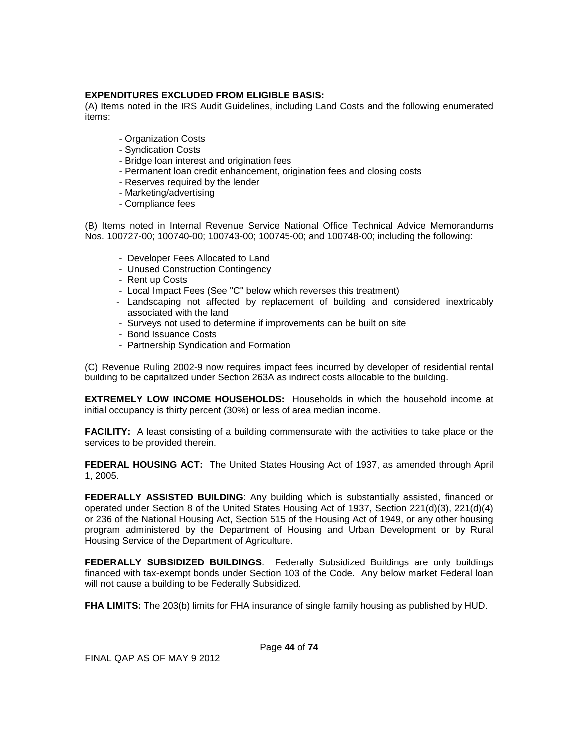## **EXPENDITURES EXCLUDED FROM ELIGIBLE BASIS:**

(A) Items noted in the IRS Audit Guidelines, including Land Costs and the following enumerated items:

- Organization Costs
- Syndication Costs
- Bridge loan interest and origination fees
- Permanent loan credit enhancement, origination fees and closing costs
- Reserves required by the lender
- Marketing/advertising
- Compliance fees

(B) Items noted in Internal Revenue Service National Office Technical Advice Memorandums Nos. 100727-00; 100740-00; 100743-00; 100745-00; and 100748-00; including the following:

- Developer Fees Allocated to Land
- Unused Construction Contingency
- Rent up Costs
- Local Impact Fees (See "C" below which reverses this treatment)
- Landscaping not affected by replacement of building and considered inextricably associated with the land
- Surveys not used to determine if improvements can be built on site
- Bond Issuance Costs
- Partnership Syndication and Formation

(C) Revenue Ruling 2002-9 now requires impact fees incurred by developer of residential rental building to be capitalized under Section 263A as indirect costs allocable to the building.

**EXTREMELY LOW INCOME HOUSEHOLDS:** Households in which the household income at initial occupancy is thirty percent (30%) or less of area median income.

**FACILITY:** A least consisting of a building commensurate with the activities to take place or the services to be provided therein.

**FEDERAL HOUSING ACT:** The United States Housing Act of 1937, as amended through April 1, 2005.

**FEDERALLY ASSISTED BUILDING:** Any building which is substantially assisted, financed or operated under Section 8 of the United States Housing Act of 1937, Section 221(d)(3), 221(d)(4) or 236 of the National Housing Act, Section 515 of the Housing Act of 1949, or any other housing program administered by the Department of Housing and Urban Development or by Rural Housing Service of the Department of Agriculture.

**FEDERALLY SUBSIDIZED BUILDINGS**: Federally Subsidized Buildings are only buildings financed with tax-exempt bonds under Section 103 of the Code. Any below market Federal loan will not cause a building to be Federally Subsidized.

**FHA LIMITS:** The 203(b) limits for FHA insurance of single family housing as published by HUD.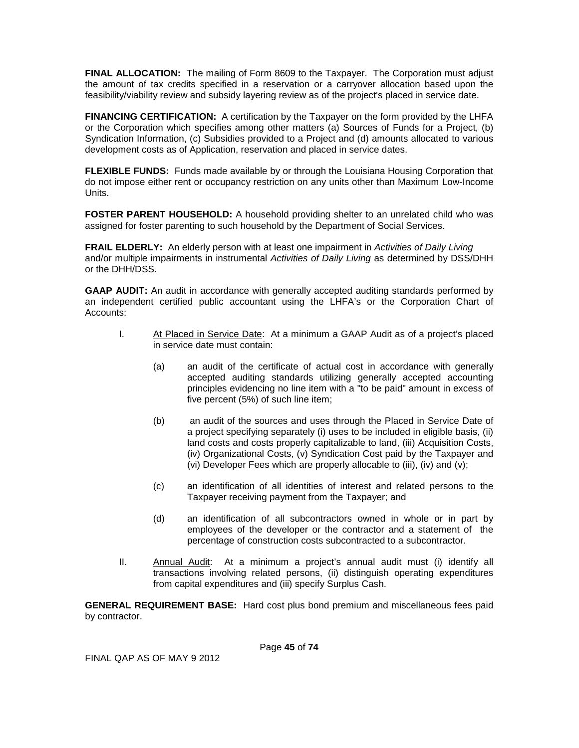**FINAL ALLOCATION:** The mailing of Form 8609 to the Taxpayer. The Corporation must adjust the amount of tax credits specified in a reservation or a carryover allocation based upon the feasibility/viability review and subsidy layering review as of the project's placed in service date.

**FINANCING CERTIFICATION:** A certification by the Taxpayer on the form provided by the LHFA or the Corporation which specifies among other matters (a) Sources of Funds for a Project, (b) Syndication Information, (c) Subsidies provided to a Project and (d) amounts allocated to various development costs as of Application, reservation and placed in service dates.

**FLEXIBLE FUNDS:** Funds made available by or through the Louisiana Housing Corporation that do not impose either rent or occupancy restriction on any units other than Maximum Low-Income Units.

**FOSTER PARENT HOUSEHOLD:** A household providing shelter to an unrelated child who was assigned for foster parenting to such household by the Department of Social Services.

**FRAIL ELDERLY:** An elderly person with at least one impairment in *Activities of Daily Living* and/or multiple impairments in instrumental *Activities of Daily Living* as determined by DSS/DHH or the DHH/DSS.

**GAAP AUDIT:** An audit in accordance with generally accepted auditing standards performed by an independent certified public accountant using the LHFA's or the Corporation Chart of Accounts:

- I. At Placed in Service Date: At a minimum a GAAP Audit as of a project's placed in service date must contain:
	- (a) an audit of the certificate of actual cost in accordance with generally accepted auditing standards utilizing generally accepted accounting principles evidencing no line item with a "to be paid" amount in excess of five percent (5%) of such line item;
	- (b) an audit of the sources and uses through the Placed in Service Date of a project specifying separately (i) uses to be included in eligible basis, (ii) land costs and costs properly capitalizable to land, (iii) Acquisition Costs, (iv) Organizational Costs, (v) Syndication Cost paid by the Taxpayer and (vi) Developer Fees which are properly allocable to (iii), (iv) and (v);
	- (c) an identification of all identities of interest and related persons to the Taxpayer receiving payment from the Taxpayer; and
	- (d) an identification of all subcontractors owned in whole or in part by employees of the developer or the contractor and a statement of the percentage of construction costs subcontracted to a subcontractor.
- II. Annual Audit: At a minimum a project's annual audit must (i) identify all transactions involving related persons, (ii) distinguish operating expenditures from capital expenditures and (iii) specify Surplus Cash.

**GENERAL REQUIREMENT BASE:** Hard cost plus bond premium and miscellaneous fees paid by contractor.

Page **45** of **74**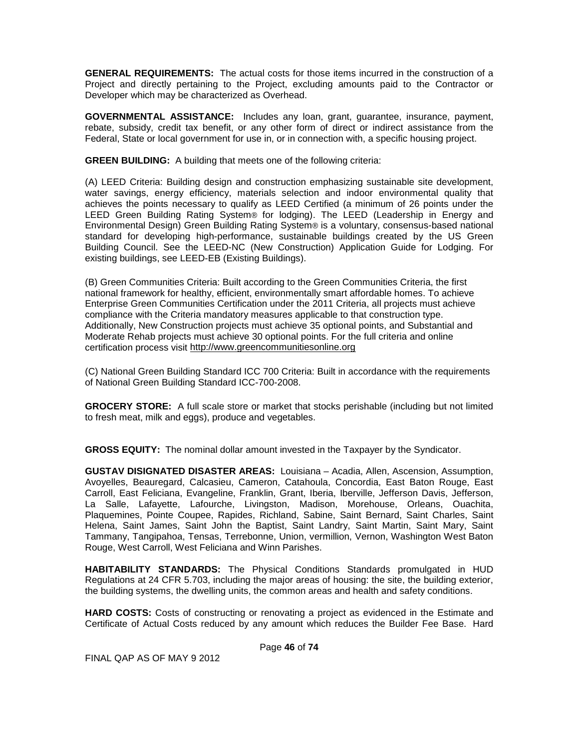**GENERAL REQUIREMENTS:** The actual costs for those items incurred in the construction of a Project and directly pertaining to the Project, excluding amounts paid to the Contractor or Developer which may be characterized as Overhead.

**GOVERNMENTAL ASSISTANCE:** Includes any loan, grant, guarantee, insurance, payment, rebate, subsidy, credit tax benefit, or any other form of direct or indirect assistance from the Federal, State or local government for use in, or in connection with, a specific housing project.

**GREEN BUILDING:** A building that meets one of the following criteria:

(A) LEED Criteria: Building design and construction emphasizing sustainable site development, water savings, energy efficiency, materials selection and indoor environmental quality that achieves the points necessary to qualify as LEED Certified (a minimum of 26 points under the LEED Green Building Rating System® for lodging). The LEED (Leadership in Energy and Environmental Design) Green Building Rating System® is a voluntary, consensus-based national standard for developing high-performance, sustainable buildings created by the US Green Building Council. See the LEED-NC (New Construction) Application Guide for Lodging. For existing buildings, see LEED-EB (Existing Buildings).

(B) Green Communities Criteria: Built according to the Green Communities Criteria, the first national framework for healthy, efficient, environmentally smart affordable homes. To achieve Enterprise Green Communities Certification under the 2011 Criteria, all projects must achieve compliance with the Criteria mandatory measures applicable to that construction type. Additionally, New Construction projects must achieve 35 optional points, and Substantial and Moderate Rehab projects must achieve 30 optional points. For the full criteria and online certification process visit [http://www.greencommunitiesonline.org](http://www.greencommunitiesonline.org/)

(C) National Green Building Standard ICC 700 Criteria: Built in accordance with the requirements of National Green Building Standard ICC-700-2008.

**GROCERY STORE:** A full scale store or market that stocks perishable (including but not limited to fresh meat, milk and eggs), produce and vegetables.

**GROSS EQUITY:** The nominal dollar amount invested in the Taxpayer by the Syndicator.

**GUSTAV DISIGNATED DISASTER AREAS:** Louisiana – Acadia, Allen, Ascension, Assumption, Avoyelles, Beauregard, Calcasieu, Cameron, Catahoula, Concordia, East Baton Rouge, East Carroll, East Feliciana, Evangeline, Franklin, Grant, Iberia, Iberville, Jefferson Davis, Jefferson, La Salle, Lafayette, Lafourche, Livingston, Madison, Morehouse, Orleans, Ouachita, Plaquemines, Pointe Coupee, Rapides, Richland, Sabine, Saint Bernard, Saint Charles, Saint Helena, Saint James, Saint John the Baptist, Saint Landry, Saint Martin, Saint Mary, Saint Tammany, Tangipahoa, Tensas, Terrebonne, Union, vermillion, Vernon, Washington West Baton Rouge, West Carroll, West Feliciana and Winn Parishes.

**HABITABILITY STANDARDS:** The Physical Conditions Standards promulgated in HUD Regulations at 24 CFR 5.703, including the major areas of housing: the site, the building exterior, the building systems, the dwelling units, the common areas and health and safety conditions.

**HARD COSTS:** Costs of constructing or renovating a project as evidenced in the Estimate and Certificate of Actual Costs reduced by any amount which reduces the Builder Fee Base. Hard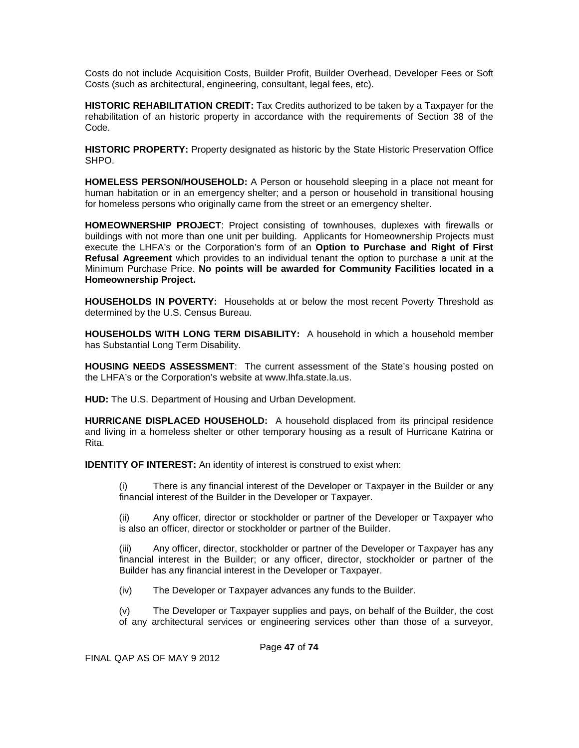Costs do not include Acquisition Costs, Builder Profit, Builder Overhead, Developer Fees or Soft Costs (such as architectural, engineering, consultant, legal fees, etc).

**HISTORIC REHABILITATION CREDIT:** Tax Credits authorized to be taken by a Taxpayer for the rehabilitation of an historic property in accordance with the requirements of Section 38 of the Code.

**HISTORIC PROPERTY:** Property designated as historic by the State Historic Preservation Office SHPO.

**HOMELESS PERSON/HOUSEHOLD:** A Person or household sleeping in a place not meant for human habitation or in an emergency shelter; and a person or household in transitional housing for homeless persons who originally came from the street or an emergency shelter.

**HOMEOWNERSHIP PROJECT**: Project consisting of townhouses, duplexes with firewalls or buildings with not more than one unit per building. Applicants for Homeownership Projects must execute the LHFA's or the Corporation's form of an **Option to Purchase and Right of First Refusal Agreement** which provides to an individual tenant the option to purchase a unit at the Minimum Purchase Price. **No points will be awarded for Community Facilities located in a Homeownership Project.**

**HOUSEHOLDS IN POVERTY:** Households at or below the most recent Poverty Threshold as determined by the U.S. Census Bureau.

**HOUSEHOLDS WITH LONG TERM DISABILITY:** A household in which a household member has Substantial Long Term Disability.

**HOUSING NEEDS ASSESSMENT**: The current assessment of the State's housing posted on the LHFA's or the Corporation's website at www.lhfa.state.la.us.

**HUD:** The U.S. Department of Housing and Urban Development.

**HURRICANE DISPLACED HOUSEHOLD:** A household displaced from its principal residence and living in a homeless shelter or other temporary housing as a result of Hurricane Katrina or Rita.

**IDENTITY OF INTEREST:** An identity of interest is construed to exist when:

(i) There is any financial interest of the Developer or Taxpayer in the Builder or any financial interest of the Builder in the Developer or Taxpayer.

(ii) Any officer, director or stockholder or partner of the Developer or Taxpayer who is also an officer, director or stockholder or partner of the Builder.

(iii) Any officer, director, stockholder or partner of the Developer or Taxpayer has any financial interest in the Builder; or any officer, director, stockholder or partner of the Builder has any financial interest in the Developer or Taxpayer.

(iv) The Developer or Taxpayer advances any funds to the Builder.

(v) The Developer or Taxpayer supplies and pays, on behalf of the Builder, the cost of any architectural services or engineering services other than those of a surveyor,

Page **47** of **74**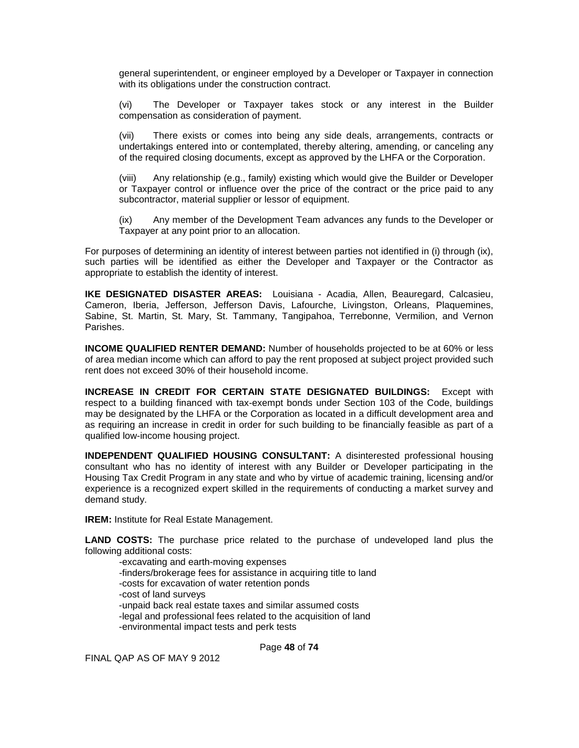general superintendent, or engineer employed by a Developer or Taxpayer in connection with its obligations under the construction contract.

(vi) The Developer or Taxpayer takes stock or any interest in the Builder compensation as consideration of payment.

(vii) There exists or comes into being any side deals, arrangements, contracts or undertakings entered into or contemplated, thereby altering, amending, or canceling any of the required closing documents, except as approved by the LHFA or the Corporation.

(viii) Any relationship (e.g., family) existing which would give the Builder or Developer or Taxpayer control or influence over the price of the contract or the price paid to any subcontractor, material supplier or lessor of equipment.

(ix) Any member of the Development Team advances any funds to the Developer or Taxpayer at any point prior to an allocation.

For purposes of determining an identity of interest between parties not identified in (i) through (ix), such parties will be identified as either the Developer and Taxpayer or the Contractor as appropriate to establish the identity of interest.

**IKE DESIGNATED DISASTER AREAS:** Louisiana - Acadia, Allen, Beauregard, Calcasieu, Cameron, Iberia, Jefferson, Jefferson Davis, Lafourche, Livingston, Orleans, Plaquemines, Sabine, St. Martin, St. Mary, St. Tammany, Tangipahoa, Terrebonne, Vermilion, and Vernon Parishes.

**INCOME QUALIFIED RENTER DEMAND:** Number of households projected to be at 60% or less of area median income which can afford to pay the rent proposed at subject project provided such rent does not exceed 30% of their household income.

**INCREASE IN CREDIT FOR CERTAIN STATE DESIGNATED BUILDINGS:** Except with respect to a building financed with tax-exempt bonds under Section 103 of the Code, buildings may be designated by the LHFA or the Corporation as located in a difficult development area and as requiring an increase in credit in order for such building to be financially feasible as part of a qualified low-income housing project.

**INDEPENDENT QUALIFIED HOUSING CONSULTANT:** A disinterested professional housing consultant who has no identity of interest with any Builder or Developer participating in the Housing Tax Credit Program in any state and who by virtue of academic training, licensing and/or experience is a recognized expert skilled in the requirements of conducting a market survey and demand study.

**IREM:** Institute for Real Estate Management.

**LAND COSTS:** The purchase price related to the purchase of undeveloped land plus the following additional costs:

-excavating and earth-moving expenses -finders/brokerage fees for assistance in acquiring title to land -costs for excavation of water retention ponds -cost of land surveys -unpaid back real estate taxes and similar assumed costs -legal and professional fees related to the acquisition of land -environmental impact tests and perk tests

Page **48** of **74**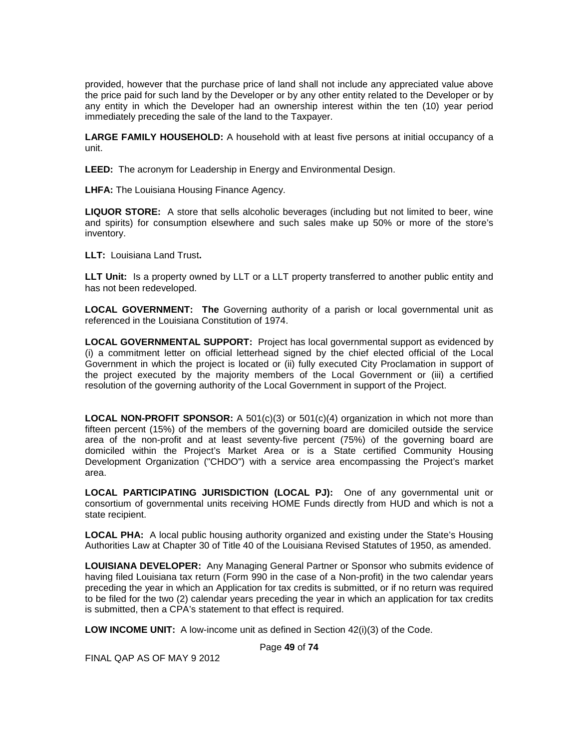provided, however that the purchase price of land shall not include any appreciated value above the price paid for such land by the Developer or by any other entity related to the Developer or by any entity in which the Developer had an ownership interest within the ten (10) year period immediately preceding the sale of the land to the Taxpayer.

**LARGE FAMILY HOUSEHOLD:** A household with at least five persons at initial occupancy of a unit.

**LEED:** The acronym for Leadership in Energy and Environmental Design.

**LHFA:** The Louisiana Housing Finance Agency.

**LIQUOR STORE:** A store that sells alcoholic beverages (including but not limited to beer, wine and spirits) for consumption elsewhere and such sales make up 50% or more of the store's inventory.

**LLT:** Louisiana Land Trust**.** 

**LLT Unit:** Is a property owned by LLT or a LLT property transferred to another public entity and has not been redeveloped.

**LOCAL GOVERNMENT: The** Governing authority of a parish or local governmental unit as referenced in the Louisiana Constitution of 1974.

**LOCAL GOVERNMENTAL SUPPORT:** Project has local governmental support as evidenced by (i) a commitment letter on official letterhead signed by the chief elected official of the Local Government in which the project is located or (ii) fully executed City Proclamation in support of the project executed by the majority members of the Local Government or (iii) a certified resolution of the governing authority of the Local Government in support of the Project.

**LOCAL NON-PROFIT SPONSOR:** A 501(c)(3) or 501(c)(4) organization in which not more than fifteen percent (15%) of the members of the governing board are domiciled outside the service area of the non-profit and at least seventy-five percent (75%) of the governing board are domiciled within the Project's Market Area or is a State certified Community Housing Development Organization ("CHDO") with a service area encompassing the Project's market area.

**LOCAL PARTICIPATING JURISDICTION (LOCAL PJ):** One of any governmental unit or consortium of governmental units receiving HOME Funds directly from HUD and which is not a state recipient.

**LOCAL PHA:** A local public housing authority organized and existing under the State's Housing Authorities Law at Chapter 30 of Title 40 of the Louisiana Revised Statutes of 1950, as amended.

**LOUISIANA DEVELOPER:** Any Managing General Partner or Sponsor who submits evidence of having filed Louisiana tax return (Form 990 in the case of a Non-profit) in the two calendar years preceding the year in which an Application for tax credits is submitted, or if no return was required to be filed for the two (2) calendar years preceding the year in which an application for tax credits is submitted, then a CPA's statement to that effect is required.

**LOW INCOME UNIT:** A low-income unit as defined in Section 42(i)(3) of the Code.

Page **49** of **74**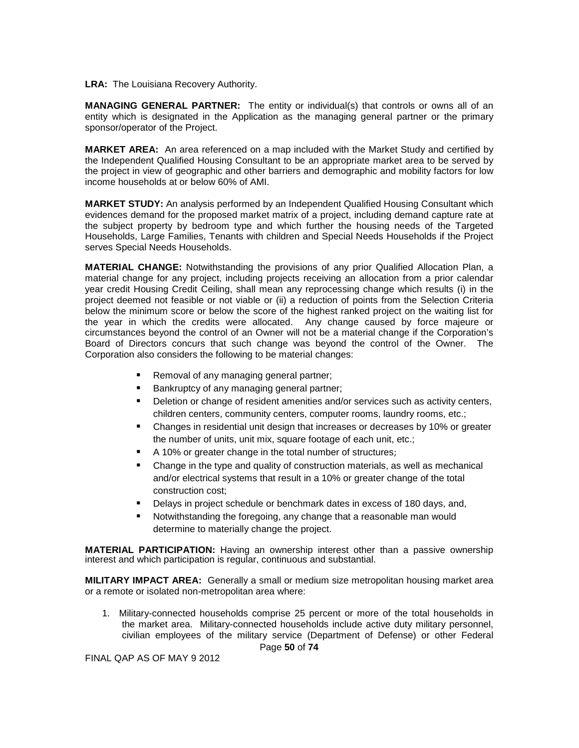**LRA:** The Louisiana Recovery Authority.

**MANAGING GENERAL PARTNER:** The entity or individual(s) that controls or owns all of an entity which is designated in the Application as the managing general partner or the primary sponsor/operator of the Project.

**MARKET AREA:** An area referenced on a map included with the Market Study and certified by the Independent Qualified Housing Consultant to be an appropriate market area to be served by the project in view of geographic and other barriers and demographic and mobility factors for low income households at or below 60% of AMI.

**MARKET STUDY:** An analysis performed by an Independent Qualified Housing Consultant which evidences demand for the proposed market matrix of a project, including demand capture rate at the subject property by bedroom type and which further the housing needs of the Targeted Households, Large Families, Tenants with children and Special Needs Households if the Project serves Special Needs Households.

**MATERIAL CHANGE:** Notwithstanding the provisions of any prior Qualified Allocation Plan, a material change for any project, including projects receiving an allocation from a prior calendar year credit Housing Credit Ceiling, shall mean any reprocessing change which results (i) in the project deemed not feasible or not viable or (ii) a reduction of points from the Selection Criteria below the minimum score or below the score of the highest ranked project on the waiting list for the year in which the credits were allocated. Any change caused by force majeure or circumstances beyond the control of an Owner will not be a material change if the Corporation's Board of Directors concurs that such change was beyond the control of the Owner. The Corporation also considers the following to be material changes:

- Removal of any managing general partner;
- Bankruptcy of any managing general partner;
- Deletion or change of resident amenities and/or services such as activity centers, children centers, community centers, computer rooms, laundry rooms, etc.;
- Changes in residential unit design that increases or decreases by 10% or greater the number of units, unit mix, square footage of each unit, etc.;
- A 10% or greater change in the total number of structures;
- Change in the type and quality of construction materials, as well as mechanical and/or electrical systems that result in a 10% or greater change of the total construction cost;
- Delays in project schedule or benchmark dates in excess of 180 days, and,
- Notwithstanding the foregoing, any change that a reasonable man would determine to materially change the project.

**MATERIAL PARTICIPATION:** Having an ownership interest other than a passive ownership interest and which participation is regular, continuous and substantial.

**MILITARY IMPACT AREA:** Generally a small or medium size metropolitan housing market area or a remote or isolated non-metropolitan area where:

1. Military-connected households comprise 25 percent or more of the total households in the market area. Military-connected households include active duty military personnel, civilian employees of the military service (Department of Defense) or other Federal

Page **50** of **74**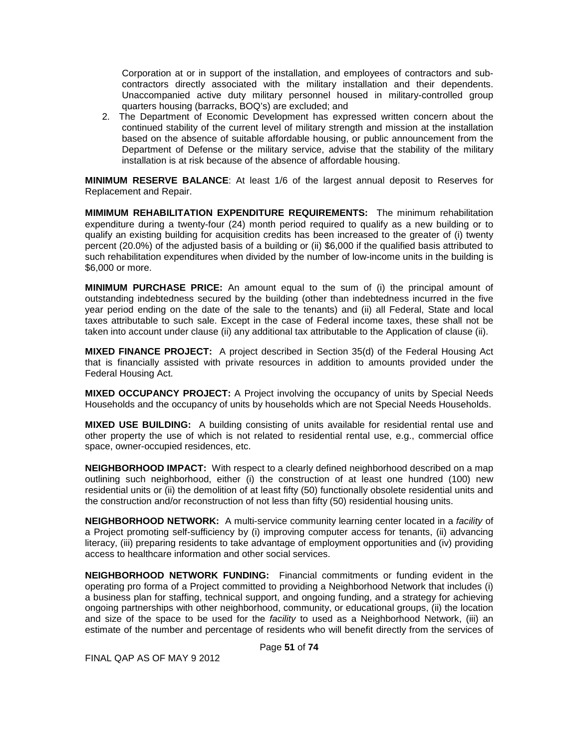Corporation at or in support of the installation, and employees of contractors and subcontractors directly associated with the military installation and their dependents. Unaccompanied active duty military personnel housed in military-controlled group quarters housing (barracks, BOQ's) are excluded; and

2. The Department of Economic Development has expressed written concern about the continued stability of the current level of military strength and mission at the installation based on the absence of suitable affordable housing, or public announcement from the Department of Defense or the military service, advise that the stability of the military installation is at risk because of the absence of affordable housing.

**MINIMUM RESERVE BALANCE**: At least 1/6 of the largest annual deposit to Reserves for Replacement and Repair.

**MIMIMUM REHABILITATION EXPENDITURE REQUIREMENTS:** The minimum rehabilitation expenditure during a twenty-four (24) month period required to qualify as a new building or to qualify an existing building for acquisition credits has been increased to the greater of (i) twenty percent (20.0%) of the adjusted basis of a building or (ii) \$6,000 if the qualified basis attributed to such rehabilitation expenditures when divided by the number of low-income units in the building is \$6,000 or more.

**MINIMUM PURCHASE PRICE:** An amount equal to the sum of (i) the principal amount of outstanding indebtedness secured by the building (other than indebtedness incurred in the five year period ending on the date of the sale to the tenants) and (ii) all Federal, State and local taxes attributable to such sale. Except in the case of Federal income taxes, these shall not be taken into account under clause (ii) any additional tax attributable to the Application of clause (ii).

**MIXED FINANCE PROJECT:** A project described in Section 35(d) of the Federal Housing Act that is financially assisted with private resources in addition to amounts provided under the Federal Housing Act.

**MIXED OCCUPANCY PROJECT:** A Project involving the occupancy of units by Special Needs Households and the occupancy of units by households which are not Special Needs Households.

**MIXED USE BUILDING:** A building consisting of units available for residential rental use and other property the use of which is not related to residential rental use, e.g., commercial office space, owner-occupied residences, etc.

**NEIGHBORHOOD IMPACT:** With respect to a clearly defined neighborhood described on a map outlining such neighborhood, either (i) the construction of at least one hundred (100) new residential units or (ii) the demolition of at least fifty (50) functionally obsolete residential units and the construction and/or reconstruction of not less than fifty (50) residential housing units.

**NEIGHBORHOOD NETWORK:** A multi-service community learning center located in a *facility* of a Project promoting self-sufficiency by (i) improving computer access for tenants, (ii) advancing literacy, (iii) preparing residents to take advantage of employment opportunities and (iv) providing access to healthcare information and other social services.

**NEIGHBORHOOD NETWORK FUNDING:** Financial commitments or funding evident in the operating pro forma of a Project committed to providing a Neighborhood Network that includes (i) a business plan for staffing, technical support, and ongoing funding, and a strategy for achieving ongoing partnerships with other neighborhood, community, or educational groups, (ii) the location and size of the space to be used for the *facility* to used as a Neighborhood Network, (iii) an estimate of the number and percentage of residents who will benefit directly from the services of

Page **51** of **74**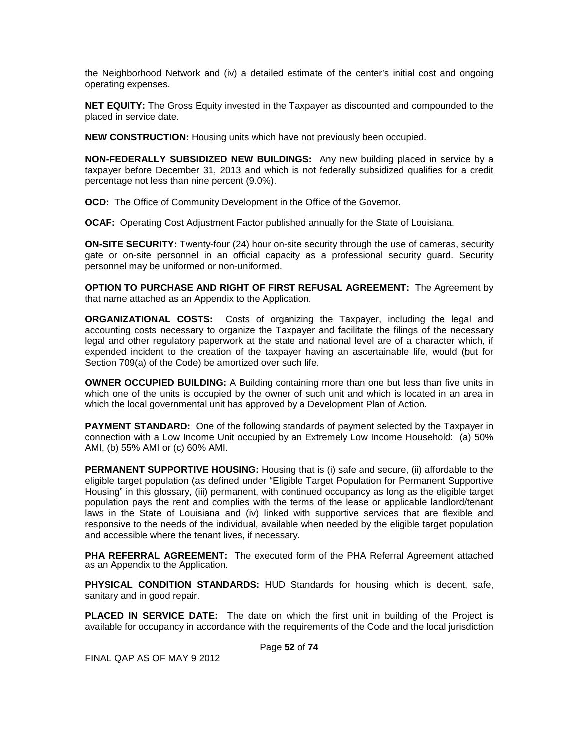the Neighborhood Network and (iv) a detailed estimate of the center's initial cost and ongoing operating expenses.

**NET EQUITY:** The Gross Equity invested in the Taxpayer as discounted and compounded to the placed in service date.

**NEW CONSTRUCTION:** Housing units which have not previously been occupied.

**NON-FEDERALLY SUBSIDIZED NEW BUILDINGS:** Any new building placed in service by a taxpayer before December 31, 2013 and which is not federally subsidized qualifies for a credit percentage not less than nine percent (9.0%).

**OCD:** The Office of Community Development in the Office of the Governor.

**OCAF:** Operating Cost Adjustment Factor published annually for the State of Louisiana.

**ON-SITE SECURITY:** Twenty-four (24) hour on-site security through the use of cameras, security gate or on-site personnel in an official capacity as a professional security guard. Security personnel may be uniformed or non-uniformed.

**OPTION TO PURCHASE AND RIGHT OF FIRST REFUSAL AGREEMENT:** The Agreement by that name attached as an Appendix to the Application.

**ORGANIZATIONAL COSTS:** Costs of organizing the Taxpayer, including the legal and accounting costs necessary to organize the Taxpayer and facilitate the filings of the necessary legal and other regulatory paperwork at the state and national level are of a character which, if expended incident to the creation of the taxpayer having an ascertainable life, would (but for Section 709(a) of the Code) be amortized over such life.

**OWNER OCCUPIED BUILDING:** A Building containing more than one but less than five units in which one of the units is occupied by the owner of such unit and which is located in an area in which the local governmental unit has approved by a Development Plan of Action.

**PAYMENT STANDARD:** One of the following standards of payment selected by the Taxpayer in connection with a Low Income Unit occupied by an Extremely Low Income Household: (a) 50% AMI, (b) 55% AMI or (c) 60% AMI.

**PERMANENT SUPPORTIVE HOUSING:** Housing that is (i) safe and secure, (ii) affordable to the eligible target population (as defined under "Eligible Target Population for Permanent Supportive Housing" in this glossary, (iii) permanent, with continued occupancy as long as the eligible target population pays the rent and complies with the terms of the lease or applicable landlord/tenant laws in the State of Louisiana and (iv) linked with supportive services that are flexible and responsive to the needs of the individual, available when needed by the eligible target population and accessible where the tenant lives, if necessary.

**PHA REFERRAL AGREEMENT:** The executed form of the PHA Referral Agreement attached as an Appendix to the Application.

**PHYSICAL CONDITION STANDARDS:** HUD Standards for housing which is decent, safe, sanitary and in good repair.

**PLACED IN SERVICE DATE:** The date on which the first unit in building of the Project is available for occupancy in accordance with the requirements of the Code and the local jurisdiction

Page **52** of **74**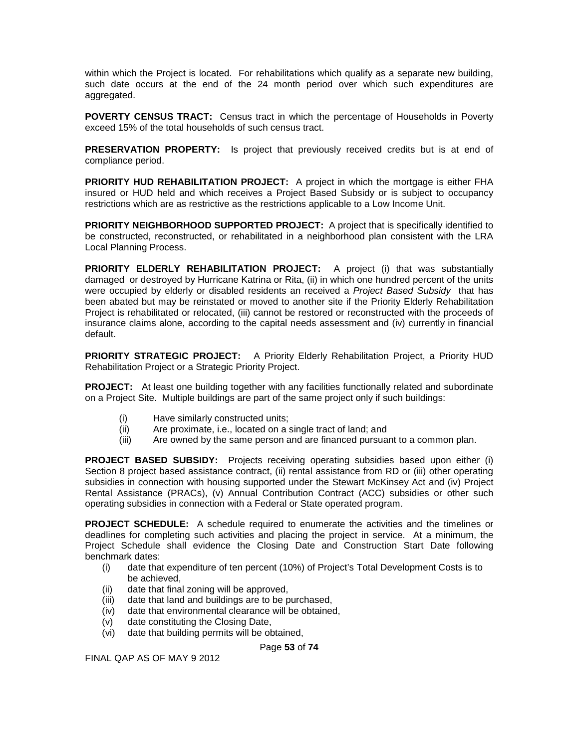within which the Project is located. For rehabilitations which qualify as a separate new building, such date occurs at the end of the 24 month period over which such expenditures are aggregated.

**POVERTY CENSUS TRACT:** Census tract in which the percentage of Households in Poverty exceed 15% of the total households of such census tract.

**PRESERVATION PROPERTY:** Is project that previously received credits but is at end of compliance period.

**PRIORITY HUD REHABILITATION PROJECT:** A project in which the mortgage is either FHA insured or HUD held and which receives a Project Based Subsidy or is subject to occupancy restrictions which are as restrictive as the restrictions applicable to a Low Income Unit.

**PRIORITY NEIGHBORHOOD SUPPORTED PROJECT:** A project that is specifically identified to be constructed, reconstructed, or rehabilitated in a neighborhood plan consistent with the LRA Local Planning Process.

**PRIORITY ELDERLY REHABILITATION PROJECT:** A project (i) that was substantially damaged or destroyed by Hurricane Katrina or Rita, (ii) in which one hundred percent of the units were occupied by elderly or disabled residents an received a *Project Based Subsidy* that has been abated but may be reinstated or moved to another site if the Priority Elderly Rehabilitation Project is rehabilitated or relocated, (iii) cannot be restored or reconstructed with the proceeds of insurance claims alone, according to the capital needs assessment and (iv) currently in financial default.

**PRIORITY STRATEGIC PROJECT:** A Priority Elderly Rehabilitation Project, a Priority HUD Rehabilitation Project or a Strategic Priority Project.

**PROJECT:** At least one building together with any facilities functionally related and subordinate on a Project Site. Multiple buildings are part of the same project only if such buildings:

- (i) Have similarly constructed units;
- (ii) Are proximate, i.e., located on a single tract of land; and
- (iii) Are owned by the same person and are financed pursuant to a common plan.

**PROJECT BASED SUBSIDY:** Projects receiving operating subsidies based upon either (i) Section 8 project based assistance contract, (ii) rental assistance from RD or (iii) other operating subsidies in connection with housing supported under the Stewart McKinsey Act and (iv) Project Rental Assistance (PRACs), (v) Annual Contribution Contract (ACC) subsidies or other such operating subsidies in connection with a Federal or State operated program.

**PROJECT SCHEDULE:** A schedule required to enumerate the activities and the timelines or deadlines for completing such activities and placing the project in service. At a minimum, the Project Schedule shall evidence the Closing Date and Construction Start Date following benchmark dates:

- (i) date that expenditure of ten percent (10%) of Project's Total Development Costs is to be achieved,
- (ii) date that final zoning will be approved,
- (iii) date that land and buildings are to be purchased,
- (iv) date that environmental clearance will be obtained,
- (v) date constituting the Closing Date,
- (vi) date that building permits will be obtained,

Page **53** of **74**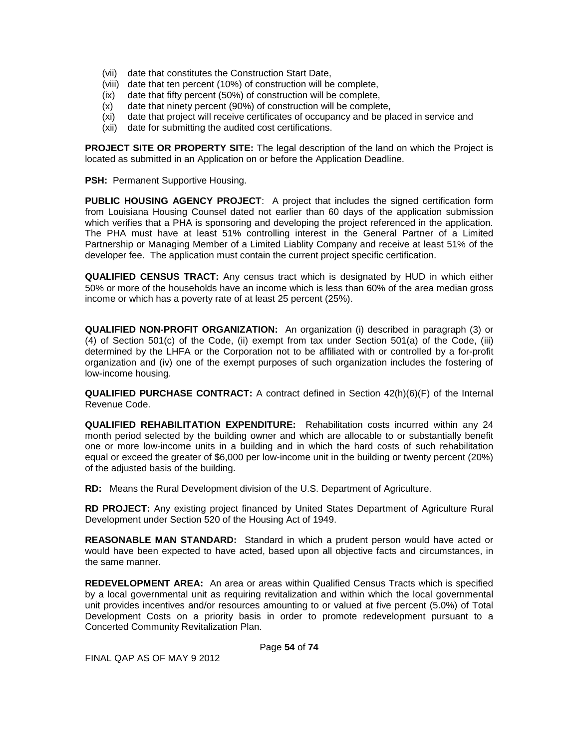- (vii) date that constitutes the Construction Start Date,
- (viii) date that ten percent (10%) of construction will be complete,
- (ix) date that fifty percent (50%) of construction will be complete,
- (x) date that ninety percent (90%) of construction will be complete,
- (xi) date that project will receive certificates of occupancy and be placed in service and
- (xii) date for submitting the audited cost certifications.

**PROJECT SITE OR PROPERTY SITE:** The legal description of the land on which the Project is located as submitted in an Application on or before the Application Deadline.

**PSH: Permanent Supportive Housing.** 

**PUBLIC HOUSING AGENCY PROJECT**: A project that includes the signed certification form from Louisiana Housing Counsel dated not earlier than 60 days of the application submission which verifies that a PHA is sponsoring and developing the project referenced in the application. The PHA must have at least 51% controlling interest in the General Partner of a Limited Partnership or Managing Member of a Limited Liablity Company and receive at least 51% of the developer fee. The application must contain the current project specific certification.

**QUALIFIED CENSUS TRACT:** Any census tract which is designated by HUD in which either 50% or more of the households have an income which is less than 60% of the area median gross income or which has a poverty rate of at least 25 percent (25%).

**QUALIFIED NON-PROFIT ORGANIZATION:** An organization (i) described in paragraph (3) or (4) of Section 501(c) of the Code, (ii) exempt from tax under Section 501(a) of the Code, (iii) determined by the LHFA or the Corporation not to be affiliated with or controlled by a for-profit organization and (iv) one of the exempt purposes of such organization includes the fostering of low-income housing.

**QUALIFIED PURCHASE CONTRACT:** A contract defined in Section 42(h)(6)(F) of the Internal Revenue Code.

**QUALIFIED REHABILITATION EXPENDITURE:** Rehabilitation costs incurred within any 24 month period selected by the building owner and which are allocable to or substantially benefit one or more low-income units in a building and in which the hard costs of such rehabilitation equal or exceed the greater of \$6,000 per low-income unit in the building or twenty percent (20%) of the adjusted basis of the building.

**RD:** Means the Rural Development division of the U.S. Department of Agriculture.

**RD PROJECT:** Any existing project financed by United States Department of Agriculture Rural Development under Section 520 of the Housing Act of 1949.

**REASONABLE MAN STANDARD:** Standard in which a prudent person would have acted or would have been expected to have acted, based upon all objective facts and circumstances, in the same manner.

**REDEVELOPMENT AREA:** An area or areas within Qualified Census Tracts which is specified by a local governmental unit as requiring revitalization and within which the local governmental unit provides incentives and/or resources amounting to or valued at five percent (5.0%) of Total Development Costs on a priority basis in order to promote redevelopment pursuant to a Concerted Community Revitalization Plan.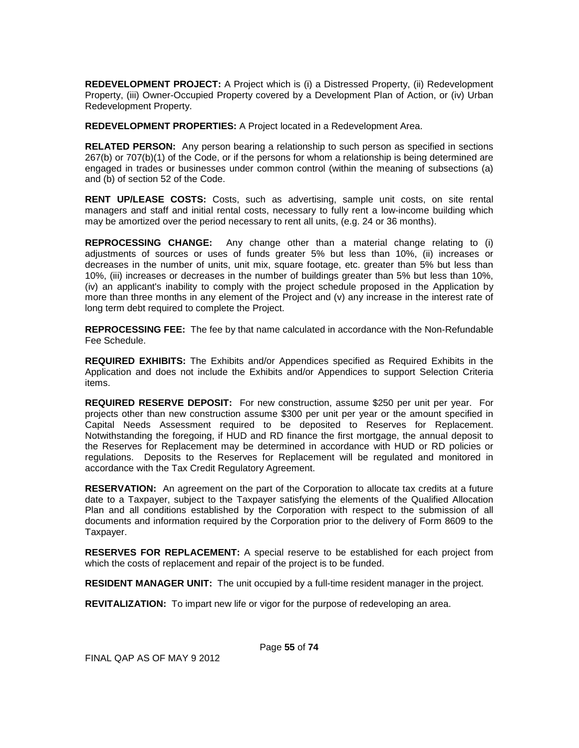**REDEVELOPMENT PROJECT:** A Project which is (i) a Distressed Property, (ii) Redevelopment Property, (iii) Owner-Occupied Property covered by a Development Plan of Action, or (iv) Urban Redevelopment Property.

**REDEVELOPMENT PROPERTIES:** A Project located in a Redevelopment Area.

**RELATED PERSON:** Any person bearing a relationship to such person as specified in sections 267(b) or 707(b)(1) of the Code, or if the persons for whom a relationship is being determined are engaged in trades or businesses under common control (within the meaning of subsections (a) and (b) of section 52 of the Code.

**RENT UP/LEASE COSTS:** Costs, such as advertising, sample unit costs, on site rental managers and staff and initial rental costs, necessary to fully rent a low-income building which may be amortized over the period necessary to rent all units, (e.g. 24 or 36 months).

**REPROCESSING CHANGE:** Any change other than a material change relating to (i) adjustments of sources or uses of funds greater 5% but less than 10%, (ii) increases or decreases in the number of units, unit mix, square footage, etc. greater than 5% but less than 10%, (iii) increases or decreases in the number of buildings greater than 5% but less than 10%, (iv) an applicant's inability to comply with the project schedule proposed in the Application by more than three months in any element of the Project and (v) any increase in the interest rate of long term debt required to complete the Project.

**REPROCESSING FEE:** The fee by that name calculated in accordance with the Non-Refundable Fee Schedule.

**REQUIRED EXHIBITS:** The Exhibits and/or Appendices specified as Required Exhibits in the Application and does not include the Exhibits and/or Appendices to support Selection Criteria items.

**REQUIRED RESERVE DEPOSIT:** For new construction, assume \$250 per unit per year. For projects other than new construction assume \$300 per unit per year or the amount specified in Capital Needs Assessment required to be deposited to Reserves for Replacement. Notwithstanding the foregoing, if HUD and RD finance the first mortgage, the annual deposit to the Reserves for Replacement may be determined in accordance with HUD or RD policies or regulations. Deposits to the Reserves for Replacement will be regulated and monitored in accordance with the Tax Credit Regulatory Agreement.

**RESERVATION:** An agreement on the part of the Corporation to allocate tax credits at a future date to a Taxpayer, subject to the Taxpayer satisfying the elements of the Qualified Allocation Plan and all conditions established by the Corporation with respect to the submission of all documents and information required by the Corporation prior to the delivery of Form 8609 to the Taxpayer.

**RESERVES FOR REPLACEMENT:** A special reserve to be established for each project from which the costs of replacement and repair of the project is to be funded.

**RESIDENT MANAGER UNIT:** The unit occupied by a full-time resident manager in the project.

**REVITALIZATION:** To impart new life or vigor for the purpose of redeveloping an area.

FINAL QAP AS OF MAY 9 2012

Page **55** of **74**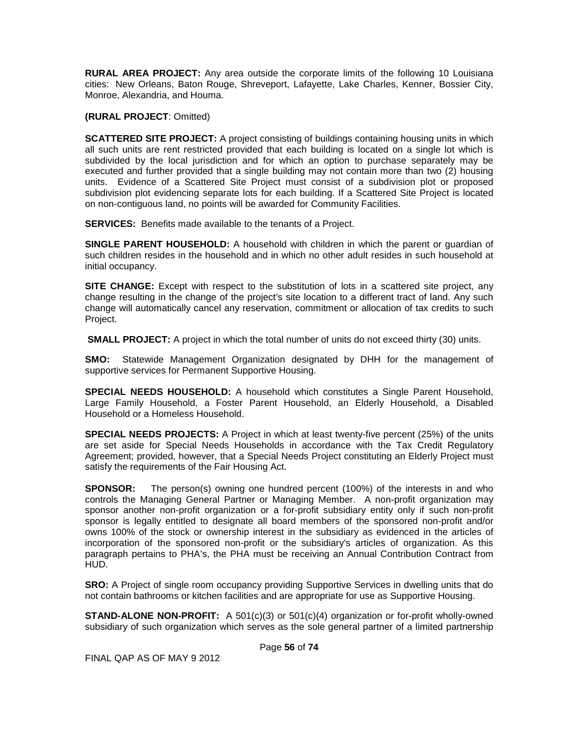**RURAL AREA PROJECT:** Any area outside the corporate limits of the following 10 Louisiana cities: New Orleans, Baton Rouge, Shreveport, Lafayette, Lake Charles, Kenner, Bossier City, Monroe, Alexandria, and Houma.

**(RURAL PROJECT**: Omitted)

**SCATTERED SITE PROJECT:** A project consisting of buildings containing housing units in which all such units are rent restricted provided that each building is located on a single lot which is subdivided by the local jurisdiction and for which an option to purchase separately may be executed and further provided that a single building may not contain more than two (2) housing units. Evidence of a Scattered Site Project must consist of a subdivision plot or proposed subdivision plot evidencing separate lots for each building. If a Scattered Site Project is located on non-contiguous land, no points will be awarded for Community Facilities.

**SERVICES:** Benefits made available to the tenants of a Project.

**SINGLE PARENT HOUSEHOLD:** A household with children in which the parent or guardian of such children resides in the household and in which no other adult resides in such household at initial occupancy.

**SITE CHANGE:** Except with respect to the substitution of lots in a scattered site project, any change resulting in the change of the project's site location to a different tract of land. Any such change will automatically cancel any reservation, commitment or allocation of tax credits to such Project.

**SMALL PROJECT:** A project in which the total number of units do not exceed thirty (30) units.

**SMO:** Statewide Management Organization designated by DHH for the management of supportive services for Permanent Supportive Housing.

**SPECIAL NEEDS HOUSEHOLD:** A household which constitutes a Single Parent Household, Large Family Household, a Foster Parent Household, an Elderly Household, a Disabled Household or a Homeless Household.

**SPECIAL NEEDS PROJECTS:** A Project in which at least twenty-five percent (25%) of the units are set aside for Special Needs Households in accordance with the Tax Credit Regulatory Agreement; provided, however, that a Special Needs Project constituting an Elderly Project must satisfy the requirements of the Fair Housing Act.

**SPONSOR:** The person(s) owning one hundred percent (100%) of the interests in and who controls the Managing General Partner or Managing Member. A non-profit organization may sponsor another non-profit organization or a for-profit subsidiary entity only if such non-profit sponsor is legally entitled to designate all board members of the sponsored non-profit and/or owns 100% of the stock or ownership interest in the subsidiary as evidenced in the articles of incorporation of the sponsored non-profit or the subsidiary's articles of organization. As this paragraph pertains to PHA's, the PHA must be receiving an Annual Contribution Contract from HUD.

**SRO:** A Project of single room occupancy providing Supportive Services in dwelling units that do not contain bathrooms or kitchen facilities and are appropriate for use as Supportive Housing.

**STAND-ALONE NON-PROFIT:** A 501(c)(3) or 501(c)(4) organization or for-profit wholly-owned subsidiary of such organization which serves as the sole general partner of a limited partnership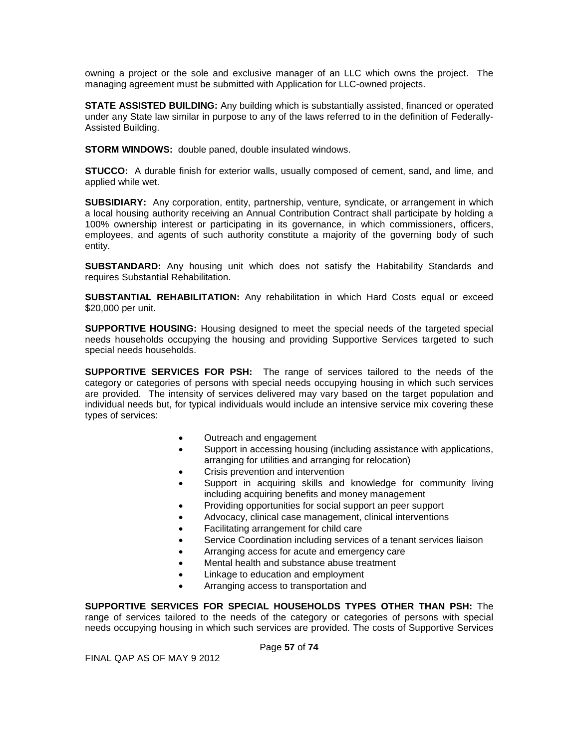owning a project or the sole and exclusive manager of an LLC which owns the project. The managing agreement must be submitted with Application for LLC-owned projects.

**STATE ASSISTED BUILDING:** Any building which is substantially assisted, financed or operated under any State law similar in purpose to any of the laws referred to in the definition of Federally-Assisted Building.

**STORM WINDOWS:** double paned, double insulated windows.

**STUCCO:** A durable finish for exterior walls, usually composed of cement, sand, and lime, and applied while wet.

**SUBSIDIARY:** Any corporation, entity, partnership, venture, syndicate, or arrangement in which a local housing authority receiving an Annual Contribution Contract shall participate by holding a 100% ownership interest or participating in its governance, in which commissioners, officers, employees, and agents of such authority constitute a majority of the governing body of such entity.

**SUBSTANDARD:** Any housing unit which does not satisfy the Habitability Standards and requires Substantial Rehabilitation.

**SUBSTANTIAL REHABILITATION:** Any rehabilitation in which Hard Costs equal or exceed \$20,000 per unit.

**SUPPORTIVE HOUSING:** Housing designed to meet the special needs of the targeted special needs households occupying the housing and providing Supportive Services targeted to such special needs households.

**SUPPORTIVE SERVICES FOR PSH:** The range of services tailored to the needs of the category or categories of persons with special needs occupying housing in which such services are provided. The intensity of services delivered may vary based on the target population and individual needs but, for typical individuals would include an intensive service mix covering these types of services:

- Outreach and engagement
- Support in accessing housing (including assistance with applications, arranging for utilities and arranging for relocation)
- Crisis prevention and intervention
- Support in acquiring skills and knowledge for community living including acquiring benefits and money management
- Providing opportunities for social support an peer support
- Advocacy, clinical case management, clinical interventions
- Facilitating arrangement for child care
- Service Coordination including services of a tenant services liaison
- Arranging access for acute and emergency care
- Mental health and substance abuse treatment
- Linkage to education and employment
- Arranging access to transportation and

**SUPPORTIVE SERVICES FOR SPECIAL HOUSEHOLDS TYPES OTHER THAN PSH:** The range of services tailored to the needs of the category or categories of persons with special needs occupying housing in which such services are provided. The costs of Supportive Services

Page **57** of **74**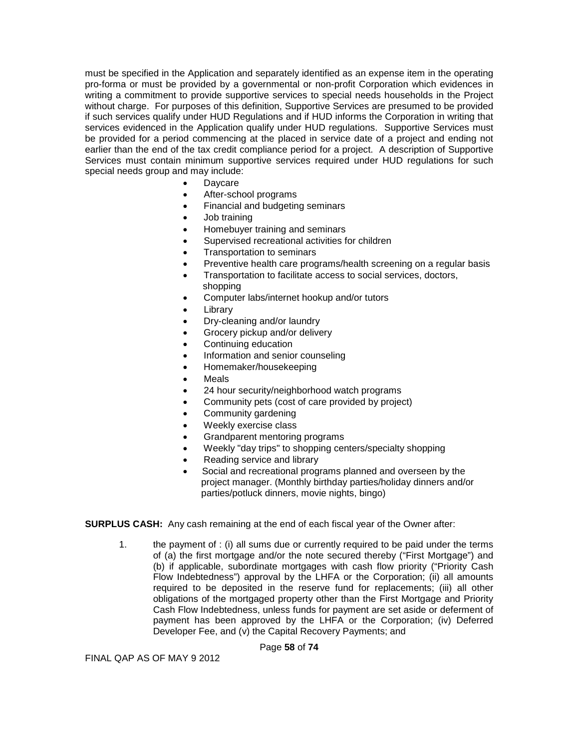must be specified in the Application and separately identified as an expense item in the operating pro-forma or must be provided by a governmental or non-profit Corporation which evidences in writing a commitment to provide supportive services to special needs households in the Project without charge. For purposes of this definition, Supportive Services are presumed to be provided if such services qualify under HUD Regulations and if HUD informs the Corporation in writing that services evidenced in the Application qualify under HUD regulations. Supportive Services must be provided for a period commencing at the placed in service date of a project and ending not earlier than the end of the tax credit compliance period for a project. A description of Supportive Services must contain minimum supportive services required under HUD regulations for such special needs group and may include:

- **Daycare**
- After-school programs
- Financial and budgeting seminars
- Job training
- Homebuyer training and seminars
- Supervised recreational activities for children
- Transportation to seminars
- Preventive health care programs/health screening on a regular basis
- Transportation to facilitate access to social services, doctors, shopping
- Computer labs/internet hookup and/or tutors
- **Library**
- Dry-cleaning and/or laundry
- Grocery pickup and/or delivery
- Continuing education
- Information and senior counseling
- Homemaker/housekeeping
- **Meals**
- 24 hour security/neighborhood watch programs
- Community pets (cost of care provided by project)
- Community gardening
- Weekly exercise class
- Grandparent mentoring programs
- Weekly "day trips" to shopping centers/specialty shopping
- Reading service and library
- Social and recreational programs planned and overseen by the project manager. (Monthly birthday parties/holiday dinners and/or parties/potluck dinners, movie nights, bingo)

**SURPLUS CASH:** Any cash remaining at the end of each fiscal year of the Owner after:

1. the payment of : (i) all sums due or currently required to be paid under the terms of (a) the first mortgage and/or the note secured thereby ("First Mortgage") and (b) if applicable, subordinate mortgages with cash flow priority ("Priority Cash Flow Indebtedness") approval by the LHFA or the Corporation; (ii) all amounts required to be deposited in the reserve fund for replacements; (iii) all other obligations of the mortgaged property other than the First Mortgage and Priority Cash Flow Indebtedness, unless funds for payment are set aside or deferment of payment has been approved by the LHFA or the Corporation; (iv) Deferred Developer Fee, and (v) the Capital Recovery Payments; and

Page **58** of **74**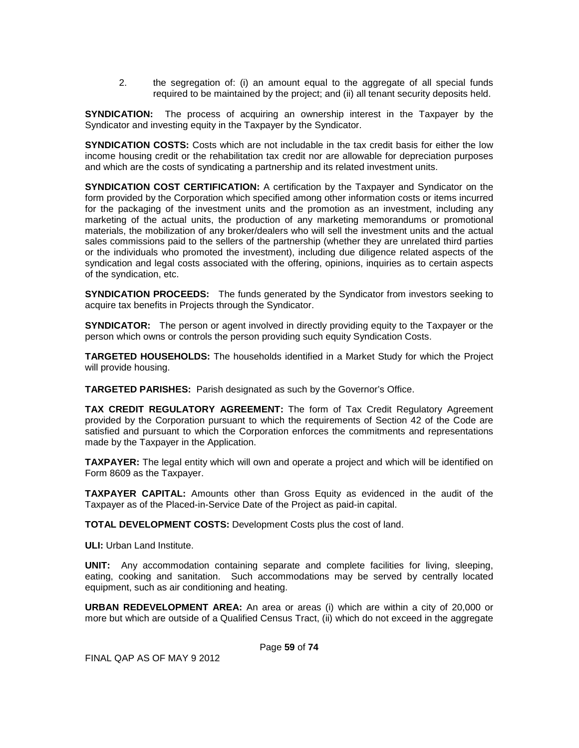2. the segregation of: (i) an amount equal to the aggregate of all special funds required to be maintained by the project; and (ii) all tenant security deposits held.

**SYNDICATION:** The process of acquiring an ownership interest in the Taxpayer by the Syndicator and investing equity in the Taxpayer by the Syndicator.

**SYNDICATION COSTS:** Costs which are not includable in the tax credit basis for either the low income housing credit or the rehabilitation tax credit nor are allowable for depreciation purposes and which are the costs of syndicating a partnership and its related investment units.

**SYNDICATION COST CERTIFICATION:** A certification by the Taxpayer and Syndicator on the form provided by the Corporation which specified among other information costs or items incurred for the packaging of the investment units and the promotion as an investment, including any marketing of the actual units, the production of any marketing memorandums or promotional materials, the mobilization of any broker/dealers who will sell the investment units and the actual sales commissions paid to the sellers of the partnership (whether they are unrelated third parties or the individuals who promoted the investment), including due diligence related aspects of the syndication and legal costs associated with the offering, opinions, inquiries as to certain aspects of the syndication, etc.

**SYNDICATION PROCEEDS:** The funds generated by the Syndicator from investors seeking to acquire tax benefits in Projects through the Syndicator.

**SYNDICATOR:** The person or agent involved in directly providing equity to the Taxpayer or the person which owns or controls the person providing such equity Syndication Costs.

**TARGETED HOUSEHOLDS:** The households identified in a Market Study for which the Project will provide housing.

**TARGETED PARISHES:** Parish designated as such by the Governor's Office.

**TAX CREDIT REGULATORY AGREEMENT:** The form of Tax Credit Regulatory Agreement provided by the Corporation pursuant to which the requirements of Section 42 of the Code are satisfied and pursuant to which the Corporation enforces the commitments and representations made by the Taxpayer in the Application.

**TAXPAYER:** The legal entity which will own and operate a project and which will be identified on Form 8609 as the Taxpayer.

**TAXPAYER CAPITAL:** Amounts other than Gross Equity as evidenced in the audit of the Taxpayer as of the Placed-in-Service Date of the Project as paid-in capital.

**TOTAL DEVELOPMENT COSTS:** Development Costs plus the cost of land.

**ULI:** Urban Land Institute.

**UNIT:** Any accommodation containing separate and complete facilities for living, sleeping, eating, cooking and sanitation. Such accommodations may be served by centrally located equipment, such as air conditioning and heating.

**URBAN REDEVELOPMENT AREA:** An area or areas (i) which are within a city of 20,000 or more but which are outside of a Qualified Census Tract, (ii) which do not exceed in the aggregate

Page **59** of **74**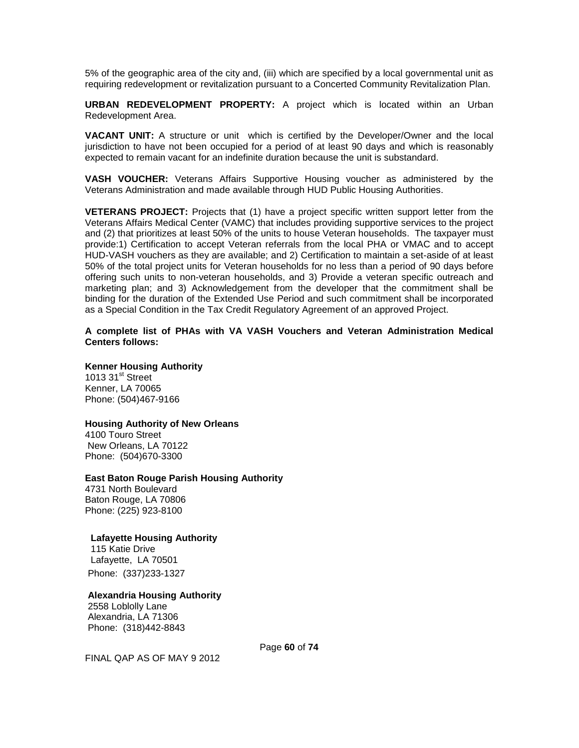5% of the geographic area of the city and, (iii) which are specified by a local governmental unit as requiring redevelopment or revitalization pursuant to a Concerted Community Revitalization Plan.

**URBAN REDEVELOPMENT PROPERTY:** A project which is located within an Urban Redevelopment Area.

**VACANT UNIT:** A structure or unit which is certified by the Developer/Owner and the local jurisdiction to have not been occupied for a period of at least 90 days and which is reasonably expected to remain vacant for an indefinite duration because the unit is substandard.

**VASH VOUCHER:** Veterans Affairs Supportive Housing voucher as administered by the Veterans Administration and made available through HUD Public Housing Authorities.

**VETERANS PROJECT:** Projects that (1) have a project specific written support letter from the Veterans Affairs Medical Center (VAMC) that includes providing supportive services to the project and (2) that prioritizes at least 50% of the units to house Veteran households. The taxpayer must provide:1) Certification to accept Veteran referrals from the local PHA or VMAC and to accept HUD-VASH vouchers as they are available; and 2) Certification to maintain a set-aside of at least 50% of the total project units for Veteran households for no less than a period of 90 days before offering such units to non-veteran households, and 3) Provide a veteran specific outreach and marketing plan; and 3) Acknowledgement from the developer that the commitment shall be binding for the duration of the Extended Use Period and such commitment shall be incorporated as a Special Condition in the Tax Credit Regulatory Agreement of an approved Project.

#### **A complete list of PHAs with VA VASH Vouchers and Veteran Administration Medical Centers follows:**

#### **Kenner Housing Authority** 1013  $31<sup>st</sup>$  Street

Kenner, LA 70065 Phone: (504)467-9166

## **Housing Authority of New Orleans**

4100 Touro Street New Orleans, LA 70122 Phone: (504)670-3300

#### **East Baton Rouge Parish Housing Authority**

4731 North Boulevard Baton Rouge, LA 70806 Phone: (225) 923-8100

### **Lafayette Housing Authority**

115 Katie Drive Lafayette, LA 70501 Phone: (337)233-1327

### **Alexandria Housing Authority**

2558 Loblolly Lane Alexandria, LA 71306 Phone: (318)442-8843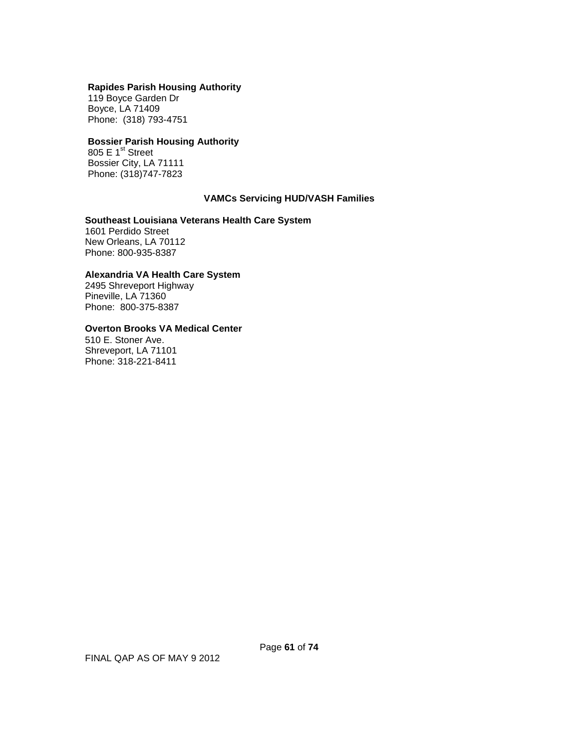#### **Rapides Parish Housing Authority**

119 Boyce Garden Dr Boyce, LA 71409 Phone: (318) 793-4751

# **Bossier Parish Housing Authority**

805 E  $1<sup>st</sup>$  Street Bossier City, LA 71111 Phone: (318)747-7823

### **VAMCs Servicing HUD/VASH Families**

#### **Southeast Louisiana Veterans Health Care System**

1601 Perdido Street New Orleans, LA 70112 Phone: 800-935-8387

#### **Alexandria VA Health Care System**

2495 Shreveport Highway Pineville, LA 71360 Phone: 800-375-8387

# **Overton Brooks VA Medical Center**

510 E. Stoner Ave. Shreveport, LA 71101 Phone: 318-221-8411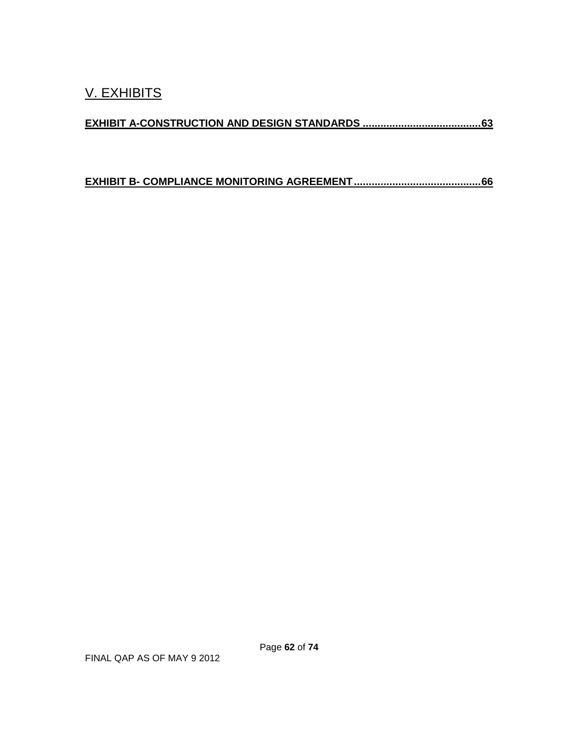**EXHIBIT B- [COMPLIANCE MONITORING AGREEMENT...........................................66](#page-65-0)**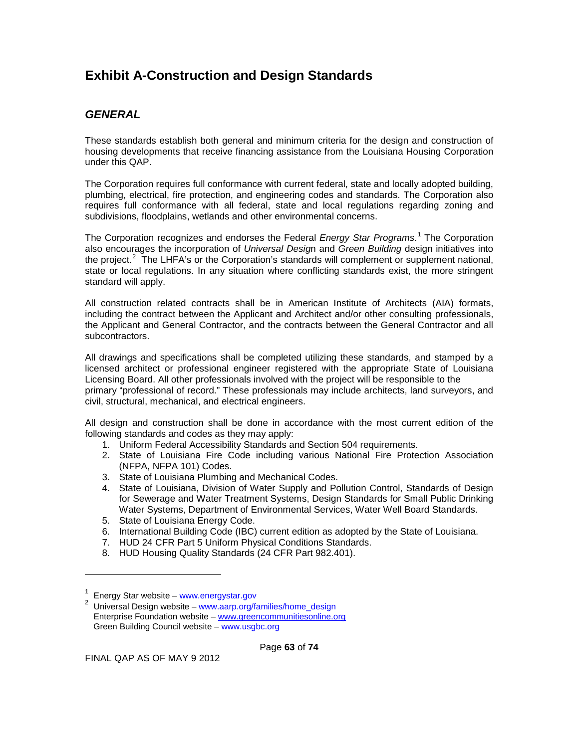# <span id="page-62-0"></span>**Exhibit A-Construction and Design Standards**

# *GENERAL*

These standards establish both general and minimum criteria for the design and construction of housing developments that receive financing assistance from the Louisiana Housing Corporation under this QAP.

The Corporation requires full conformance with current federal, state and locally adopted building, plumbing, electrical, fire protection, and engineering codes and standards. The Corporation also requires full conformance with all federal, state and local regulations regarding zoning and subdivisions, floodplains, wetlands and other environmental concerns.

The Corporation recognizes and endorses the Federal *Energy Star Programs*. [1](#page-0-0) The Corporation also encourages the incorporation of *Universal Desig*n and *Green Building* design initiatives into the project.<sup>[2](#page-62-1)</sup> The LHFA's or the Corporation's standards will complement or supplement national, state or local regulations. In any situation where conflicting standards exist, the more stringent standard will apply.

All construction related contracts shall be in American Institute of Architects (AIA) formats, including the contract between the Applicant and Architect and/or other consulting professionals, the Applicant and General Contractor, and the contracts between the General Contractor and all subcontractors.

All drawings and specifications shall be completed utilizing these standards, and stamped by a licensed architect or professional engineer registered with the appropriate State of Louisiana Licensing Board. All other professionals involved with the project will be responsible to the primary "professional of record." These professionals may include architects, land surveyors, and civil, structural, mechanical, and electrical engineers.

All design and construction shall be done in accordance with the most current edition of the following standards and codes as they may apply:

- 1. Uniform Federal Accessibility Standards and Section 504 requirements.
- 2. State of Louisiana Fire Code including various National Fire Protection Association (NFPA, NFPA 101) Codes.
- 3. State of Louisiana Plumbing and Mechanical Codes.
- 4. State of Louisiana, Division of Water Supply and Pollution Control, Standards of Design for Sewerage and Water Treatment Systems, Design Standards for Small Public Drinking Water Systems, Department of Environmental Services, Water Well Board Standards.
- 5. State of Louisiana Energy Code.
- 6. International Building Code (IBC) current edition as adopted by the State of Louisiana.
- 7. HUD 24 CFR Part 5 Uniform Physical Conditions Standards.
- 8. HUD Housing Quality Standards (24 CFR Part 982.401).

-

<sup>1</sup> Energy Star website – www.energystar.gov <sup>2</sup>

<span id="page-62-1"></span><sup>&</sup>lt;sup>2</sup> Universal Design website – www.aarp.org/families/home\_design Enterprise Foundation website – [www.greencommunitiesonline.org](http://www.greencommunitiesonline.org/) Green Building Council website – www.usgbc.org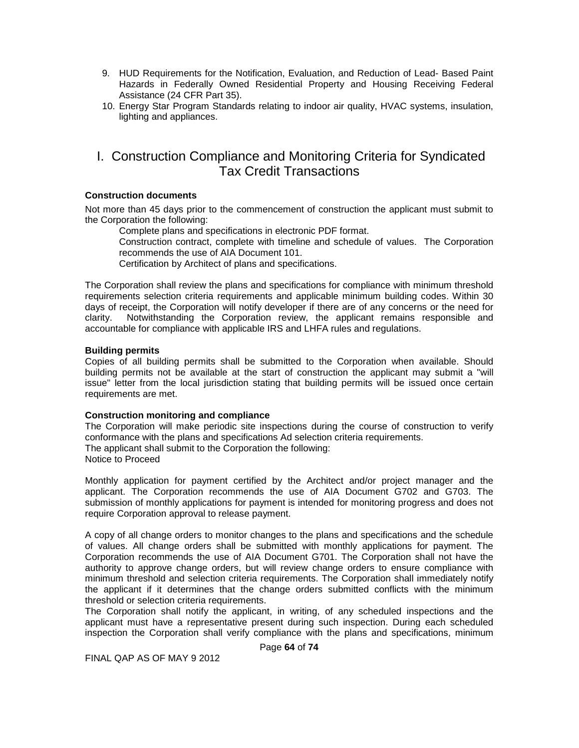- 9. HUD Requirements for the Notification, Evaluation, and Reduction of Lead- Based Paint Hazards in Federally Owned Residential Property and Housing Receiving Federal Assistance (24 CFR Part 35).
- 10. Energy Star Program Standards relating to indoor air quality, HVAC systems, insulation, lighting and appliances.

# I. Construction Compliance and Monitoring Criteria for Syndicated Tax Credit Transactions

### **Construction documents**

Not more than 45 days prior to the commencement of construction the applicant must submit to the Corporation the following:

Complete plans and specifications in electronic PDF format.

Construction contract, complete with timeline and schedule of values. The Corporation recommends the use of AIA Document 101.

Certification by Architect of plans and specifications.

The Corporation shall review the plans and specifications for compliance with minimum threshold requirements selection criteria requirements and applicable minimum building codes. Within 30 days of receipt, the Corporation will notify developer if there are of any concerns or the need for clarity. Notwithstanding the Corporation review, the applicant remains responsible and accountable for compliance with applicable IRS and LHFA rules and regulations.

## **Building permits**

Copies of all building permits shall be submitted to the Corporation when available. Should building permits not be available at the start of construction the applicant may submit a "will issue" letter from the local jurisdiction stating that building permits will be issued once certain requirements are met.

### **Construction monitoring and compliance**

The Corporation will make periodic site inspections during the course of construction to verify conformance with the plans and specifications Ad selection criteria requirements. The applicant shall submit to the Corporation the following: Notice to Proceed

Monthly application for payment certified by the Architect and/or project manager and the applicant. The Corporation recommends the use of AIA Document G702 and G703. The submission of monthly applications for payment is intended for monitoring progress and does not require Corporation approval to release payment.

A copy of all change orders to monitor changes to the plans and specifications and the schedule of values. All change orders shall be submitted with monthly applications for payment. The Corporation recommends the use of AIA Document G701. The Corporation shall not have the authority to approve change orders, but will review change orders to ensure compliance with minimum threshold and selection criteria requirements. The Corporation shall immediately notify the applicant if it determines that the change orders submitted conflicts with the minimum threshold or selection criteria requirements.

The Corporation shall notify the applicant, in writing, of any scheduled inspections and the applicant must have a representative present during such inspection. During each scheduled inspection the Corporation shall verify compliance with the plans and specifications, minimum

Page **64** of **74**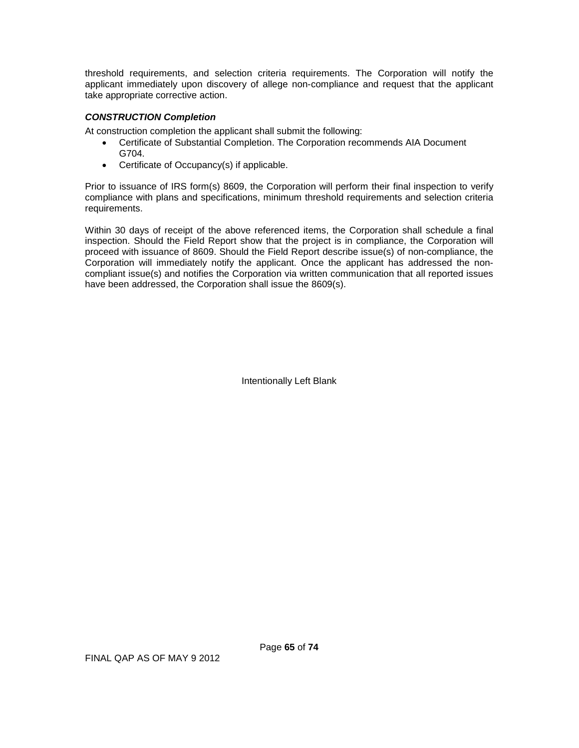threshold requirements, and selection criteria requirements. The Corporation will notify the applicant immediately upon discovery of allege non-compliance and request that the applicant take appropriate corrective action.

# *CONSTRUCTION Completion*

At construction completion the applicant shall submit the following:

- Certificate of Substantial Completion. The Corporation recommends AIA Document G704.
- Certificate of Occupancy(s) if applicable.

Prior to issuance of IRS form(s) 8609, the Corporation will perform their final inspection to verify compliance with plans and specifications, minimum threshold requirements and selection criteria requirements.

Within 30 days of receipt of the above referenced items, the Corporation shall schedule a final inspection. Should the Field Report show that the project is in compliance, the Corporation will proceed with issuance of 8609. Should the Field Report describe issue(s) of non-compliance, the Corporation will immediately notify the applicant. Once the applicant has addressed the noncompliant issue(s) and notifies the Corporation via written communication that all reported issues have been addressed, the Corporation shall issue the 8609(s).

Intentionally Left Blank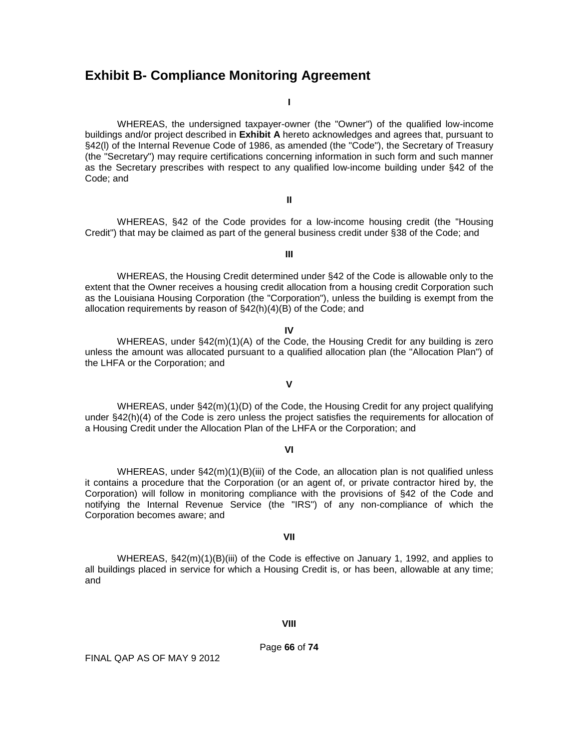# <span id="page-65-0"></span>**Exhibit B- Compliance Monitoring Agreement**

**I**

WHEREAS, the undersigned taxpayer-owner (the "Owner") of the qualified low-income buildings and/or project described in **Exhibit A** hereto acknowledges and agrees that, pursuant to §42(I) of the Internal Revenue Code of 1986, as amended (the "Code"), the Secretary of Treasury (the "Secretary") may require certifications concerning information in such form and such manner as the Secretary prescribes with respect to any qualified low-income building under §42 of the Code; and

WHEREAS, §42 of the Code provides for a low-income housing credit (the "Housing Credit") that may be claimed as part of the general business credit under §38 of the Code; and

**III**

**II**

WHEREAS, the Housing Credit determined under §42 of the Code is allowable only to the extent that the Owner receives a housing credit allocation from a housing credit Corporation such as the Louisiana Housing Corporation (the "Corporation"), unless the building is exempt from the allocation requirements by reason of §42(h)(4)(B) of the Code; and

**IV**

WHEREAS, under §42(m)(1)(A) of the Code, the Housing Credit for any building is zero unless the amount was allocated pursuant to a qualified allocation plan (the "Allocation Plan") of the LHFA or the Corporation; and

WHEREAS, under §42(m)(1)(D) of the Code, the Housing Credit for any project qualifying under §42(h)(4) of the Code is zero unless the project satisfies the requirements for allocation of a Housing Credit under the Allocation Plan of the LHFA or the Corporation; and

**V**

#### **VI**

WHEREAS, under §42(m)(1)(B)(iii) of the Code, an allocation plan is not qualified unless it contains a procedure that the Corporation (or an agent of, or private contractor hired by, the Corporation) will follow in monitoring compliance with the provisions of §42 of the Code and notifying the Internal Revenue Service (the "IRS") of any non-compliance of which the Corporation becomes aware; and

#### **VII**

WHEREAS, §42(m)(1)(B)(iii) of the Code is effective on January 1, 1992, and applies to all buildings placed in service for which a Housing Credit is, or has been, allowable at any time; and

#### **VIII**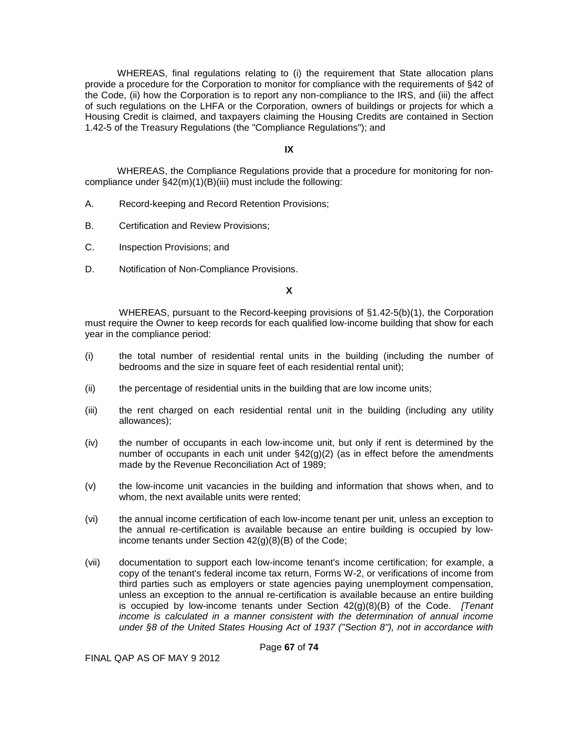WHEREAS, final regulations relating to (i) the requirement that State allocation plans provide a procedure for the Corporation to monitor for compliance with the requirements of §42 of the Code, (ii) how the Corporation is to report any non-compliance to the IRS, and (iii) the affect of such regulations on the LHFA or the Corporation, owners of buildings or projects for which a Housing Credit is claimed, and taxpayers claiming the Housing Credits are contained in Section 1.42-5 of the Treasury Regulations (the "Compliance Regulations"); and

#### **IX**

WHEREAS, the Compliance Regulations provide that a procedure for monitoring for noncompliance under §42(m)(1)(B)(iii) must include the following:

- A. Record-keeping and Record Retention Provisions;
- B. Certification and Review Provisions;
- C. Inspection Provisions; and
- D. Notification of Non-Compliance Provisions.

## **X**

WHEREAS, pursuant to the Record-keeping provisions of §1.42-5(b)(1), the Corporation must require the Owner to keep records for each qualified low-income building that show for each year in the compliance period:

- (i) the total number of residential rental units in the building (including the number of bedrooms and the size in square feet of each residential rental unit);
- (ii) the percentage of residential units in the building that are low income units;
- (iii) the rent charged on each residential rental unit in the building (including any utility allowances);
- (iv) the number of occupants in each low-income unit, but only if rent is determined by the number of occupants in each unit under  $\S42(q)(2)$  (as in effect before the amendments made by the Revenue Reconciliation Act of 1989;
- (v) the low-income unit vacancies in the building and information that shows when, and to whom, the next available units were rented;
- (vi) the annual income certification of each low-income tenant per unit, unless an exception to the annual re-certification is available because an entire building is occupied by lowincome tenants under Section 42(g)(8)(B) of the Code;
- (vii) documentation to support each low-income tenant's income certification; for example, a copy of the tenant's federal income tax return, Forms W-2, or verifications of income from third parties such as employers or state agencies paying unemployment compensation, unless an exception to the annual re-certification is available because an entire building is occupied by low-income tenants under Section 42(g)(8)(B) of the Code. *[Tenant income is calculated in a manner consistent with the determination of annual income under §8 of the United States Housing Act of 1937 ("Section 8"), not in accordance with*

Page **67** of **74**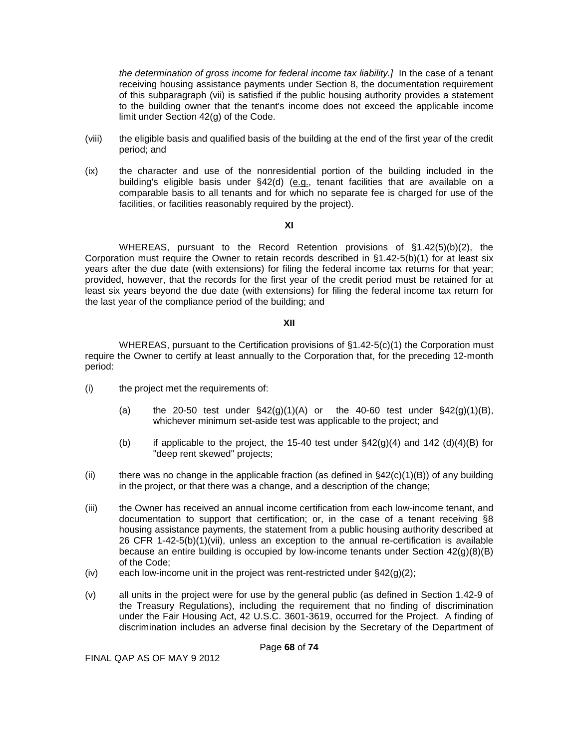*the determination of gross income for federal income tax liability.]* In the case of a tenant receiving housing assistance payments under Section 8, the documentation requirement of this subparagraph (vii) is satisfied if the public housing authority provides a statement to the building owner that the tenant's income does not exceed the applicable income limit under Section 42(g) of the Code.

- (viii) the eligible basis and qualified basis of the building at the end of the first year of the credit period; and
- (ix) the character and use of the nonresidential portion of the building included in the building's eligible basis under  $\S 42(d)$  (e.g., tenant facilities that are available on a comparable basis to all tenants and for which no separate fee is charged for use of the facilities, or facilities reasonably required by the project).

#### **XI**

WHEREAS, pursuant to the Record Retention provisions of §1.42(5)(b)(2), the Corporation must require the Owner to retain records described in §1.42-5(b)(1) for at least six years after the due date (with extensions) for filing the federal income tax returns for that year; provided, however, that the records for the first year of the credit period must be retained for at least six years beyond the due date (with extensions) for filing the federal income tax return for the last year of the compliance period of the building; and

## **XII**

WHEREAS, pursuant to the Certification provisions of  $\S1.42-5(c)(1)$  the Corporation must require the Owner to certify at least annually to the Corporation that, for the preceding 12-month period:

- (i) the project met the requirements of:
	- (a) the 20-50 test under  $\S 42(g)(1)(A)$  or the 40-60 test under  $\S 42(g)(1)(B)$ , whichever minimum set-aside test was applicable to the project; and
	- (b) if applicable to the project, the 15-40 test under  $\S 42(g)(4)$  and 142 (d)(4)(B) for "deep rent skewed" projects;
- (ii) there was no change in the applicable fraction (as defined in  $\S42(c)(1)(B)$ ) of any building in the project, or that there was a change, and a description of the change;
- (iii) the Owner has received an annual income certification from each low-income tenant, and documentation to support that certification; or, in the case of a tenant receiving §8 housing assistance payments, the statement from a public housing authority described at 26 CFR 1-42-5(b)(1)(vii), unless an exception to the annual re-certification is available because an entire building is occupied by low-income tenants under Section  $42(q)(8)(B)$ of the Code;
- (iv) each low-income unit in the project was rent-restricted under  $\S 42(q)(2)$ ;
- (v) all units in the project were for use by the general public (as defined in Section 1.42-9 of the Treasury Regulations), including the requirement that no finding of discrimination under the Fair Housing Act, 42 U.S.C. 3601-3619, occurred for the Project. A finding of discrimination includes an adverse final decision by the Secretary of the Department of

Page **68** of **74**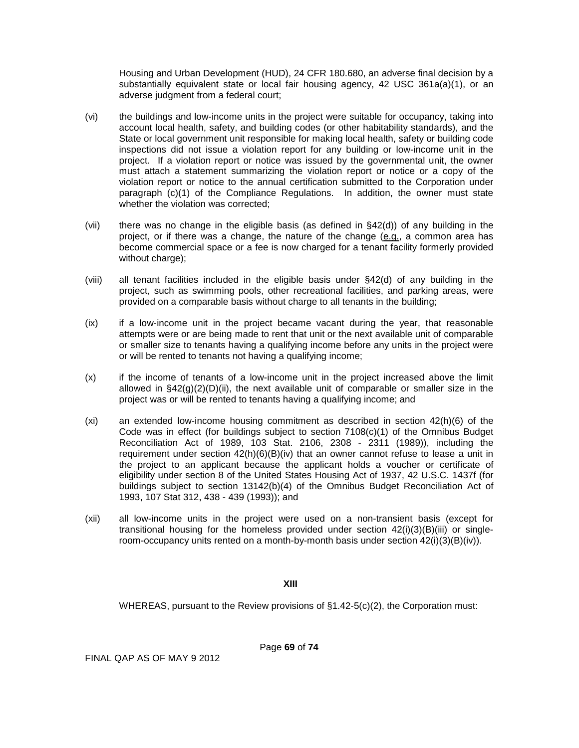Housing and Urban Development (HUD), 24 CFR 180.680, an adverse final decision by a substantially equivalent state or local fair housing agency, 42 USC 361a(a)(1), or an adverse judgment from a federal court;

- (vi) the buildings and low-income units in the project were suitable for occupancy, taking into account local health, safety, and building codes (or other habitability standards), and the State or local government unit responsible for making local health, safety or building code inspections did not issue a violation report for any building or low-income unit in the project. If a violation report or notice was issued by the governmental unit, the owner must attach a statement summarizing the violation report or notice or a copy of the violation report or notice to the annual certification submitted to the Corporation under paragraph (c)(1) of the Compliance Regulations. In addition, the owner must state whether the violation was corrected;
- (vii) there was no change in the eligible basis (as defined in §42(d)) of any building in the project, or if there was a change, the nature of the change (e.g., a common area has become commercial space or a fee is now charged for a tenant facility formerly provided without charge);
- (viii) all tenant facilities included in the eligible basis under §42(d) of any building in the project, such as swimming pools, other recreational facilities, and parking areas, were provided on a comparable basis without charge to all tenants in the building;
- (ix) if a low-income unit in the project became vacant during the year, that reasonable attempts were or are being made to rent that unit or the next available unit of comparable or smaller size to tenants having a qualifying income before any units in the project were or will be rented to tenants not having a qualifying income;
- (x) if the income of tenants of a low-income unit in the project increased above the limit allowed in  $\S42(g)(2)(D)(ii)$ , the next available unit of comparable or smaller size in the project was or will be rented to tenants having a qualifying income; and
- (xi) an extended low-income housing commitment as described in section 42(h)(6) of the Code was in effect (for buildings subject to section 7108(c)(1) of the Omnibus Budget Reconciliation Act of 1989, 103 Stat. 2106, 2308 - 2311 (1989)), including the requirement under section  $42(h)(6)(B)(iv)$  that an owner cannot refuse to lease a unit in the project to an applicant because the applicant holds a voucher or certificate of eligibility under section 8 of the United States Housing Act of 1937, 42 U.S.C. 1437f (for buildings subject to section 13142(b)(4) of the Omnibus Budget Reconciliation Act of 1993, 107 Stat 312, 438 - 439 (1993)); and
- (xii) all low-income units in the project were used on a non-transient basis (except for transitional housing for the homeless provided under section  $42(i)(3)(B)(iii)$  or singleroom-occupancy units rented on a month-by-month basis under section  $42(i)(3)(B)(iv)$ .

## **XIII**

WHEREAS, pursuant to the Review provisions of §1.42-5(c)(2), the Corporation must:

FINAL QAP AS OF MAY 9 2012

Page **69** of **74**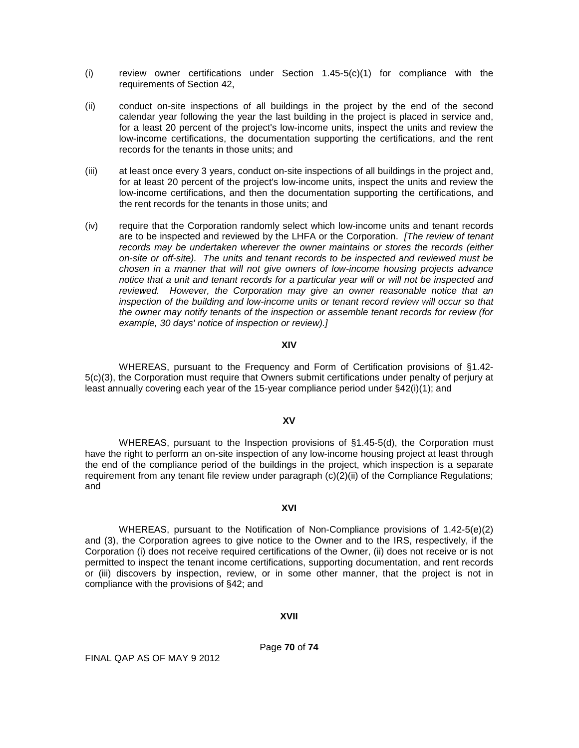- (i) review owner certifications under Section  $1.45-5(c)(1)$  for compliance with the requirements of Section 42,
- (ii) conduct on-site inspections of all buildings in the project by the end of the second calendar year following the year the last building in the project is placed in service and, for a least 20 percent of the project's low-income units, inspect the units and review the low-income certifications, the documentation supporting the certifications, and the rent records for the tenants in those units; and
- (iii) at least once every 3 years, conduct on-site inspections of all buildings in the project and, for at least 20 percent of the project's low-income units, inspect the units and review the low-income certifications, and then the documentation supporting the certifications, and the rent records for the tenants in those units; and
- (iv) require that the Corporation randomly select which low-income units and tenant records are to be inspected and reviewed by the LHFA or the Corporation. *[The review of tenant records may be undertaken wherever the owner maintains or stores the records (either on-site or off-site). The units and tenant records to be inspected and reviewed must be chosen in a manner that will not give owners of low-income housing projects advance notice that a unit and tenant records for a particular year will or will not be inspected and reviewed. However, the Corporation may give an owner reasonable notice that an inspection of the building and low-income units or tenant record review will occur so that the owner may notify tenants of the inspection or assemble tenant records for review (for example, 30 days' notice of inspection or review).]*

#### **XIV**

WHEREAS, pursuant to the Frequency and Form of Certification provisions of §1.42- 5(c)(3), the Corporation must require that Owners submit certifications under penalty of perjury at least annually covering each year of the 15-year compliance period under §42(i)(1); and

#### **XV**

WHEREAS, pursuant to the Inspection provisions of §1.45-5(d), the Corporation must have the right to perform an on-site inspection of any low-income housing project at least through the end of the compliance period of the buildings in the project, which inspection is a separate requirement from any tenant file review under paragraph (c)(2)(ii) of the Compliance Regulations; and

#### **XVI**

WHEREAS, pursuant to the Notification of Non-Compliance provisions of 1.42-5(e)(2) and (3), the Corporation agrees to give notice to the Owner and to the IRS, respectively, if the Corporation (i) does not receive required certifications of the Owner, (ii) does not receive or is not permitted to inspect the tenant income certifications, supporting documentation, and rent records or (iii) discovers by inspection, review, or in some other manner, that the project is not in compliance with the provisions of §42; and

#### **XVII**

Page **70** of **74**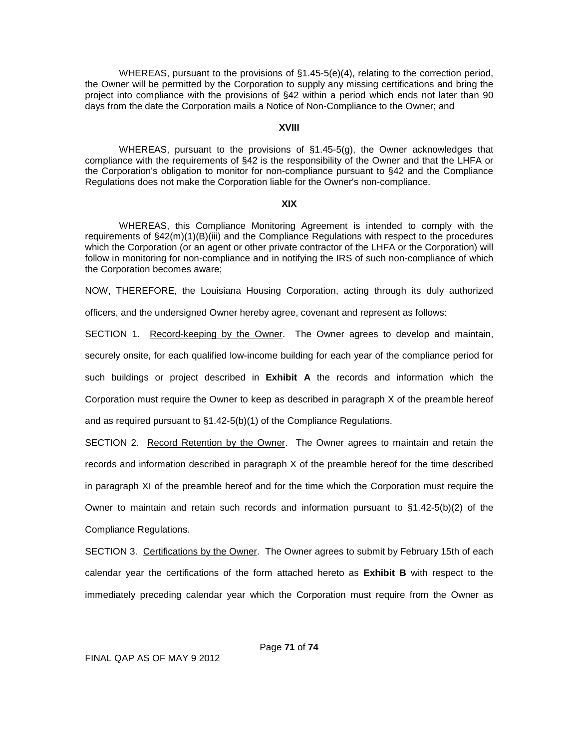WHEREAS, pursuant to the provisions of §1.45-5(e)(4), relating to the correction period, the Owner will be permitted by the Corporation to supply any missing certifications and bring the project into compliance with the provisions of §42 within a period which ends not later than 90 days from the date the Corporation mails a Notice of Non-Compliance to the Owner; and

#### **XVIII**

WHEREAS, pursuant to the provisions of §1.45-5(g), the Owner acknowledges that compliance with the requirements of §42 is the responsibility of the Owner and that the LHFA or the Corporation's obligation to monitor for non-compliance pursuant to §42 and the Compliance Regulations does not make the Corporation liable for the Owner's non-compliance.

### **XIX**

WHEREAS, this Compliance Monitoring Agreement is intended to comply with the requirements of §42(m)(1)(B)(iii) and the Compliance Regulations with respect to the procedures which the Corporation (or an agent or other private contractor of the LHFA or the Corporation) will follow in monitoring for non-compliance and in notifying the IRS of such non-compliance of which the Corporation becomes aware;

NOW, THEREFORE, the Louisiana Housing Corporation, acting through its duly authorized

officers, and the undersigned Owner hereby agree, covenant and represent as follows:

SECTION 1. Record-keeping by the Owner. The Owner agrees to develop and maintain,

securely onsite, for each qualified low-income building for each year of the compliance period for

such buildings or project described in **Exhibit A** the records and information which the

Corporation must require the Owner to keep as described in paragraph X of the preamble hereof

and as required pursuant to §1.42-5(b)(1) of the Compliance Regulations.

SECTION 2. Record Retention by the Owner. The Owner agrees to maintain and retain the records and information described in paragraph X of the preamble hereof for the time described in paragraph XI of the preamble hereof and for the time which the Corporation must require the Owner to maintain and retain such records and information pursuant to §1.42-5(b)(2) of the Compliance Regulations.

SECTION 3. Certifications by the Owner. The Owner agrees to submit by February 15th of each calendar year the certifications of the form attached hereto as **Exhibit B** with respect to the immediately preceding calendar year which the Corporation must require from the Owner as

Page **71** of **74**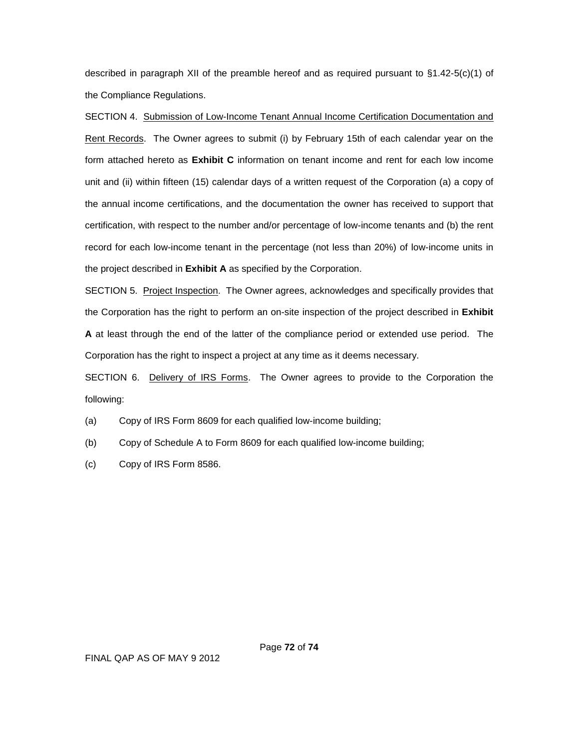described in paragraph XII of the preamble hereof and as required pursuant to §1.42-5(c)(1) of the Compliance Regulations.

SECTION 4. Submission of Low-Income Tenant Annual Income Certification Documentation and Rent Records. The Owner agrees to submit (i) by February 15th of each calendar year on the form attached hereto as **Exhibit C** information on tenant income and rent for each low income unit and (ii) within fifteen (15) calendar days of a written request of the Corporation (a) a copy of the annual income certifications, and the documentation the owner has received to support that certification, with respect to the number and/or percentage of low-income tenants and (b) the rent record for each low-income tenant in the percentage (not less than 20%) of low-income units in the project described in **Exhibit A** as specified by the Corporation.

SECTION 5. Project Inspection. The Owner agrees, acknowledges and specifically provides that the Corporation has the right to perform an on-site inspection of the project described in **Exhibit A** at least through the end of the latter of the compliance period or extended use period. The Corporation has the right to inspect a project at any time as it deems necessary.

SECTION 6. Delivery of IRS Forms. The Owner agrees to provide to the Corporation the following:

- (a) Copy of IRS Form 8609 for each qualified low-income building;
- (b) Copy of Schedule A to Form 8609 for each qualified low-income building;
- (c) Copy of IRS Form 8586.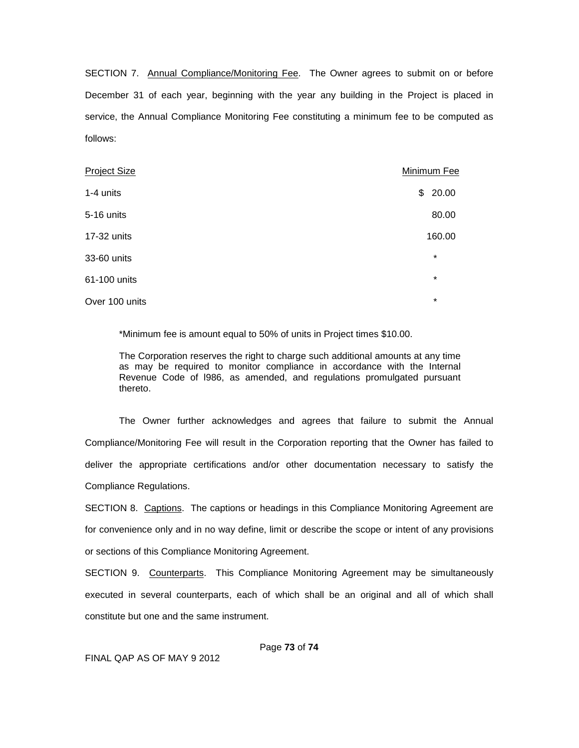SECTION 7. Annual Compliance/Monitoring Fee. The Owner agrees to submit on or before December 31 of each year, beginning with the year any building in the Project is placed in service, the Annual Compliance Monitoring Fee constituting a minimum fee to be computed as follows:

| <b>Project Size</b> | Minimum Fee |
|---------------------|-------------|
| 1-4 units           | 20.00<br>\$ |
| 5-16 units          | 80.00       |
| 17-32 units         | 160.00      |
| 33-60 units         | $\star$     |
| 61-100 units        | $\star$     |
| Over 100 units      | $\star$     |

\*Minimum fee is amount equal to 50% of units in Project times \$10.00.

The Corporation reserves the right to charge such additional amounts at any time as may be required to monitor compliance in accordance with the Internal Revenue Code of l986, as amended, and regulations promulgated pursuant thereto.

The Owner further acknowledges and agrees that failure to submit the Annual Compliance/Monitoring Fee will result in the Corporation reporting that the Owner has failed to deliver the appropriate certifications and/or other documentation necessary to satisfy the Compliance Regulations.

SECTION 8. Captions. The captions or headings in this Compliance Monitoring Agreement are for convenience only and in no way define, limit or describe the scope or intent of any provisions or sections of this Compliance Monitoring Agreement.

SECTION 9. Counterparts. This Compliance Monitoring Agreement may be simultaneously executed in several counterparts, each of which shall be an original and all of which shall constitute but one and the same instrument.

Page **73** of **74**

FINAL QAP AS OF MAY 9 2012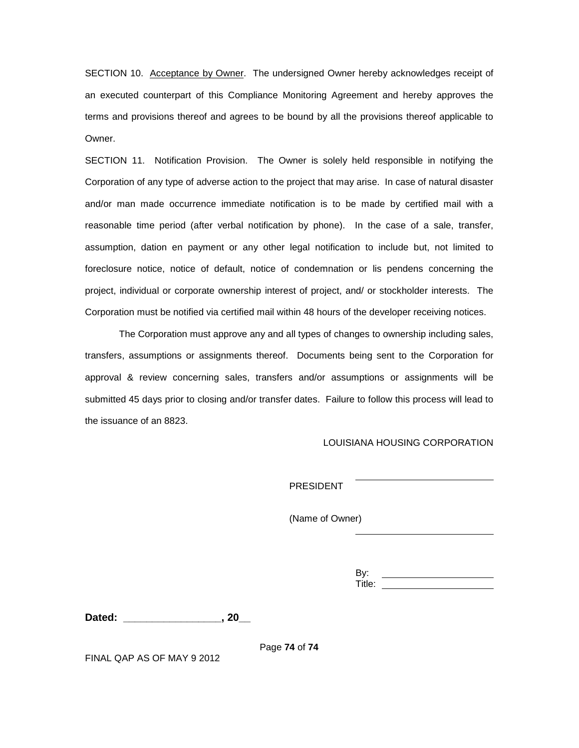SECTION 10. Acceptance by Owner. The undersigned Owner hereby acknowledges receipt of an executed counterpart of this Compliance Monitoring Agreement and hereby approves the terms and provisions thereof and agrees to be bound by all the provisions thereof applicable to Owner.

SECTION 11. Notification Provision. The Owner is solely held responsible in notifying the Corporation of any type of adverse action to the project that may arise. In case of natural disaster and/or man made occurrence immediate notification is to be made by certified mail with a reasonable time period (after verbal notification by phone). In the case of a sale, transfer, assumption, dation en payment or any other legal notification to include but, not limited to foreclosure notice, notice of default, notice of condemnation or lis pendens concerning the project, individual or corporate ownership interest of project, and/ or stockholder interests. The Corporation must be notified via certified mail within 48 hours of the developer receiving notices.

The Corporation must approve any and all types of changes to ownership including sales, transfers, assumptions or assignments thereof. Documents being sent to the Corporation for approval & review concerning sales, transfers and/or assumptions or assignments will be submitted 45 days prior to closing and/or transfer dates. Failure to follow this process will lead to the issuance of an 8823.

LOUISIANA HOUSING CORPORATION

PRESIDENT

(Name of Owner)

By: Title:

**Dated: \_\_\_\_\_\_\_\_\_\_\_\_\_\_\_\_\_, 20\_\_** 

Page **74** of **74**

FINAL QAP AS OF MAY 9 2012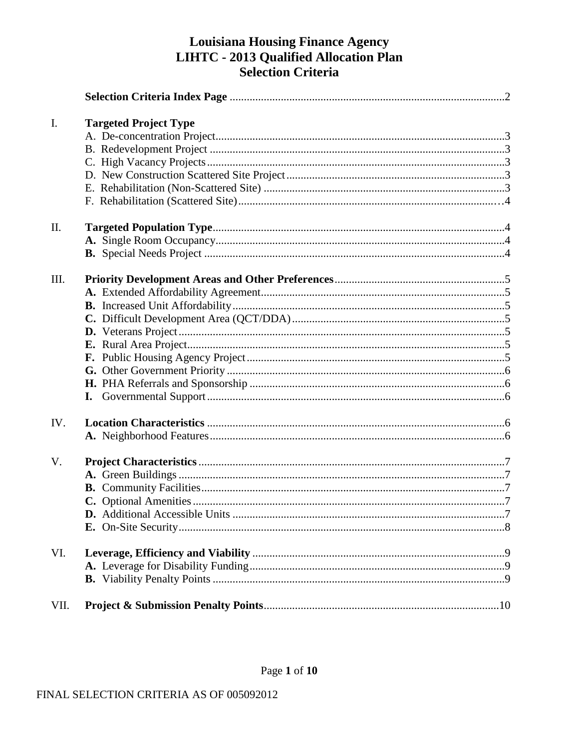# **Louisiana Housing Finance Agency LIHTC - 2013 Qualified Allocation Plan**<br>Selection Criteria

| $\mathbf{I}$ . | <b>Targeted Project Type</b> |  |
|----------------|------------------------------|--|
|                |                              |  |
|                |                              |  |
|                |                              |  |
|                |                              |  |
|                |                              |  |
|                |                              |  |
| II.            |                              |  |
|                |                              |  |
|                |                              |  |
| III.           |                              |  |
|                |                              |  |
|                |                              |  |
|                |                              |  |
|                |                              |  |
|                |                              |  |
|                |                              |  |
|                |                              |  |
|                |                              |  |
|                |                              |  |
| IV.            |                              |  |
|                |                              |  |
| V.             |                              |  |
|                |                              |  |
|                |                              |  |
|                |                              |  |
|                |                              |  |
|                |                              |  |
| VI.            |                              |  |
|                |                              |  |
|                |                              |  |
| VII.           |                              |  |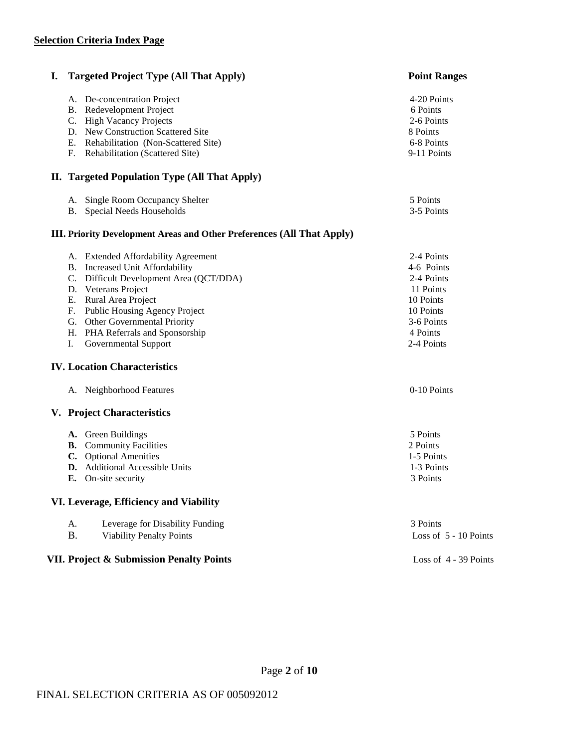| I.                               | <b>Targeted Project Type (All That Apply)</b>                                                                                                                                                                                                                                        | <b>Point Ranges</b>                                                                                                   |
|----------------------------------|--------------------------------------------------------------------------------------------------------------------------------------------------------------------------------------------------------------------------------------------------------------------------------------|-----------------------------------------------------------------------------------------------------------------------|
| C.<br>Е.<br>F.                   | A. De-concentration Project<br><b>B.</b> Redevelopment Project<br><b>High Vacancy Projects</b><br>D. New Construction Scattered Site<br>Rehabilitation (Non-Scattered Site)<br>Rehabilitation (Scattered Site)                                                                       | 4-20 Points<br>6 Points<br>2-6 Points<br>8 Points<br>6-8 Points<br>9-11 Points                                        |
|                                  | II. Targeted Population Type (All That Apply)                                                                                                                                                                                                                                        |                                                                                                                       |
|                                  | A. Single Room Occupancy Shelter<br>B. Special Needs Households                                                                                                                                                                                                                      | 5 Points<br>3-5 Points                                                                                                |
|                                  | <b>III.</b> Priority Development Areas and Other Preferences (All That Apply)                                                                                                                                                                                                        |                                                                                                                       |
| C.<br>Е.<br>F.<br>G.<br>Н.<br>Ι. | A. Extended Affordability Agreement<br>B. Increased Unit Affordability<br>Difficult Development Area (QCT/DDA)<br>D. Veterans Project<br>Rural Area Project<br>Public Housing Agency Project<br>Other Governmental Priority<br>PHA Referrals and Sponsorship<br>Governmental Support | 2-4 Points<br>4-6 Points<br>2-4 Points<br>11 Points<br>10 Points<br>10 Points<br>3-6 Points<br>4 Points<br>2-4 Points |
|                                  | <b>IV. Location Characteristics</b>                                                                                                                                                                                                                                                  |                                                                                                                       |
|                                  | A. Neighborhood Features                                                                                                                                                                                                                                                             | 0-10 Points                                                                                                           |
|                                  | V. Project Characteristics                                                                                                                                                                                                                                                           |                                                                                                                       |
|                                  | A. Green Buildings<br><b>B.</b> Community Facilities<br>C. Optional Amenities<br><b>D.</b> Additional Accessible Units<br>E. On-site security                                                                                                                                        | 5 Points<br>2 Points<br>1-5 Points<br>1-3 Points<br>3 Points                                                          |
|                                  | VI. Leverage, Efficiency and Viability                                                                                                                                                                                                                                               |                                                                                                                       |
| A.<br><b>B.</b>                  | Leverage for Disability Funding<br><b>Viability Penalty Points</b>                                                                                                                                                                                                                   | 3 Points<br>Loss of 5 - 10 Points                                                                                     |
|                                  | VII. Project & Submission Penalty Points                                                                                                                                                                                                                                             | Loss of 4 - 39 Points                                                                                                 |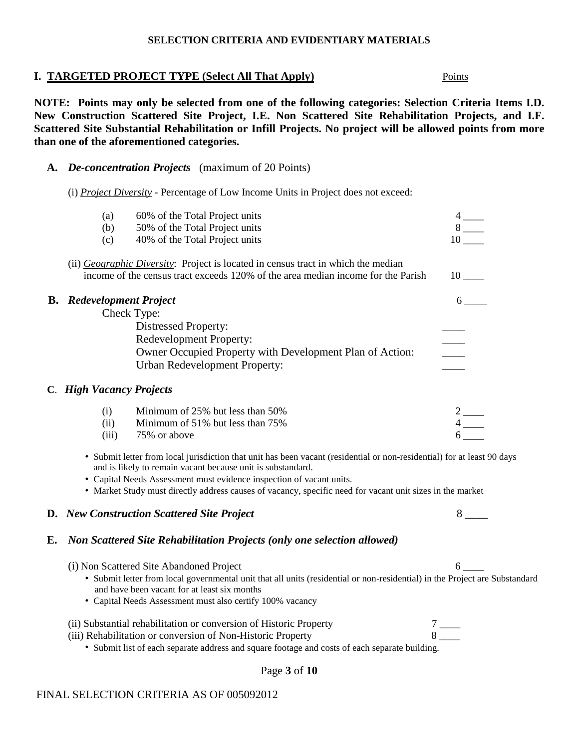#### **SELECTION CRITERIA AND EVIDENTIARY MATERIALS**

# **I. TARGETED PROJECT TYPE (Select All That Apply)** Points

**NOTE: Points may only be selected from one of the following categories: Selection Criteria Items I.D. New Construction Scattered Site Project, I.E. Non Scattered Site Rehabilitation Projects, and I.F. Scattered Site Substantial Rehabilitation or Infill Projects. No project will be allowed points from more than one of the aforementioned categories.**

### **A.** *De-concentration Projects* (maximum of 20 Points)

(i) *Project Diversity -* Percentage of Low Income Units in Project does not exceed:

| (a)                                | 60% of the Total Project units                                                            |    |
|------------------------------------|-------------------------------------------------------------------------------------------|----|
| (b)                                | 50% of the Total Project units                                                            |    |
| (c)                                | 40% of the Total Project units                                                            | 10 |
|                                    | (ii) <i>Geographic Diversity</i> : Project is located in census tract in which the median |    |
|                                    | income of the census tract exceeds 120% of the area median income for the Parish          | 10 |
| <b>Redevelopment Project</b><br>В. |                                                                                           |    |
|                                    | Check Type:                                                                               |    |
|                                    | <b>Distressed Property:</b>                                                               |    |
|                                    | <b>Redevelopment Property:</b>                                                            |    |
|                                    | Owner Occupied Property with Development Plan of Action:                                  |    |
|                                    | <b>Urban Redevelopment Property:</b>                                                      |    |
| C. High Vacancy Projects           |                                                                                           |    |
| (i)                                | Minimum of 25% but less than 50%                                                          |    |
| (ii)                               | Minimum of 51% but less than 75%                                                          |    |
| (iii)                              | 75% or above                                                                              |    |

- Submit letter from local jurisdiction that unit has been vacant (residential or non-residential) for at least 90 days and is likely to remain vacant because unit is substandard.
- Capital Needs Assessment must evidence inspection of vacant units.

• Market Study must directly address causes of vacancy, specific need for vacant unit sizes in the market

# **D.** *New Construction Scattered Site Project* 8 \_\_\_\_\_

(iii)  $75\%$  or above

# **E.** *Non Scattered Site Rehabilitation Projects (only one selection allowed)*

(i) Non Scattered Site Abandoned Project 6 \_\_\_\_

- Submit letter from local governmental unit that all units (residential or non-residential) in the Project are Substandard and have been vacant for at least six months
- Capital Needs Assessment must also certify 100% vacancy

# (ii) Substantial rehabilitation or conversion of Historic Property  $7 \_{}^{\sim}\ 8$

(iii) Rehabilitation or conversion of Non-Historic Property

• Submit list of each separate address and square footage and costs of each separate building.

# Page **3** of **10**

# FINAL SELECTION CRITERIA AS OF 005092012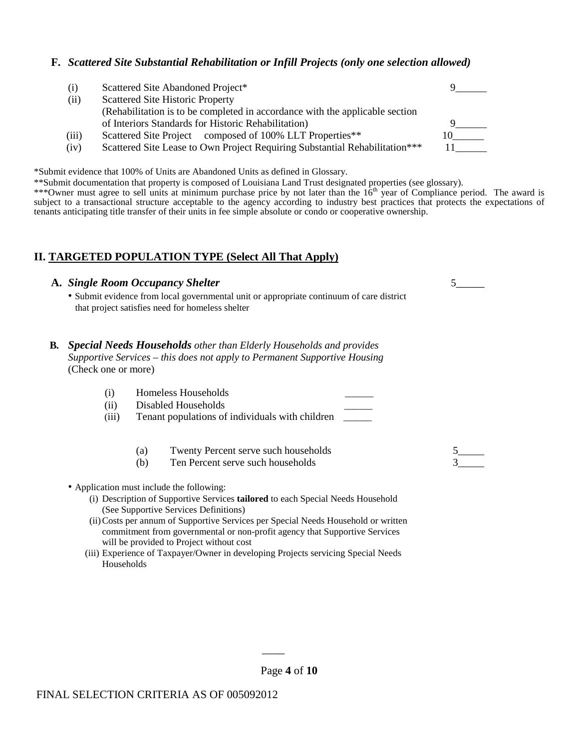### **F.** *Scattered Site Substantial Rehabilitation or Infill Projects (only one selection allowed)*

| (i)   | Scattered Site Abandoned Project*                                            |  |
|-------|------------------------------------------------------------------------------|--|
| (ii)  | <b>Scattered Site Historic Property</b>                                      |  |
|       | (Rehabilitation is to be completed in accordance with the applicable section |  |
|       | of Interiors Standards for Historic Rehabilitation)                          |  |
| (iii) | Scattered Site Project composed of 100% LLT Properties**                     |  |
| (iv)  | Scattered Site Lease to Own Project Requiring Substantial Rehabilitation***  |  |

\*Submit evidence that 100% of Units are Abandoned Units as defined in Glossary.

\*\*Submit documentation that property is composed of Louisiana Land Trust designated properties (see glossary).

\*\*\*Owner must agree to sell units at minimum purchase price by not later than the  $16<sup>th</sup>$  year of Compliance period. The award is subject to a transactional structure acceptable to the agency according to industry best practices that protects the expectations of tenants anticipating title transfer of their units in fee simple absolute or condo or cooperative ownership.

## **II. TARGETED POPULATION TYPE (Select All That Apply)**

#### **A.** *Single Room Occupancy Shelter* 5\_\_\_\_\_

• Submit evidence from local governmental unit or appropriate continuum of care district that project satisfies need for homeless shelter

#### **B***. Special Needs Households other than Elderly Households and provides Supportive Services – this does not apply to Permanent Supportive Housing* (Check one or more)

- (i) Homeless Households \_\_\_\_\_\_
- (ii) Disabled Households \_\_\_\_\_\_
- (iii) Tenant populations of individuals with children
	- (a) Twenty Percent serve such households
	- (b) Ten Percent serve such households
- Application must include the following:
	- (i) Description of Supportive Services **tailored** to each Special Needs Household (See Supportive Services Definitions)
	- (ii)Costs per annum of Supportive Services per Special Needs Household or written commitment from governmental or non-profit agency that Supportive Services will be provided to Project without cost
	- (iii) Experience of Taxpayer/Owner in developing Projects servicing Special Needs **Households**

\_\_\_\_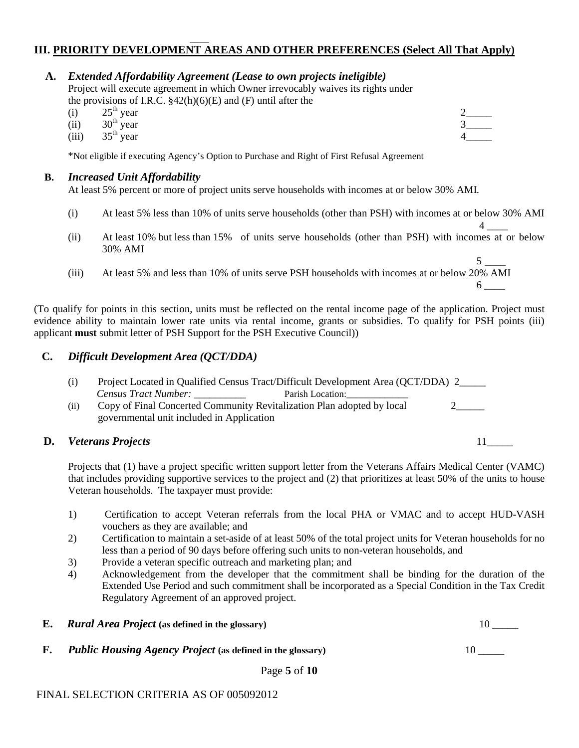#### \_\_\_\_ **III. PRIORITY DEVELOPMENT AREAS AND OTHER PREFERENCES (Select All That Apply)**

 **A.** *Extended Affordability Agreement (Lease to own projects ineligible)*

Project will execute agreement in which Owner irrevocably waives its rights under the provisions of I.R.C. §42(h)(6)(E) and (F) until after the (i)  $25^{\text{th}}$  year

- (i)  $25^{\text{th}}$  year  $2$  and  $2$  and  $2$  and  $2$  and  $2$  and  $2$  and  $2$  and  $2$  and  $2$  and  $2$  and  $2$  and  $2$  and  $2$  and  $2$  and  $2$  and  $2$  and  $2$  and  $2$  and  $2$  and  $2$  and  $2$  and  $2$  and  $2$  and  $2$  and  $2$  and
- (ii)  $30^{\text{th}}$  year  $3$ <sub>\_\_\_\_\_</sub>
- (iii)  $35^{\text{th}}$  year  $4$  4

\*Not eligible if executing Agency's Option to Purchase and Right of First Refusal Agreement

### **B.** *Increased Unit Affordability*

At least 5% percent or more of project units serve households with incomes at or below 30% AMI.

- (i) At least 5% less than 10% of units serve households (other than PSH) with incomes at or below 30% AMI
- $4 \quad \overline{\quad}$ (ii) At least 10% but less than 15% of units serve households (other than PSH) with incomes at or below 30% AMI
- $5 \quad$ (iii) At least 5% and less than 10% of units serve PSH households with incomes at or below 20% AMI  $6 \quad \qquad$

(To qualify for points in this section, units must be reflected on the rental income page of the application. Project must evidence ability to maintain lower rate units via rental income, grants or subsidies. To qualify for PSH points (iii) applicant **must** submit letter of PSH Support for the PSH Executive Council))

## **C.** *Difficult Development Area (QCT/DDA)*

|     | <i>Census Tract Number:</i><br>Parish Location:                        |  |
|-----|------------------------------------------------------------------------|--|
| (i) | Copy of Final Concerted Community Revitalization Plan adopted by local |  |
|     | governmental unit included in Application                              |  |

### **D.** *Veterans Projects* 11\_\_\_\_\_

Projects that (1) have a project specific written support letter from the Veterans Affairs Medical Center (VAMC) that includes providing supportive services to the project and (2) that prioritizes at least 50% of the units to house Veteran households. The taxpayer must provide:

- 1) Certification to accept Veteran referrals from the local PHA or VMAC and to accept HUD-VASH vouchers as they are available; and
- 2) Certification to maintain a set-aside of at least 50% of the total project units for Veteran households for no less than a period of 90 days before offering such units to non-veteran households, and
- 3) Provide a veteran specific outreach and marketing plan; and
- 4) Acknowledgement from the developer that the commitment shall be binding for the duration of the Extended Use Period and such commitment shall be incorporated as a Special Condition in the Tax Credit Regulatory Agreement of an approved project.

| <i>Rural Area Project</i> (as defined in the glossary)            |  |
|-------------------------------------------------------------------|--|
| <i>Public Housing Agency Project</i> (as defined in the glossary) |  |
|                                                                   |  |

Page **5** of **10**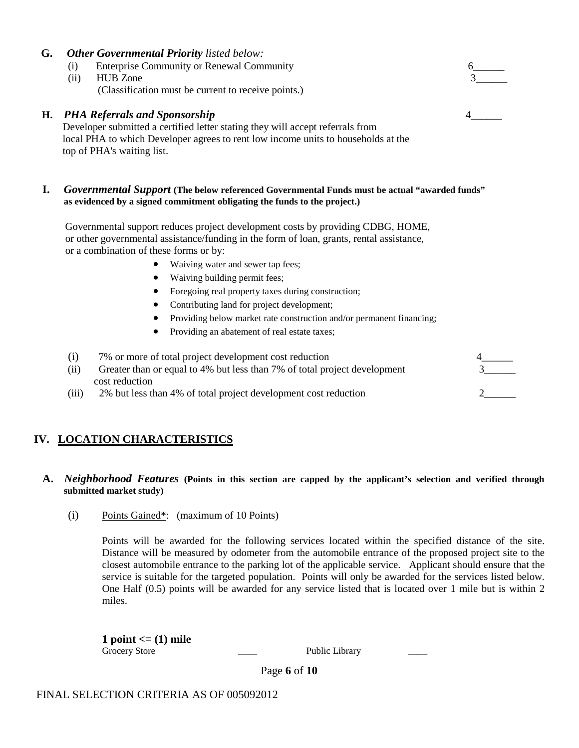#### **G.** *Other Governmental Priority listed below:*

(i) Enterprise Community or Renewal Community

#### (ii) HUB Zone 3\_\_\_\_\_\_ (Classification must be current to receive points.)

#### **H.** *PHA Referrals and Sponsorship*

Developer submitted a certified letter stating they will accept referrals from local PHA to which Developer agrees to rent low income units to households at the top of PHA's waiting list.

#### **I.** *Governmental Support* **(The below referenced Governmental Funds must be actual "awarded funds" as evidenced by a signed commitment obligating the funds to the project.)**

 Governmental support reduces project development costs by providing CDBG, HOME, or other governmental assistance/funding in the form of loan, grants, rental assistance, or a combination of these forms or by:

- Waiving water and sewer tap fees;
- Waiving building permit fees;
- Foregoing real property taxes during construction;
- Contributing land for project development;
- Providing below market rate construction and/or permanent financing;
- Providing an abatement of real estate taxes;

| 7% or more of total project development cost reduction                            |  |
|-----------------------------------------------------------------------------------|--|
| Greater than or equal to 4% but less than 7% of total project development<br>(11) |  |
| cost reduction                                                                    |  |
| 2% but less than 4% of total project development cost reduction<br>(111)          |  |

# **IV. LOCATION CHARACTERISTICS**

#### **A.** *Neighborhood Features* **(Points in this section are capped by the applicant's selection and verified through submitted market study)**

(i) Points Gained\*: (maximum of 10 Points)

Points will be awarded for the following services located within the specified distance of the site. Distance will be measured by odometer from the automobile entrance of the proposed project site to the closest automobile entrance to the parking lot of the applicable service. Applicant should ensure that the service is suitable for the targeted population. Points will only be awarded for the services listed below. One Half (0.5) points will be awarded for any service listed that is located over 1 mile but is within 2 miles.

**1 point <= (1) mile** Grocery Store **Example 2018** Public Library

Page **6** of **10**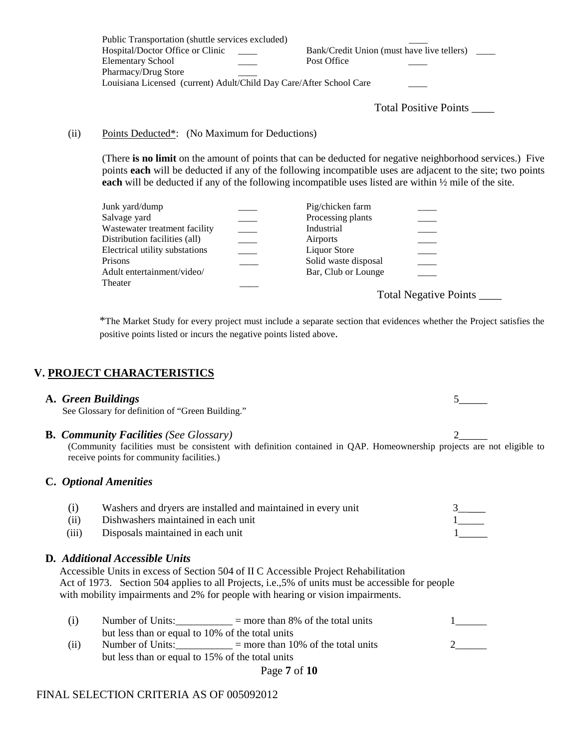| Public Transportation (shuttle services excluded)                   |                                                                        |
|---------------------------------------------------------------------|------------------------------------------------------------------------|
| Hospital/Doctor Office or Clinic                                    | Bank/Credit Union (must have live tellers)<br><b>Contract Contract</b> |
| <b>Elementary School</b>                                            | Post Office                                                            |
| <b>Pharmacy/Drug Store</b>                                          |                                                                        |
| Louisiana Licensed (current) Adult/Child Day Care/After School Care |                                                                        |

Total Positive Points \_\_\_\_

#### (ii) Points Deducted\*: (No Maximum for Deductions)

(There **is no limit** on the amount of points that can be deducted for negative neighborhood services.) Five points **each** will be deducted if any of the following incompatible uses are adjacent to the site; two points **each** will be deducted if any of the following incompatible uses listed are within ½ mile of the site.

| Junk yard/dump                 | Pig/chicken farm     |                              |
|--------------------------------|----------------------|------------------------------|
| Salvage yard                   | Processing plants    |                              |
| Wastewater treatment facility  | Industrial           |                              |
| Distribution facilities (all)  | Airports             |                              |
| Electrical utility substations | Liquor Store         |                              |
| Prisons                        | Solid waste disposal |                              |
| Adult entertainment/video/     | Bar, Club or Lounge  |                              |
| Theater                        |                      |                              |
|                                |                      | <b>Total Negative Points</b> |

\*The Market Study for every project must include a separate section that evidences whether the Project satisfies the positive points listed or incurs the negative points listed above.

#### **V. PROJECT CHARACTERISTICS**

#### **A.** *Green Buildings*5\_\_\_\_\_

See Glossary for definition of "Green Building."

#### **B. Community Facilities** (See Glossary) **2**

(Community facilities must be consistent with definition contained in QAP. Homeownership projects are not eligible to receive points for community facilities.)

#### **C.** *Optional Amenities*

|       | Washers and dryers are installed and maintained in every unit |  |
|-------|---------------------------------------------------------------|--|
| (ii)  | Dishwashers maintained in each unit                           |  |
| (iii) | Disposals maintained in each unit                             |  |

- 
- (iii) Disposals maintained in each unit

#### **D***. Additional Accessible Units*

Accessible Units in excess of Section 504 of II C Accessible Project Rehabilitation Act of 1973. Section 504 applies to all Projects, i.e.,5% of units must be accessible for people with mobility impairments and 2% for people with hearing or vision impairments.

|      | Number of Units:                                 | $=$ more than 8% of the total units  |  |
|------|--------------------------------------------------|--------------------------------------|--|
|      | but less than or equal to 10% of the total units |                                      |  |
| (11) | Number of Units:                                 | $=$ more than 10% of the total units |  |
|      | but less than or equal to 15% of the total units |                                      |  |

Page **7** of **10**

### FINAL SELECTION CRITERIA AS OF 005092012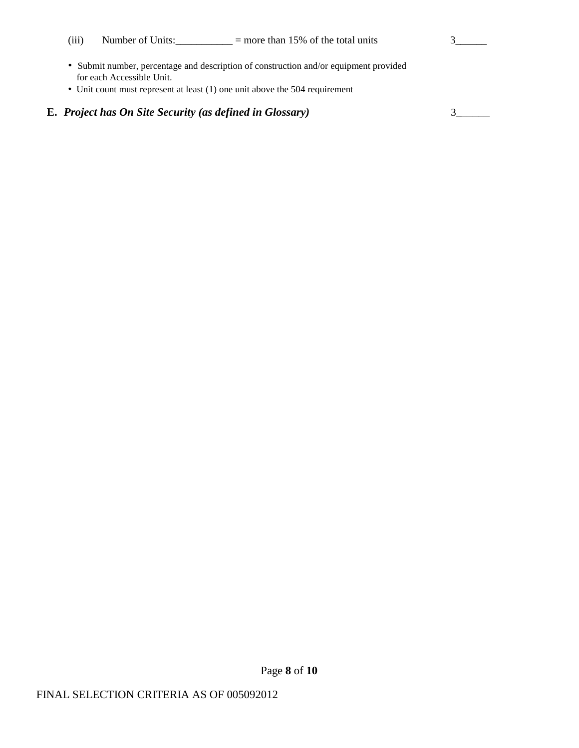(iii) Number of Units: $\frac{3}{2}$  = more than 15% of the total units 3

- Submit number, percentage and description of construction and/or equipment provided for each Accessible Unit.
- Unit count must represent at least (1) one unit above the 504 requirement

# **E.** *Project has On Site Security (as defined in Glossary)* 3\_\_\_\_\_\_

Page **8** of **10**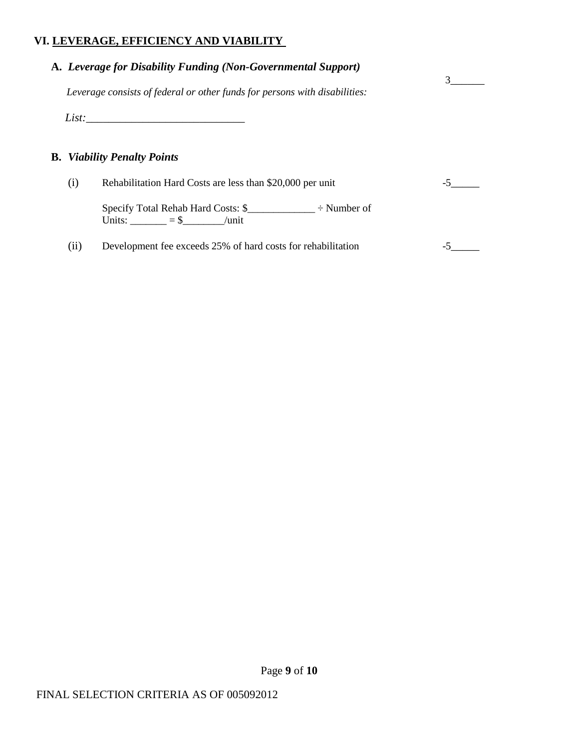# **VI. LEVERAGE, EFFICIENCY AND VIABILITY**

|     | A. Leverage for Disability Funding (Non-Governmental Support)<br>Leverage consists of federal or other funds for persons with disabilities:       |  |
|-----|---------------------------------------------------------------------------------------------------------------------------------------------------|--|
|     | List:                                                                                                                                             |  |
|     | <b>B.</b> Viability Penalty Points                                                                                                                |  |
|     |                                                                                                                                                   |  |
|     |                                                                                                                                                   |  |
| (i) | Rehabilitation Hard Costs are less than \$20,000 per unit<br>Specify Total Rehab Hard Costs: $\frac{1}{2}$ $\div$ Number of<br>Units: $= $$ /unit |  |